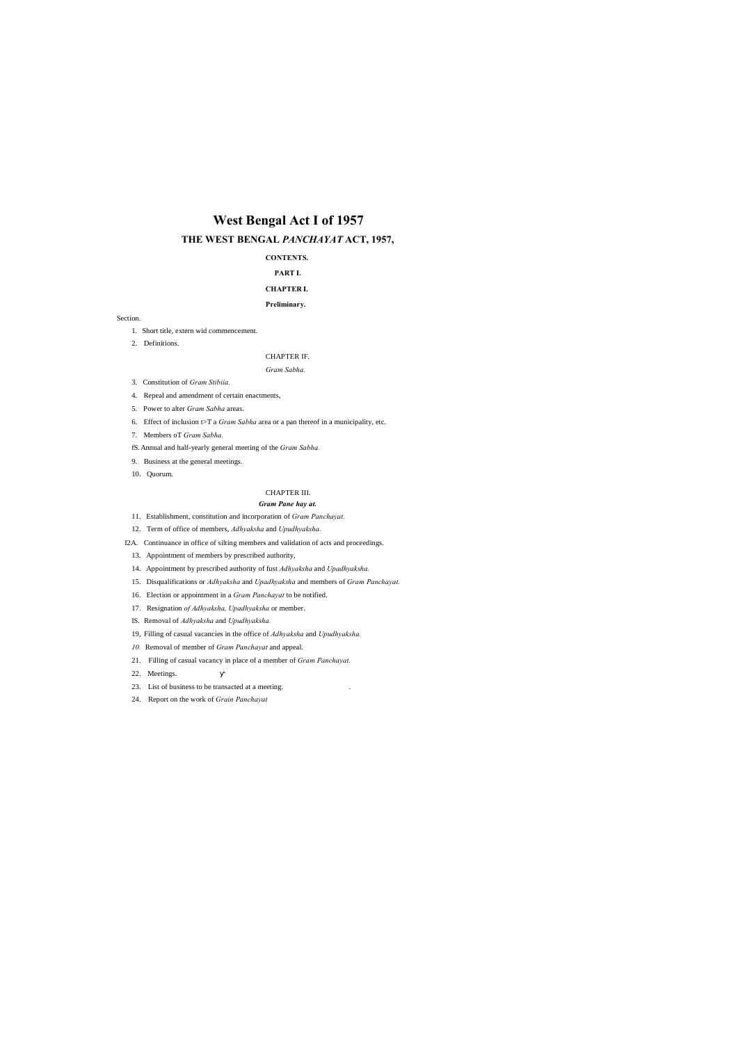## **West Bengal Act I of 1957**

## **THE WEST BENGAL** *PANCHAYAT* **ACT, 1957,**

## **CONTENTS.**

### **PART I.**

## **CHAPTER I.**

#### **Preliminary.**

#### Section.

- 1. Short title, extern wid commencement.
- 2. Definitions.

## CHAPTER IF.

#### *Gram Sabha.*

- 3. Constitution of *Gram Stibiia.*
- 4. Repeal and amendment of certain enactments,
- 5. Power to alter *Gram Sabha* areas.
- 6. Effect of inclusion t>T a *Gram Sabha* area or a pan thereof in a municipality, etc.
- 7. Members oT *Gram Sabha.*
- fS.Annual and half-yearly general meeting of the *Gram Sabha.*
- 9. Business at the general meetings.
- 10. Quorum.

#### CHAPTER III.

## *Gram Pane hay at.*

- 11. Establishment, constitution and incorporation of *Gram Panchayat.*
- 12. Term of office of members, *Adhyaksha* and *Upudhyaksha.*
- I2A. Continuance in office of silting members and validation of acts and proceedings.
- 13. Appointment of members by prescribed authority,
- 14. Appointment by prescribed authority of fust *Adhyaksha* and *Upadhyaksha.*
- 15. Disqualifications or *Adhyaksha* and *Upadhyaksha* and members of *Gram Panchayat.*
- 16. Election or appointment in a *Gram Panchayat* to be notified.
- 17. Resignation *of Adhyaksha, Upadhyaksha* or member.
- IS. Removal of *Adhyaksha* and *Upudhyaksha.*
- 19, Filling of casual vacancies in the office of *Adhyaksha* and *Upudhyaksha.*
- *10.* Removal of member of *Gram Panchayat* and appeal.
- 21. Filling of casual vacancy in place of a member of *Gram Panchayat.*
- 22. Meetings.
- 23. List of business to be transacted at a meeting. .
- 24. Report on the work of *Grain Panchayat*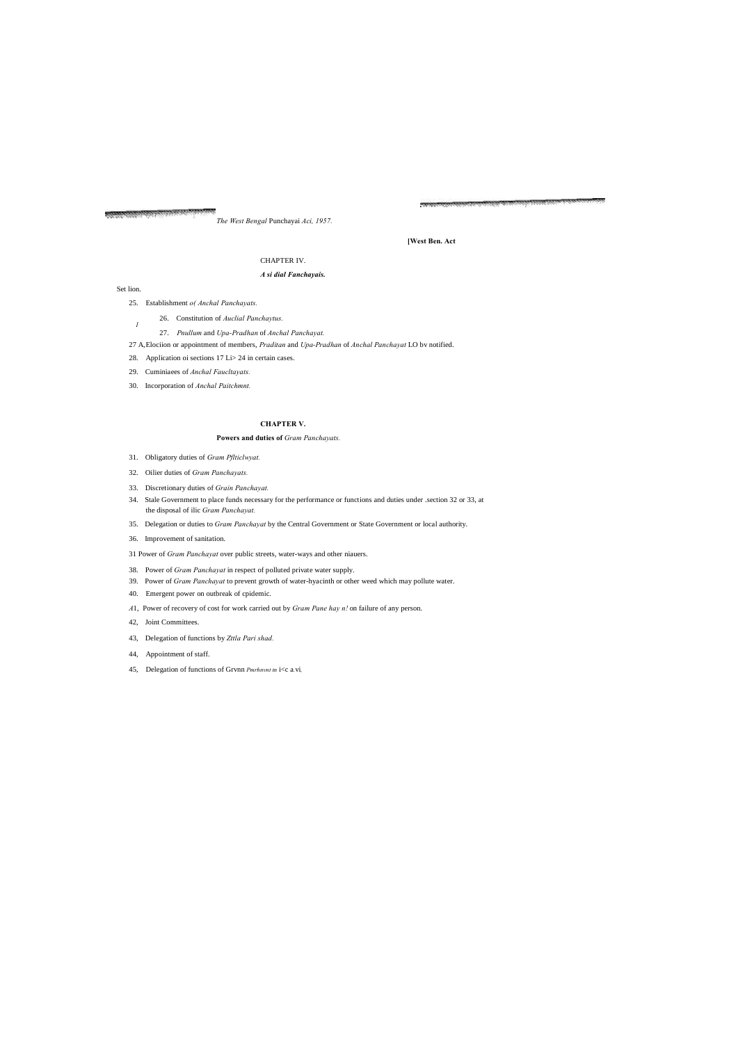*1*

*The West Bengal* Punchayai *Aci, 1957.*

**[West Ben. Act**

#### CHAPTER IV.

## *A si dial Fanchayais.*

#### Set lion.

- 25. Establishment *o( Anchal Panchayats.*
	- 26. Constitution of *Auclial Panchaytus.*
	- 27. *Pnullum* and *Upa-Pradhan* of *Anchal Panchayat.*
- 27 A,Elociion or appointment of members, *Praditan* and *Upa-Pradhan* of *Anchal Panchayat* LO bv notified.
- 28. Application oi sections 17 Li> 24 in certain cases.
- 29. Cuminiaees of *Anchal Faucltayats.*
- 30. Incorporation of *Anchal Paitchmnt.*

#### **CHAPTER V.**

#### **Powers and duties of** *Gram Panchayats.*

- 31. Obligatory duties of *Gram Pflticlwyat.*
- 32. Oilier duties of *Gram Panchayats.*
- 33. Discretionary duties of *Grain Panchayat.*
- 34. Stale Government to place funds necessary for the performance or functions and duties under .section 32 or 33, at the disposal of ilic *Gram Panchayat.*
- 35. Delegation or duties to *Gram Panchayat* by the Central Government or State Government or local authority.
- 36. Improvement of sanitation.
- 31 Power of *Gram Panchayat* over public streets, water-ways and other niauers.
- 38. Power of *Gram Panchayat* in respect of polluted private water supply.
- 39. Power of *Gram Panchayat* to prevent growth of water-hyacinth or other weed which may pollute water.
- 40. Emergent power on outbreak of cpidemic.
- *A*1, Power of recovery of cost for work carried out by *Gram Pane hay n!* on failure of any person.
- 42, Joint Committees.
- 43, Delegation of functions by *Zttla Pari shad.*
- 44, Appointment of staff.
- 45, Delegation of functions of Grvnn *Pmrhnvnt tn* i<c a*.*vi*,*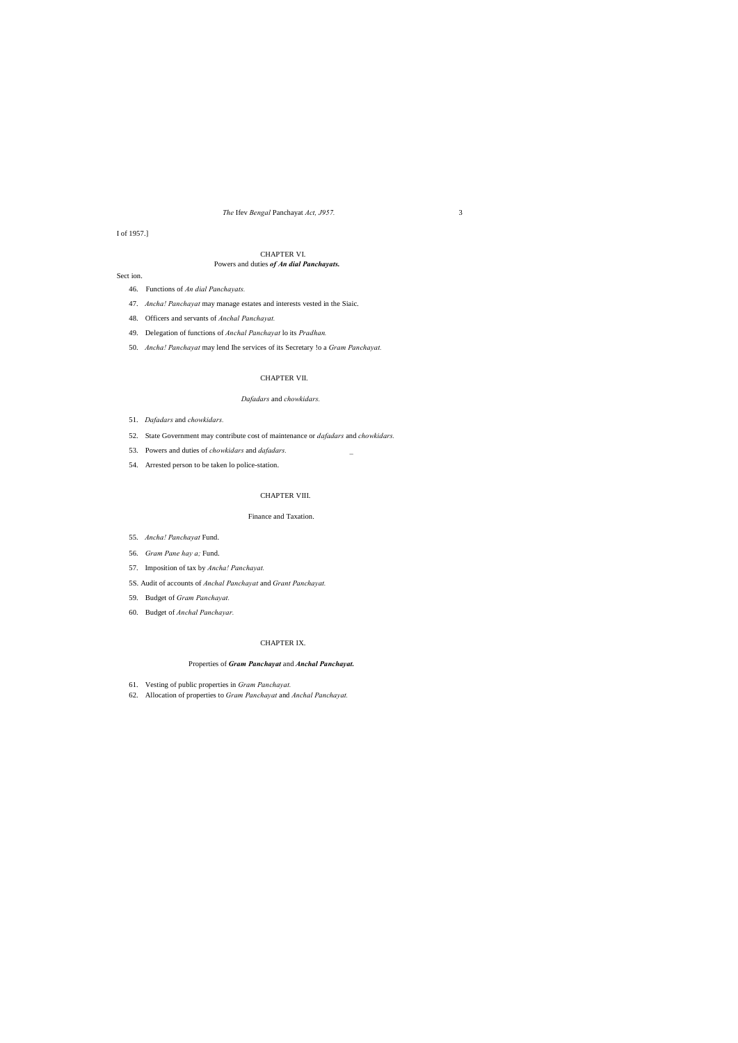#### *The* Ifev *Bengal* Panchayat *Act, J957.* 3

I of 1957.]

## CHAPTER VI. Powers and duties *of An dial Panchayats.*

#### Sect ion.

- 46. Functions of *An dial Panchayats.*
- 47. *Ancha! Panchayat* may manage estates and interests vested in the Siaic.
- 48. Officers and servants of *Anchal Panchayat.*
- 49. Delegation of functions of *Anchal Panchayat* lo its *Pradhan.*
- 50. *Ancha! Panchayat* may lend Ihe services of its Secretary !o a *Gram Panchayat.*

#### CHAPTER VII.

#### *Dafadars* and *chowkidars.*

- 51. *Dafadars* and *chowkidars.*
- 52. State Government may contribute cost of maintenance or *dafadars* and *chowkidars.*
- 53. Powers and duties of *chowkidars* and *dafadars. \_*
- 54. Arrested person to be taken lo police-station.

## CHAPTER VIII.

#### Finance and Taxation.

- 55. *Ancha! Panchayat* Fund.
- 56. *Gram Pane hay a;* Fund.
- 57. Imposition of tax by *Ancha! Panchayat.*
- 5S. Audit of accounts of *Anchal Panchayat* and *Grant Panchayat.*
- 59. Budget of *Gram Panchayat.*
- 60. Budget of *Anchal Panchayar.*

## CHAPTER IX.

#### Properties of *Gram Panchayat* and *Anchal Panchayat.*

- 61. Vesting of public properties in *Gram Panchayat.*
- 62. Allocation of properties to *Gram Panchayat* and *Anchal Panchayat.*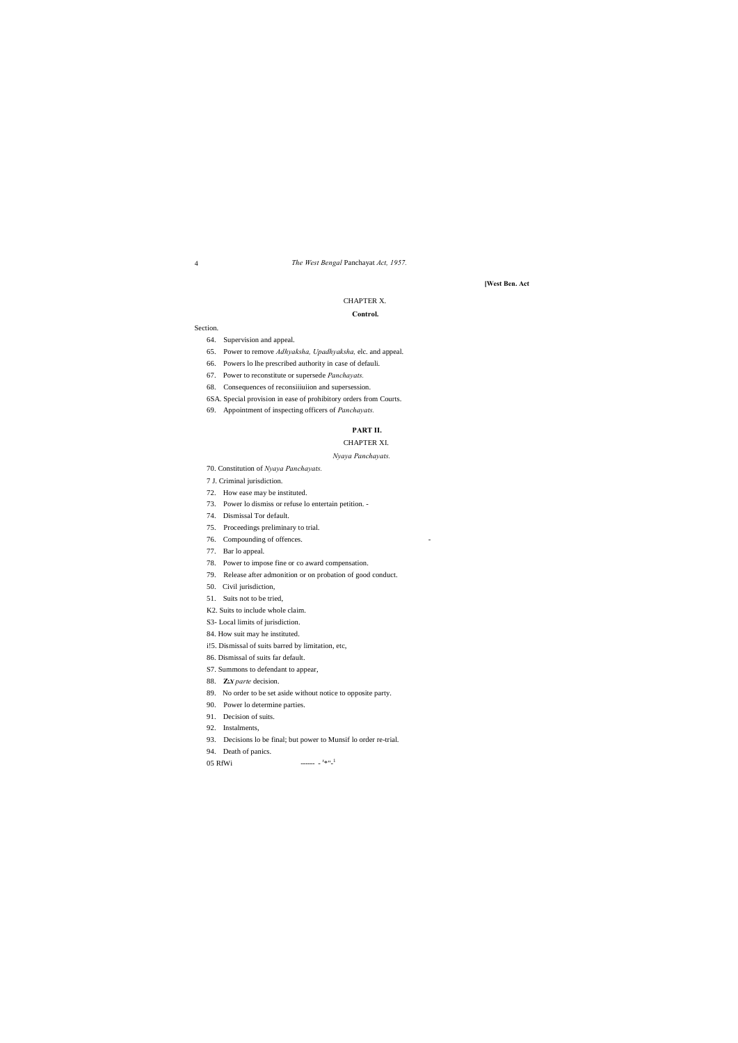4

**[West Ben. Act**

#### *The West Bengal* Panchayat *Act, 1957.*

## CHAPTER X.

## **Control.**

#### Section.

- 64. Supervision and appeal.
- 65. Power to remove *Adhyaksha, Upadhyaksha,* elc. and appeal.
- 66. Powers lo lhe prescribed authority in case of defauli.
- 67. Power to reconstitute or supersede *Panchayats.*
- 68. Consequences of reconsiiiuiion and supersession.
- 6SA. Special provision in ease of prohibitory orders from Courts.
- 69. Appointment of inspecting officers of *Panchayats.*

## **PART II.**

## CHAPTER XI. *Nyaya Panchayats.*

- 70. Constitution of *Nyaya Panchayats.*
- 7 J. Criminal jurisdiction.
- 72. How ease may be instituted.
- 73. Power lo dismiss or refuse lo entertain petition. -
- 74. Dismissal Tor default.
- 75. Proceedings preliminary to trial.
- 76. Compounding of offences.
- 77. Bar lo appeal.
- 78. Power to impose fine or co award compensation.
- 79. Release after admonition or on probation of good conduct.
- 50. Civil jurisdiction,
- 51. Suits not to be tried,
- K2. Suits to include whole claim.
- S3- Local limits of jurisdiction.
- 84. How suit may he instituted.
- i!5. Dismissal of suits barred by limitation, etc,
- 86. Dismissal of suits far default.
- S7. Summons to defendant to appear,
- 88. **Z:.Y** *parte* decision.
- 89. No order to be set aside without notice to opposite party.
- 90. Power lo determine parties.
- 91. Decision of suits.
- 92. Instalments,
- 93. Decisions lo be final; but power to Munsif lo order re-trial.
- 94. Death of panics.

 $05$  RfWi

 $^{*}$ "- $^{1}$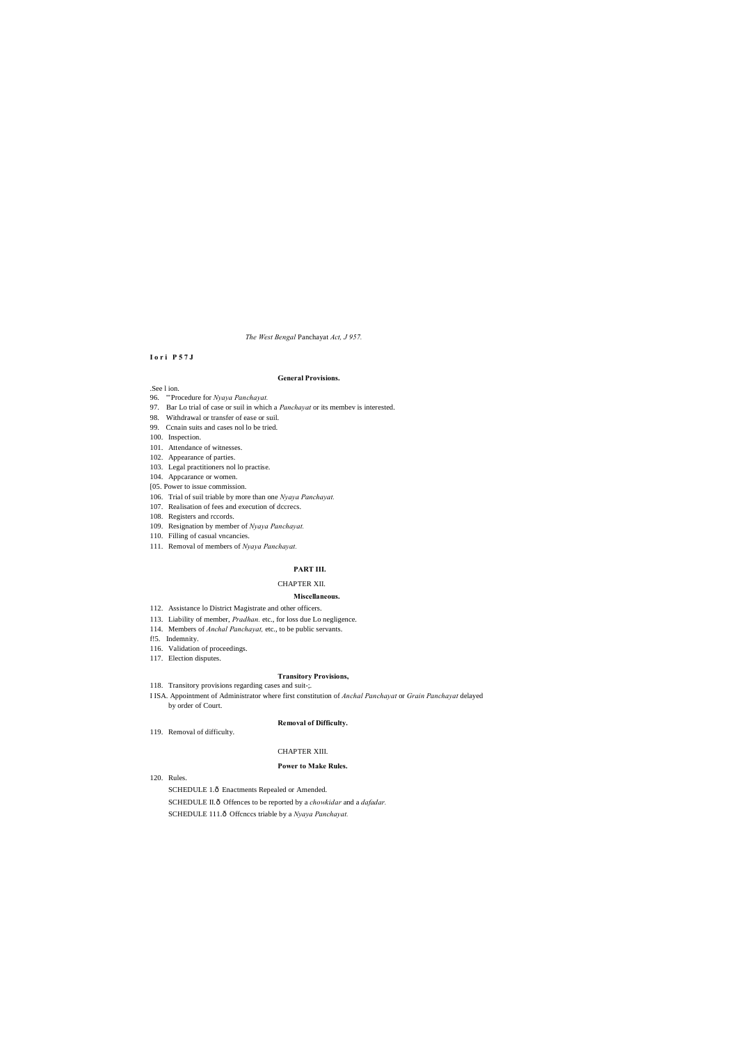*The West Bengal* Panchayat *Act, J 957.*

#### **I o r i P 5 7 J**

#### **General Provisions.**

#### .See l ion. 96. '"Procedure for *Nyaya Panchayat.*

## 97. Bar Lo trial of case or suil in which a *Panchayat* or its membev is interested.

- 98. Withdrawal or transfer of ease or suil.
- 99. Ccnain suits and cases nol lo be tried.
- 100. Inspection.
- 101. Attendance of witnesses.
- 102. Appearance of parties.
- 103. Legal practitioners nol lo practise.
- 104. Appcarance or women.
- [05. Power to issue commission.
- 106. Trial of suil triable by more than one *Nyaya Panchayat.*
- 107. Realisation of fees and execution of dccrecs.
- 108. Registers and rccords.
- 109. Resignation by member of *Nyaya Panchayat.*
- 110. Filling of casual vncancies.
- 111. Removal of members of *Nyaya Panchayat.*

## **PART III.**

## CHAPTER XII.

#### **Miscellaneous.**

- 112. Assistance lo District Magistrate and other officers.
- 113. Liability of member, *Pradhan.* etc., for loss due Lo negligence.
- 114. Members of *Anchal Panchayat,* etc., to be public servants.
- f!5. Indemnity.
- 116. Validation of proceedings.
- 117. Election disputes.

## **Transitory Provisions,**

- 118. Transitory provisions regarding cases and suit-;.
- I ISA. Appointment of Administrator where first constitution of *Anchal Panchayat* or *Grain Panchayat* delayed by order of Court.
- 119. Removal of difficulty.

## **Removal of Difficulty.**

## CHAPTER XIII.

## **Power to Make Rules.**

- 120. Rules.
- 

SCHEDULE 1.ô Enactments Repealed or Amended. SCHEDULE II.ô Offences to be reported by a *chowkidar* and a *dafadar*. SCHEDULE 111. $\delta$  Offcnccs triable by a *Nyaya Panchayat*.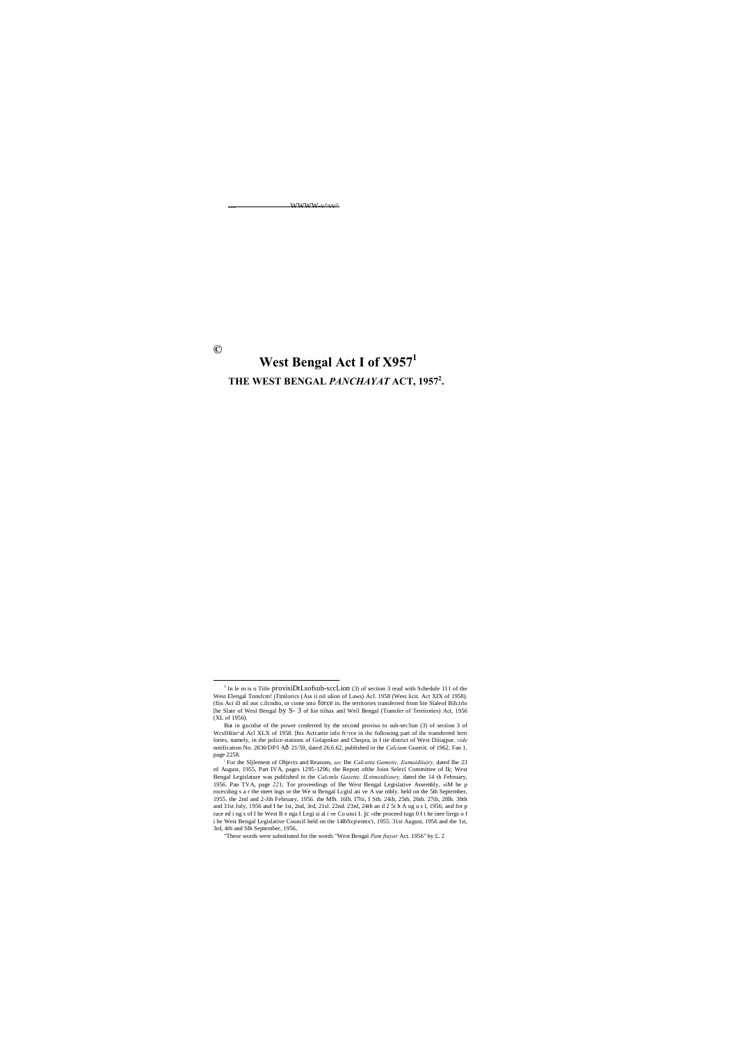**©**

WWWW-v^vv^

West Bengal Act I of  $X957<sup>1</sup>$ **THE WEST BENGAL** *PANCHAYAT* **ACT, 19572 .**

rocecding s a r the meet ings or the We st Bengal Lcgisl ati ve A sse mbly. held on the 5th September, 1955. the 2nd and 2-Jih February, 1956. the Mlh. 16lh. I7lti, I Sth. 24ih, 25th, 26th. 27th, 28lh. 30th and 31st July, 1956 and I he 1st, 2nd, 3rd, 21sl. 22nd. 23rd, 24th an d 2 5t h A ug u s l, 1956; and for p race ed i ng s of I he West B e nga I Legi si al i ve Co unci I. jc «the proceed tugs 0 f t he inee lirrgs o f i he West Bengal Legislative Council held on the 14lbScp\emtx'r, 1955. 31st August, 1956 and the 1st, 3rd, 4th and Slh September, 1956,

"These words were substituted for the words "West Bengal *Pam ftayar* Act. 1956" by £. 2

<sup>&</sup>lt;sup>1</sup> In le m is o Title provisiDtLsofsub-sccLion (3) of section 3 read with Schedule 111 of the West Elengal Tnnsfcm! jTtmlorics (Ass ii nil ulion of Laws) Acl. 1958 (West licit. Act XIX of 1958). (fiis Aci ill nil not c.ilcndto, or come into force in. Ihe territories transferred from lite Slaleof Bih:irlo [he Slate of Wesl Bengal by S- 3 of liie tiihax anil Weil Bengal (Transfer of Territories) Act, 1956 (XL of 1956).

But in gxcrdse of the power conferred by the second proviso to sub-sec!iun (3) of section 3 of WcsIHiin^al Acl XLX of 1958. [his Actcartie inlo ft>rce in ihc following pari of ihc transferred lerri lories, namely, in the police-stations of Golapnkur and Chopra, in I tie district of West Diiiajpur. *vide* notification No. 2836/DP/l A—21/59, dated 26.6.62, published in the *Calcium* Guzeiit. of 1962, Fan 1, page 2258.

<sup>;</sup> For the Sljlement of Objects and Reasons, *sec* Ihe *Calcutta Gametic, Eamaidiiuiry,* dated Ihe 23 rd August, 1955, Part IVA, pages 1295-1296; the Report ofthe Joint Selecl Committee of Ik; West Bengal Legislature was published in the *Calcmlu Gazette. ILxtmotdiisury,* dated the 14 th February, 1956. Pan TVA, page *22*1; Tor proceedings of Ihe West Bengal Legislative Assembly, «iM he p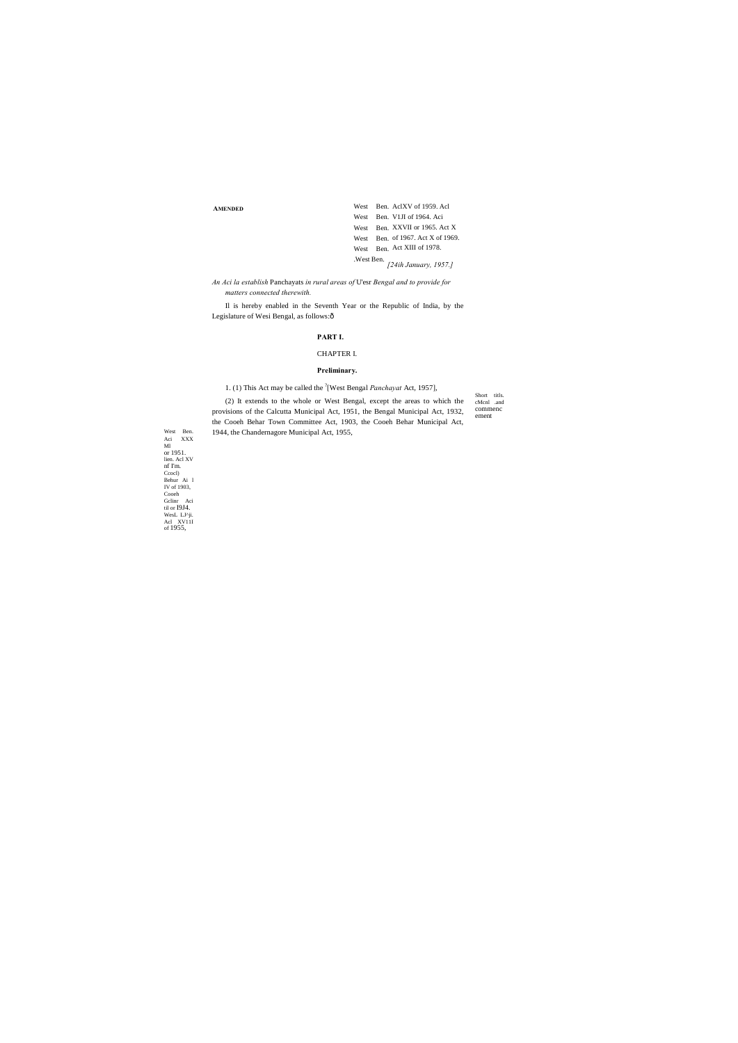**AMENDED**

West Ben. Aci XXX Ml or 1951. lien. Acl XV nf I'm. Ccocl) Behur Ai l IV of 1903, Cooeh Gclinr Aci til or I9J4. WesL LJ^ji. Acl XV11I of 1955,

West Ben. AclXV of 1959. Acl West Ben. V1JI of 1964. Aci West Ben. XXVII or 1965. Act X West Ben. of 1967. Act X of 1969. West Ben. Act XIII of 1978. .West Ben. *[24ih January, 1957.]*

> Short titls. cMcnl .and commenc ement

Il is hereby enabled in the Seventh Year or the Republic of India, by the Legislature of Wesi Bengal, as follows: $\hat{o}$ 

*An Aci la establish* Panchayats *in rural areas of* U'esr *Bengal and to provide for matters connected therewith.*

## **PART I.**

## CHAPTER I.

#### **Preliminary.**

1. (1) This Act may be called the ? [West Bengal *Panchayat* Act, 1957],

(2) It extends to the whole or West Bengal, except the areas to which the provisions of the Calcutta Municipal Act, 1951, the Bengal Municipal Act, 1932, the Cooeh Behar Town Committee Act, 1903, the Cooeh Behar Municipal Act, 1944, the Chandernagore Municipal Act, 1955,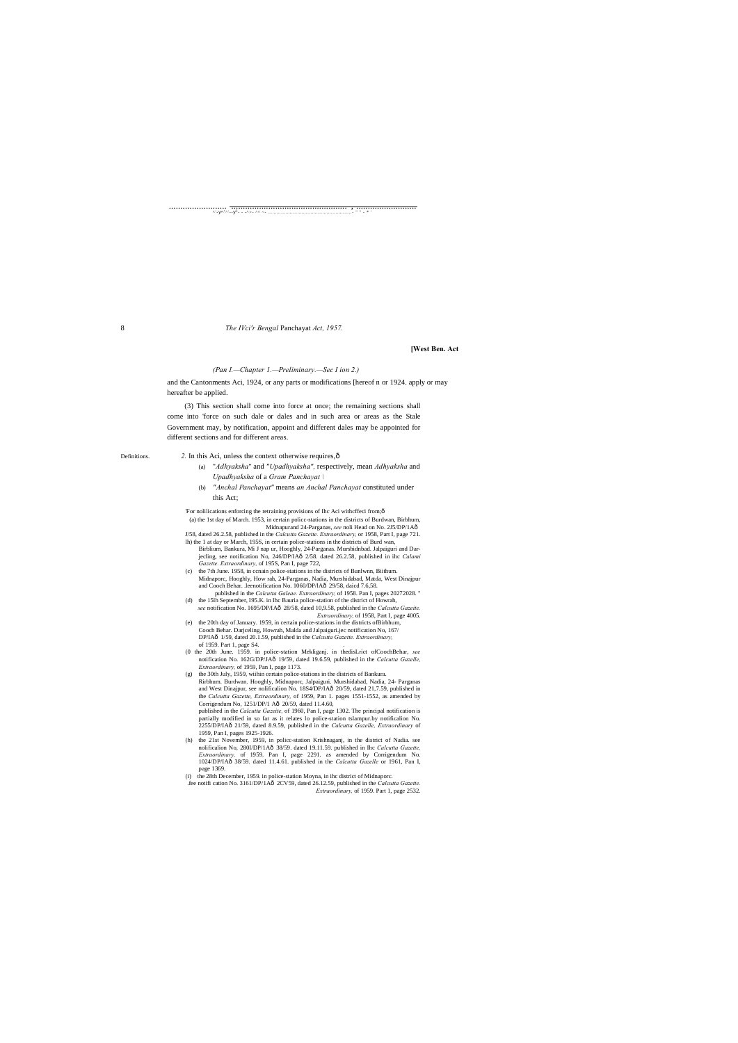......................... .................................................. , .......................... ^'- ^<sup>s</sup> ^; -- <sup>L</sup> - - -^>- ^^ ~- ......................................................... - " " - \* '

#### 8 *The IVci'r Bengal* Panchayat *Act, 1957.*

#### **[West Ben. Act**

*(Pan I.—Chapter 1.—Preliminary.—Sec I ion 2.)*

and the Cantonments Aci, 1924, or any parts or modifications [hereof n or 1924. apply or may hereafter be applied.

(3) This section shall come into force at once; the remaining sections shall come into 'force on such dale or dales and in such area or areas as the Stale Government may, by notification, appoint and different dales may be appointed for different sections and for different areas.

#### Definitions. 2. In this Aci, unless the context otherwise requires, $\hat{0}$

- Birblium, Bankura, Mi J nap ur, Hooghly, 24-Parganas. Mursbidnbad. Jalpaiguri and Darjecling, see notification No, 246/DP/IAô 2/58. dated 26.2.58, published in ihc *Calami Gazette. Extraordinary,* of 195S, Pan I, page 722,
- (c) the 7th June. 1958, in ccnain police-stations in the districts of Bunlwnn, Biithum. Midnaporc, Hooghly, How rah, 24-Parganas, Nadia, Murshidabad, Matda, West Dinajpur and Cooch Behar. .leenotification No. 1060/DP/lAô 29/58, daicd 7.6,58. published in the *Calcutta Galeae. Extraordinary,* of 1958. Pan I, pages 20272028. "
- (d) the 15lh September, I95.K. in Ihc Bauria police-station of the district of Howrah, *see* notification No. 1695/DP/IA—28/58, dated 10,9.58, published in the *Calcutta Gazeite. Extraordinary,* of 1958, Part I, page 4005.
- (e) the 20th day of January. 1959, in certain police-stations in the districts ofBirbhum, Cooch Behar. Darjceling, Howrah, Malda and Jalpaiguri.jec notification No, 167/ DP/IA—1/59, dated 20.1.59, published in the *Calcutta Gazette. Extraordinary,* of 1959. Part 1, page S4. .
- (0 the 20th June. 1959. in police-station Mekliganj. in thedisLrict ofCoochBehar, *see*  notification No. 162G/DP/JAô 19/59, dated 19.6.59, published in the *Calcutta Gazelle*, *Extraordinary,* of 1959, Pan I, page 1173.
- (g) the 30th July, 1959, wiihin certain police-stations in the districts of Bankura. Rirbhum. Burdwan. Hooghly, Midnaporc, Jalpaiguri. Murshidabad, Nadia, 24- Parganas and West Dinajpur, see nolificalion No. 18S4/DP/IAô 20/59, dated 21,7.59, published in the *Calcutta Gazette, Extraordinary,* of 1959, Pan 1. pages 1551-1552, as amended by Corrigendum No, 1251/DP/1 Aô 20/59, dated 11.4.60, published in the *Calcutta Gazeite,* of 1960, Pan I, page 1302. The principal notification is
	- partially modified in so far as it relates lo police-station tslampur.by notificalion No. 2255/DP/IA—21/59, dated 8.9.59, published in the *Calcutta Gazelle, Extraordinary* of 1959, Pan I, pages 1925-1926.
- (h) the 21st November, 1959, in policc-station Krishnaganj, in the district of Nadia. see nolificalion No, 280I/DP/1A—38/59. dated 19.11.59. published in Ihc *Calcutta Gazette, Extraordinary,* of 1959. Pan I, page 2291. as amended by Corrigendum No. 1024/DP/IA—38/59. dated 11.4.61. published in the *Calcutta Gazelle* or 1961, Pan I, page 1369.
- (i) the 28th December, 1959. in police-station Moyna, in ihc district of Midnaporc.
- .fee notifi cation No. 3161/DP/1Aô 2CV59, dated 26.12.59, published in the *Calcutta Gazette*.
- (a) "*Adhyaksha*" and *"Upadhyaksha",* respectively, mean *Adhyaksha* and *Upadhyaksha* of a *Gram Panchayat \*
- (b) *"Anchal Panchayat"* means *an Anchal Panchayat* constituted under this Act;

'For nolilications enforcing the retraining provisions of Ihc Aci withcffeci from;— (a) the 1st day of March. 1953, in certain policc-stations in the districts of Burdwan, Birbhum,

Midnapurand 24-Parganas, *see* noli Head on No. 2J5/DP/1A— J/58, dated 26.2.58, published in the *Calcutta Gazette. Extraordinary,* or 1958, Part I, page 721. lh) the 1 at day or March, 195S, in certain police-stations in the districts of Burd wan,

*Extraordinary,* of 1959. Part 1, page 2532.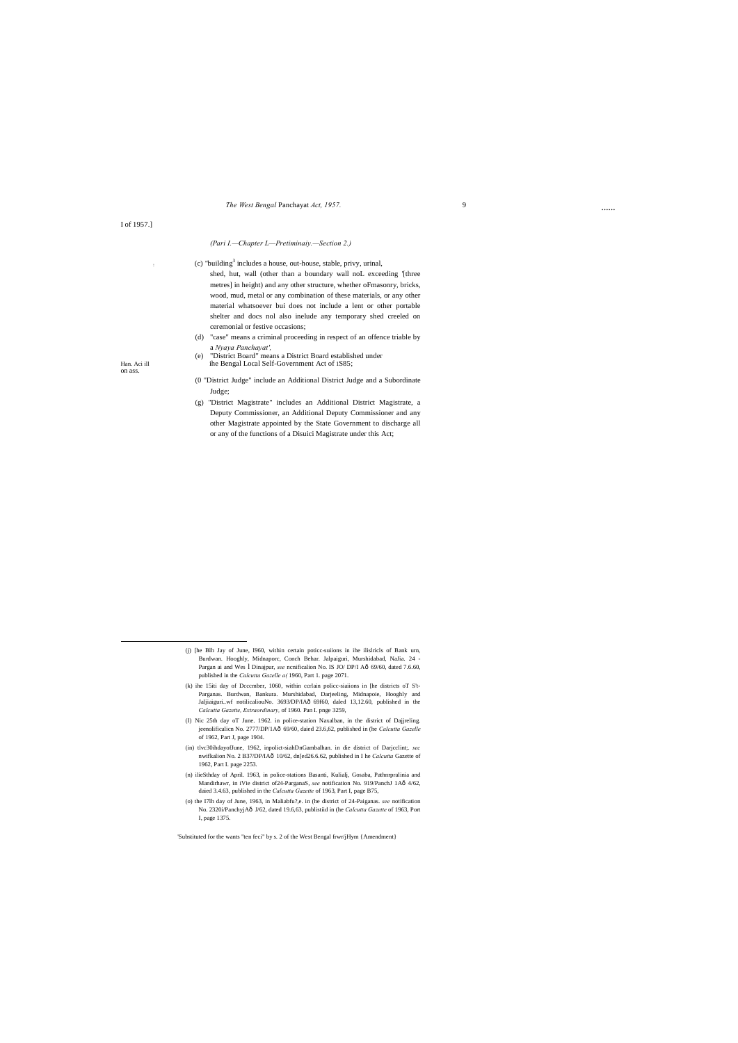## ...... *The West Bengal* Panchayat *Act, 1957.* 9

I of 1957.]

#### *(Pari I.—Chapter L—Pretiminaiy.—Section 2.)*

- : (c) "building<sup>3</sup> includes a house, out-house, stable, privy, urinal,
	- shed, hut, wall (other than a boundary wall noL exceeding '[three metres] in height) and any other structure, whether oFmasonry, bricks, wood, mud, metal or any combination of these materials, or any other material whatsoever bui does not include a lent or other portable shelter and docs nol also inelude any temporary shed creeled on ceremonial or festive occasions;
- (d) "case" means a criminal proceeding in respect of an offence triable by a *Nyaya Panchayat',*
- (e) "District Board" means a District Board established under Han. Aci ill ihe Bengal Local Self-Government Act of 1S85;
	- (0 "District Judge" include an Additional District Judge and a Subordinate Judge;
	- (g) "District Magistrate" includes an Additional District Magistrate, a Deputy Commissioner, an Additional Deputy Commissioner and any other Magistrate appointed by the State Government to discharge all or any of the functions of a Disuici Magistrate under this Act;

on ass.

- (j) [he Blh Jay of June, I960, within certain poticc-suiions in ihe ilislricls of Bank urn, Burdwan. Hooghly, Midnaporc, Conch Behar. Jalpaiguri, Murshidabad, NaJia. 24 - Pargan ai and Wes 1 Dinajpur, *see* ncnificalion No. IS JO/ DP/I Aô 69/60, dated 7.6.60, published in the *Calcutta Gazelle a(* 1960, Part 1. page 2071.
- (k) ihe 15iti day of Dcccmber, 1060, within ccrlain policc-siaiions in [he districts oT S't-Parganas. Burdwan, Bankura. Murshidabad, Darjeeling, Midnapoie, Hooghly and Jaljiaiguri..wf notilicaliouNo. 3693/DP/IAô 69f60, daled 13,12.60, published in the *Calcutta Gazette, Extraordinary,* of 1960. Pan I. pnge 3259,
- (I) Nic 25th day oT June. 1962. in police-station Naxalban, in the district of Dajjreling. jeenolificalicn No. 2777/DP/1Aô 69/60, daied 23.6,62, published in (he *Calcutta Gazelle* of 1962, Part J, page 1904.
- (in) tlvc30ihdayofJune, 1962, inpolict-siahDnGambalhan. in die district of Darjcclint;. *sec* nwifkalion No. 2 B37/DP/IA—10/62, dn[ed26.6.62, published in I he *Calcutta* Gazette of 1962, Part I. page 2253.
- (n) ilieSthday of April. 1963, in police-stations Basanti, Kulialj, Gosaba, Pathnrpralinia and Mandirhawr, in iVie district of24-ParganaS, *see* notification No. 919/PanchJ 1A—4/62,
- daied 3.4.63, published in the *Calcutta Gazette* of 1963, Part I, page B75,
- (o) the I7lh day of June, 1963, in Maliabfu?,e. in (he district of 24-Paiganas. *see* notification No. 2320i/PanchyjAô J/62, dated 19.6,63, publistiid in (he *Calcutta Gazette* of 1963, Port I, page 1375.

'Substituted for the wants "ten feci" by s. 2 of the West Bengal frwr/jHym {Amendment}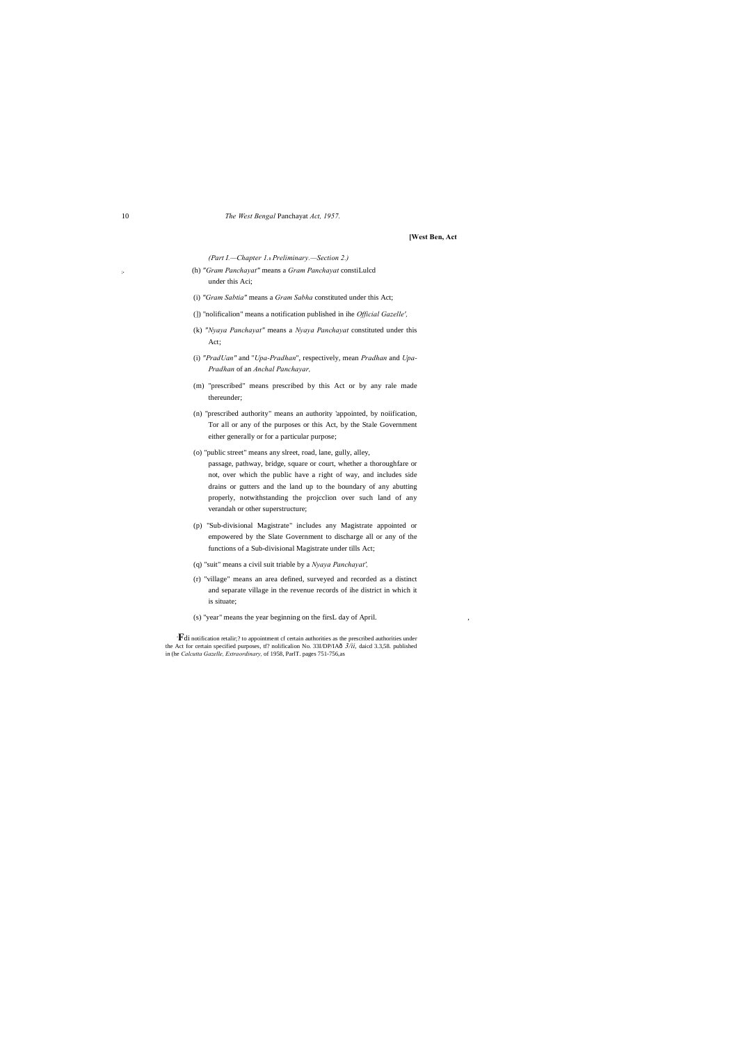## 10 *The West Bengal* Panchayat *Act, 1957.*

#### **[West Ben, Act**

*(Part I.—Chapter 1.*—*Preliminary.—Section 2.)*

- ;. (h) *"Gram Panchayat"* means a *Gram Panchayat* constiLulcd under this Aci;
- (i) *"Gram Sabtia"* means a *Gram Sabha* constituted under this Act;
- (]) "nolificalion" means a notification published in ihe *Official Gazelle',*
- (k) *"Nyaya Panchayat"* means a *Nyaya Panchayat* constituted under this Act;
- (i) *"PradUan"* and "*Upa-Pradhan*", respectively, mean *Pradhan* and *Upa-Pradhan* of an *Anchal Panchayar,*
- (m) "prescribed" means prescribed by this Act or by any rale made thereunder;
- (n) "prescribed authority" means an authority 'appointed, by noiification, Tor all or any of the purposes or this Act, by the Stale Government either generally or for a particular purpose;
- (o) "public street" means any slreet, road, lane, gully, alley, passage, pathway, bridge, square or court, whether a thoroughfare or not, over which the public have a right of way, and includes side drains or gutters and the land up to the boundary of any abutting properly, notwithstanding the projcclion over such land of any verandah or other superstructure;
- (p) "Sub-divisional Magistrate" includes any Magistrate appointed or empowered by the Slate Government to discharge all or any of the functions of a Sub-divisional Magistrate under tills Act;
- (q) "suit" means a civil suit triable by a *Nyaya Panchayat',*
- (r) "village" means an area defined, surveyed and recorded as a distinct and separate village in the revenue records of ihe district in which it is situate;
- (s) "year" means the year beginning on the firsL day of April. ,

'**F**di notification retalir;? to appointment cf certain authorities as the prescribed authorities under the Act for certain specified purposes, tf? nolificalion No. 33I/DP/IA—*3/ii,* daicd 3.3,58. published in (he *Calcutta Gazelle, Extraordinary,* of 1958, ParlT. pages 751-756,as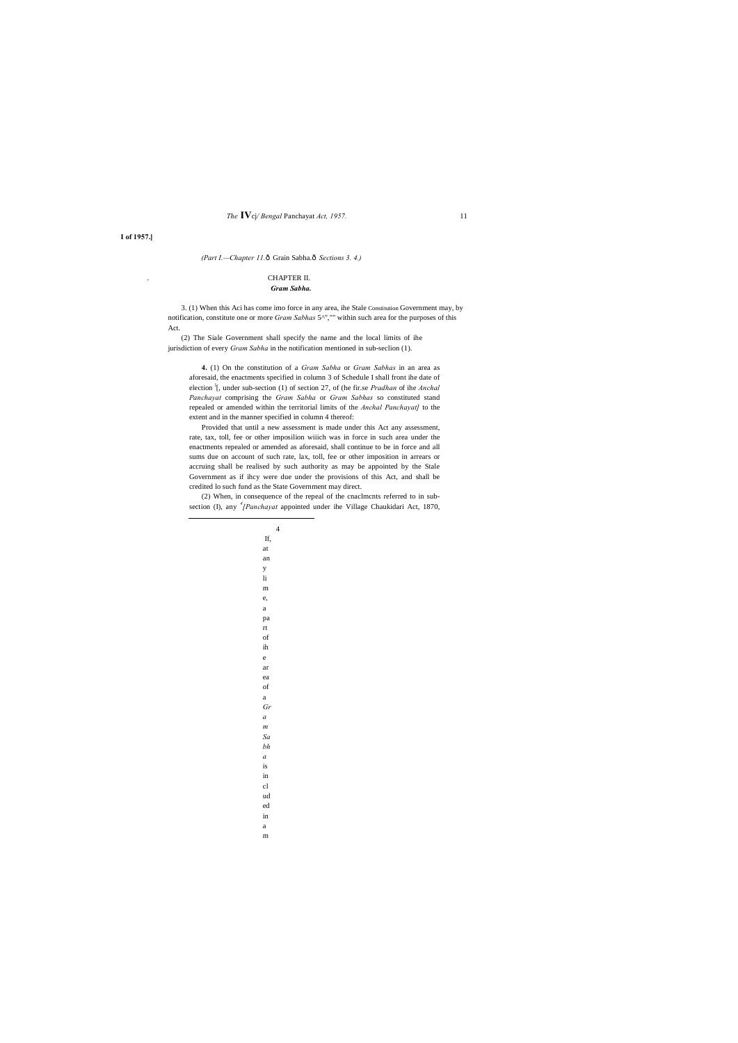## *The* **IV**cj*/ Bengal* Panchayat *Act, 1957.* 11

## **I of 1957.]**

*(Part I.—Chapter 11.*—Grain Sabha.—*Sections 3. 4.)*

### . CHAPTER II. *Gram Sabha.*

3. (1) When this Aci has come imo force in any area, ihe Stale Constitution Government may, by notification, constitute one or more *Gram Sabhas* 5^","" within such area for the purposes of this Act.

(2) The Siale Government shall specify the name and the local limits of ihe jurisdiction of every *Gram Sabha* in the notification mentioned in sub-seclion (1).

**4.** (1) On the constitution of a *Gram Sabha* or *Gram Sabhas* in an area as aforesaid, the enactments specified in column 3 of Schedule I shall front ihe date of election <sup>1</sup>[, under sub-section (1) of section 27, of (he fir.se *Pradhan* of ihe *Anchal Panchayat* comprising the *Gram Sabha* or *Gram Sabhas* so constituted stand repealed or amended within the territorial limits of the *Anchal Panchayat]* to the extent and in the manner specified in column 4 thereof:

Provided that until a new assessment is made under this Act any assessment, rate, tax, toll, fee or other imposilion wiiich was in force in such area under the enactments repealed or amended as aforesaid, shall continue to be in force and all sums due on account of such rate, lax, toll, fee or other imposition in arrears or accruing shall be realised by such authority as may be appointed by the Stale Government as if ihcy were due under the provisions of this Act, and shall be credited lo such fund as the State Government may direct.

(2) When, in consequence of the repeal of the cnaclmcnts referred to in subsection (I), any *<sup>4</sup> [Panchayat* appointed under ihe Village Chaukidari Act, 1870,

|                  | $\overline{4}$ |
|------------------|----------------|
| If,              |                |
| at               |                |
| an               |                |
| y                |                |
| li               |                |
| m                |                |
| e,               |                |
| a                |                |
| pa               |                |
| rt               |                |
| of               |                |
| ih               |                |
| e                |                |
| ar               |                |
| ea               |                |
| of               |                |
| a                |                |
| Gr               |                |
| $\boldsymbol{a}$ |                |
| $\boldsymbol{m}$ |                |
| Sa               |                |
| bh               |                |
| $\boldsymbol{a}$ |                |
| is               |                |

in

cl ud ed in a

m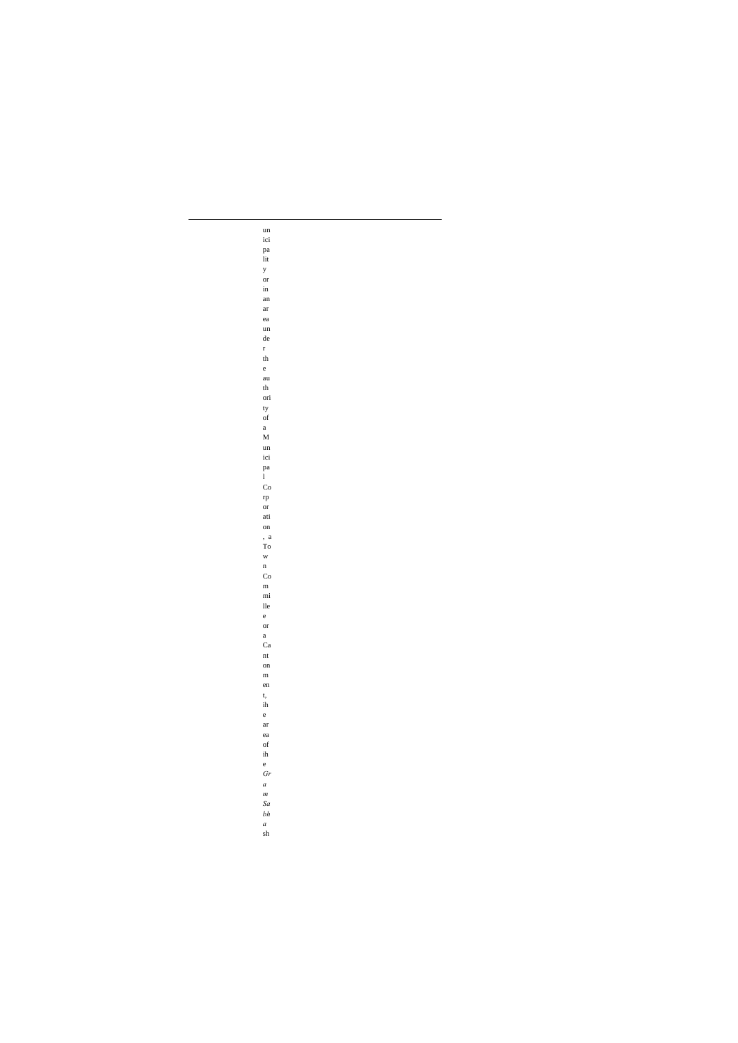un ici pa lit y or in an ar ea un de r th e au th ori ty of a M un ici pa l Co rp or ati on , a To w n Co m mi lle e or a Ca nt on m en t, ih e ar ea of ih e *Gr*

<u>.</u>

*a*

*m Sa bh a* sh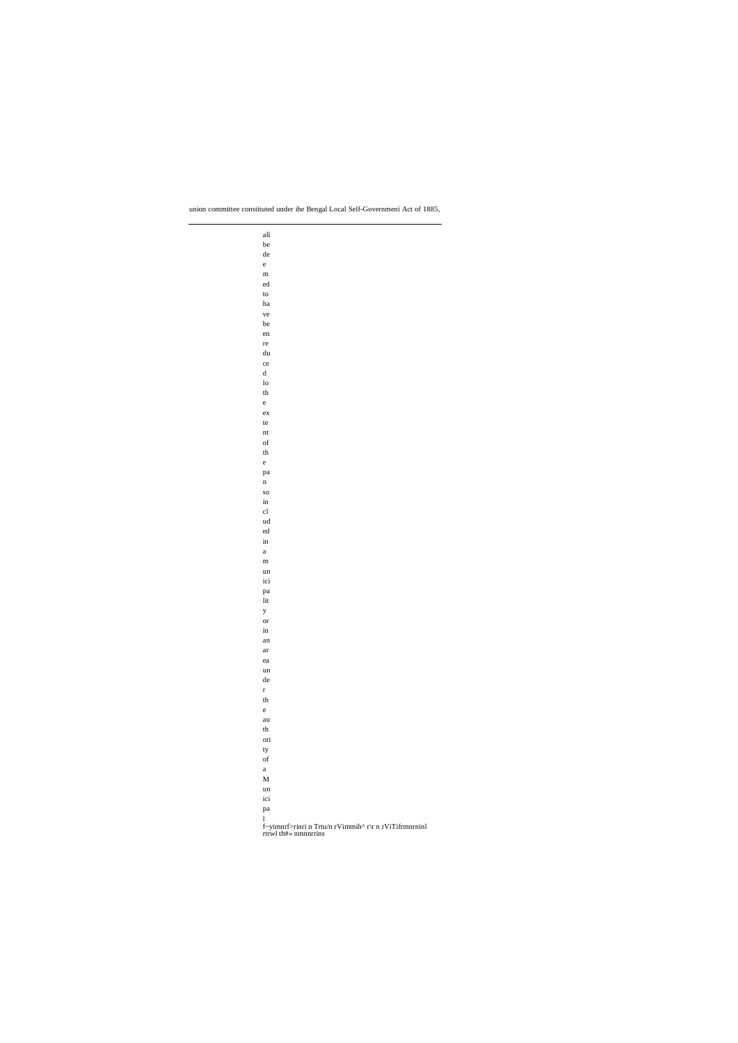union committee constituted under ihe Bengal Local Self-Governmeni Act of 1885,

<u>.</u>

all be de e m ed to ha ve be en re du ce d lo th e ex te nt of th e pa n so in cl ud ed in a m un ici pa lit y or in an ar ea un de r th e au th ori ty of a

M

un ici pa l f~yimnrf>rinri n Trtu/n rVimmih^ r\r n rViTifrmnrninl rtrwl th#» nmnnrrins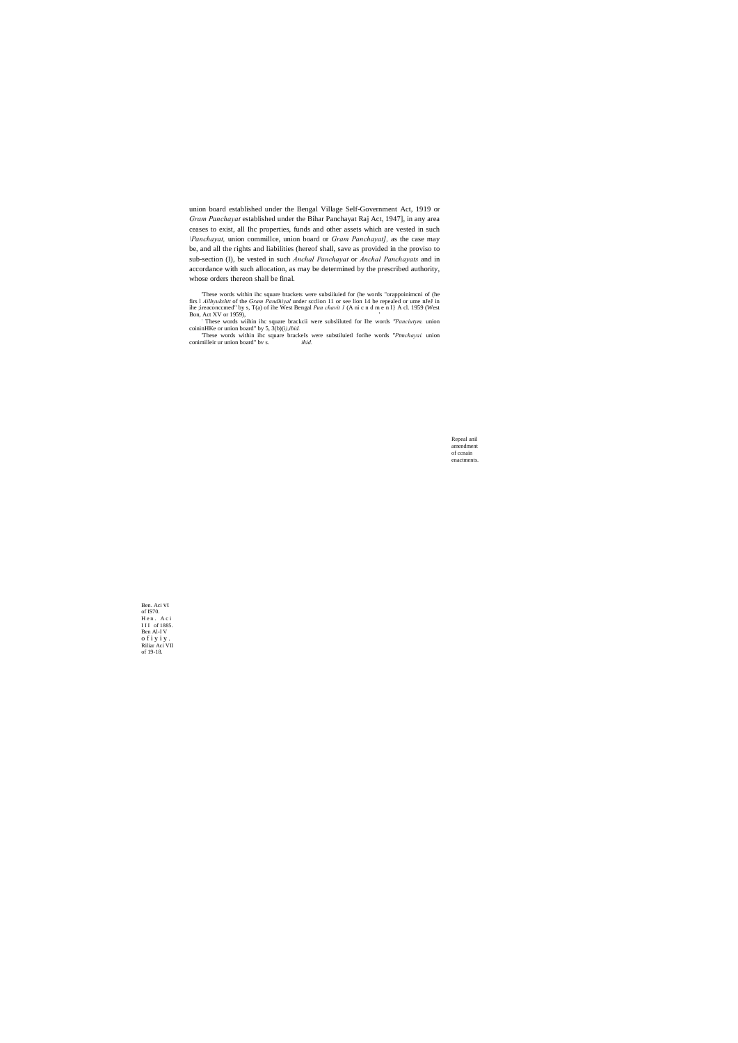Repeal anil amendment of ccnain enactments.

Ben. Aci vt of IS70.<br>Hen. Aci<br>III of 1885.<br>Ben Al-IV o f i y i y . Riliar Aci VII of 19-18.

union board established under the Bengal Village Self-Government Act, 1919 or *Gram Panchayat* established under the Bihar Panchayat Raj Act, 1947], in any area ceases to exist, all Ihc properties, funds and other assets which are vested in such *\Panchayat,* union commillce, union board or *Gram Panchayat],* as the case may be, and all the rights and liabilities (hereof shall, save as provided in the proviso to sub-section (I), be vested in such *Anchal Panchayat* or *Anchal Panchayats* and in accordance with such allocation, as may be determined by the prescribed authority, whose orders thereon shall be final.

'These words within ihc square brackets were subsiiiuied for (he words "orappoinimcni of (he firs l *Ailhyukshtt* of the *Gram Pandhiyal* under scclion 11 or see lion 14 be repealed or ume nJeJ in ihe ;ireaconccmed" by s, T(a) of ihe West Bengal *Pun chavit 1* (A ni c n d m e n I} A cl. 1959 (West

Bon, Act XV or 1959),<br>
These words within ihc square brackcii were subslituted for The words "Panciutym. union<br>
coininflKe or union board" by 5, 3(b)(i),*ibid.*<br>
These words within ihc square brackels were substituted for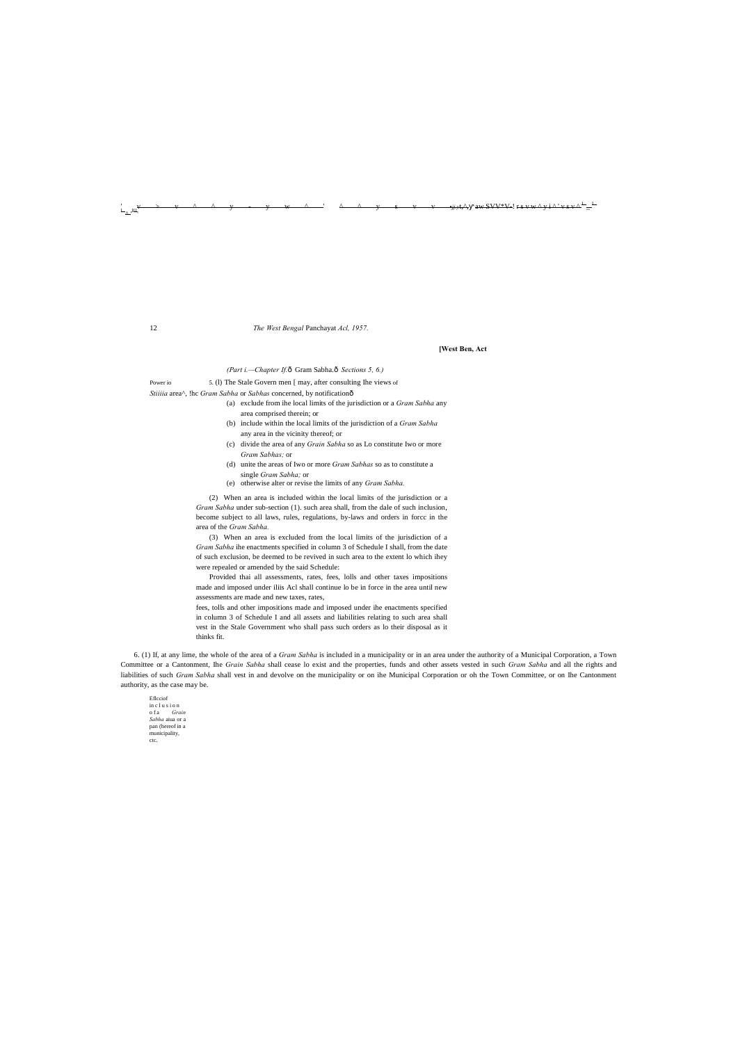Eflcciof in c l u s i o n o f a *Grain Sabha* aiua or a pan (hereof in a municipality, ctc.

 $F^{\nabla}$ IIJ'

'

12 *The West Bengal* Panchayat *Acl, 1957.*

**[West Ben, Act**

*(Part i.—Chapter If.*—Gram Sabha.—*Sections 5, 6.)*

Power io 5. (l) The Stale Govern men [ may, after consulting Ihe views of

*Stiiiia* area^, !hc *Gram Sabha* or *Sabhas* concerned, by notification—

(a) exclude from ihe local limits of the jurisdiction or a *Gram Sabha* any area comprised therein; or

<u>', '' w ^ ' y w ^ ' ^ ^ y s v v  $\gamma$ j</u>t, aw SVV\*V-! rsvw^yi^' vsv^<sup>t\_'\_t</sup>

- (b) include within the local limits of the jurisdiction of a *Gram Sabha* any area in the vicinity thereof; or
- (c) divide the area of any *Grain Sabha* so as Lo constitute Iwo or more *Gram Sabhas;* or
- (d) unite the areas of Iwo or more *Gram Sabhas* so as to constitute a
	- single *Gram Sabha;* or
- (e) otherwise alter or revise the limits of any *Gram Sabha.*

(2) When an area is included within the local limits of the jurisdiction or a *Gram Sabha* under sub-section (1). such area shall, from the dale of such inclusion, become subject to all laws, rules, regulations, by-laws and orders in forcc in the area of the *Gram Sabha.*

(3) When an area is excluded from the local limits of the jurisdiction of a *Gram Sabha* ihe enactments specified in column 3 of Schedule I shall, from the date of such exclusion, be deemed to be revived in such area to the extent lo which ihey were repealed or amended by the said Schedule:

Provided thai all assessments, rates, fees, lolls and other taxes impositions made and imposed under iliis Acl shall continue lo be in force in the area until new assessments are made and new taxes, rates,

fees, tolls and other impositions made and imposed under ihe enactments specified in column 3 of Schedule I and all assets and liabilities relating to such area shall vest in the Stale Government who shall pass such orders as lo their disposal as it thinks fit.

6. (1) If, at any lime, the whole of the area of a *Gram Sabha* is included in a municipality or in an area under the authority of a Municipal Corporation, a Town Committee or a Cantonment, Ihe *Grain Sabha* shall cease lo exist and the properties, funds and other assets vested in such *Gram Sabha* and all the rights and liabilities of such *Gram Sabha* shall vest in and devolve on the municipality or on ihe Municipal Corporation or oh the Town Committee, or on Ihe Cantonment authority, as the case may be.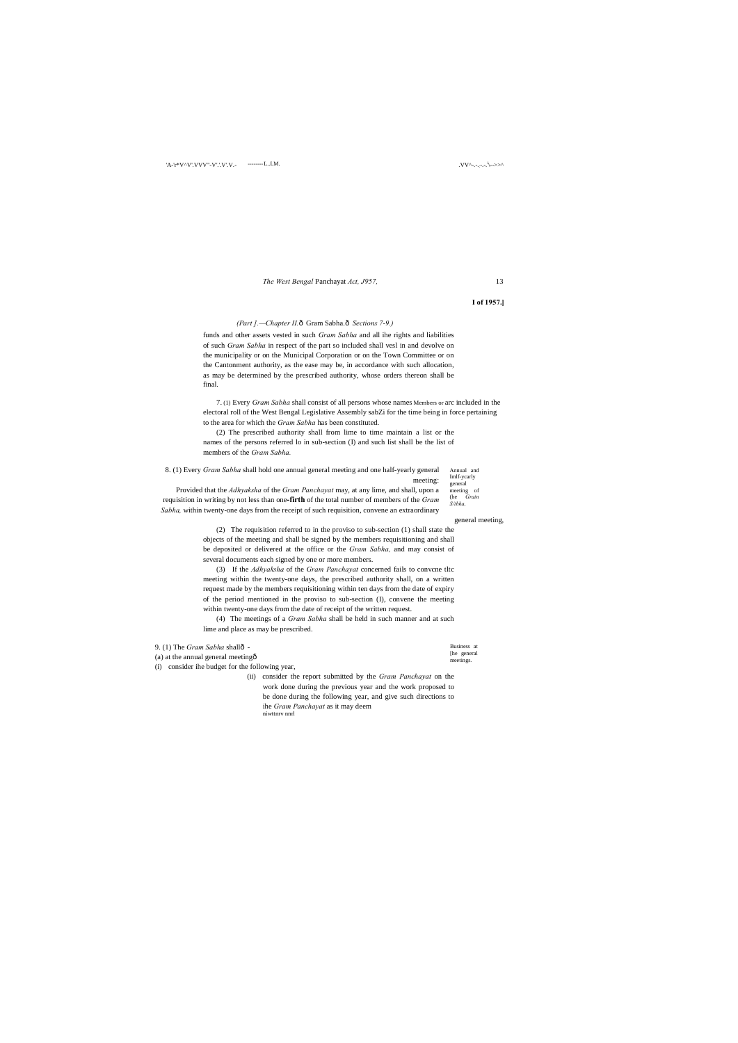Imlf-ycarly general meeting of

--------L..LM. 'A-'r\*V^V'.VVV"-V'.'.V'.V.- .VV^-.-.:-.-.

#### <sup>i</sup>\-->>^

*The West Bengal* Panchayat *Act, J957*, 13

**I of 1957.]**

*(Part ].*—*Chapter II.*ô Gram Sabha.ô Sections 7-9.)

funds and other assets vested in such *Gram Sabha* and all ihe rights and liabilities of such *Gram Sabha* in respect of the part so included shall vesl in and devolve on the municipality or on the Municipal Corporation or on the Town Committee or on the Cantonment authority, as the ease may be, in accordance with such allocation, as may be determined by the prescribed authority, whose orders thereon shall be final.

Annual and 8. (1) Every *Gram Sabha* shall hold one annual general meeting and one half-yearly general meeting:

(he *Grain S/ibha,* Provided that the *Adhyaksha* of the *Gram Panchayat* may, at any lime, and shall, upon a requisition in writing by not less than one**-firth** of the total number of members of the *Gram Sabha,* within twenty-one days from the receipt of such requisition, convene an extraordinary

7. (1) Every *Gram Sabha* shall consist of all persons whose names Members or arc included in the electoral roll of the West Bengal Legislative Assembly sabZi for the time being in force pertaining to the area for which the *Gram Sabha* has been constituted.

(2) The prescribed authority shall from lime to time maintain a list or the names of the persons referred lo in sub-section (I) and such list shall be the list of members of the *Gram Sabha.*

| 9. (1) The <i>Gram Sabha</i> shallô -           |                                                                   | Business at               |
|-------------------------------------------------|-------------------------------------------------------------------|---------------------------|
| (a) at the annual general meeting of            |                                                                   | [he general]<br>meetings. |
| (i) consider the budget for the following year, |                                                                   |                           |
| (ii)                                            | consider the report submitted by the <i>Gram Panchayat</i> on the |                           |
|                                                 | work done during the previous year and the work proposed to       |                           |
|                                                 |                                                                   |                           |

general meeting,

(2) The requisition referred to in the proviso to sub-section (1) shall state the objects of the meeting and shall be signed by the members requisitioning and shall be deposited or delivered at the office or the *Gram Sabha,* and may consist of several documents each signed by one or more members.

(3) If the *Adhyaksha* of the *Gram Panchayat* concerned fails to convcne tltc meeting within the twenty-one days, the prescribed authority shall, on a written request made by the members requisitioning within ten days from the date of expiry of the period mentioned in the proviso to sub-section (I), convene the meeting within twenty-one days from the date of receipt of the written request.

(4) The meetings of a *Gram Sabha* shall be held in such manner and at such lime and place as may be prescribed.

be done during the following year, and give such directions to

ihe *Gram Panchayat* as it may deem niwttnrv nnrl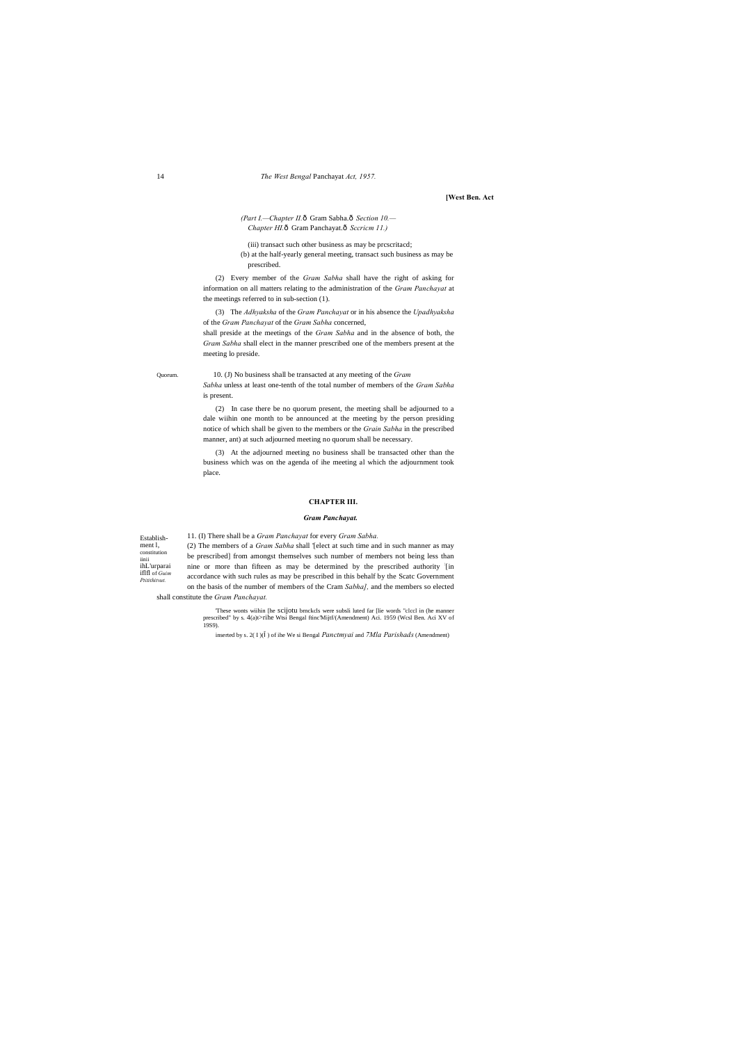Establishment l, constitution iinii ihL'urparai iflfl of *Guim Ptitithitvut.*

#### 14 *The West Bengal* Panchayat *Act, 1957.*

**[West Ben. Act**

*(Part I.—Chapter II.*ô Gram Sabha.ô Section 10.— *Chapter HI.* $\hat{o}$  *Gram Panchayat.* $\hat{o}$  *<i>Sccricm 11.*)

(iii) transact such other business as may be prcscritacd; (b) at the half-yearly general meeting, transact such business as may be prescribed.

(2) Every member of the *Gram Sabha* shall have the right of asking for information on all matters relating to the administration of the *Gram Panchayat* at the meetings referred to in sub-section (1).

(3) The *Adhyaksha* of the *Gram Panchayat* or in his absence the *Upadhyaksha* of the *Gram Panchayat* of the *Gram Sabha* concerned,

shall preside at the meetings of the *Gram Sabha* and in the absence of both, the *Gram Sabha* shall elect in the manner prescribed one of the members present at the meeting lo preside.

Quorum. 10. (J) No business shall be transacted at any meeting of the *Gram Sabha* unless at least one-tenth of the total number of members of the *Gram Sabha* is present.

> 'These wonts wiihin [he scijotu brnckcls were subsli luted far [lie words "clccl in (he manner prescribed" by s. 4(a)t>rihe Wtsi Bengal ftinc'Mijtf/(Amendment) Aci. 1959 (Wcsl Ben. Aci XV of .<br>19S9).

> (2) In case there be no quorum present, the meeting shall be adjourned to a dale wiihin one month to be announced at the meeting by the person presiding notice of which shall be given to the members or the *Grain Sabha* in the prescribed manner, ant) at such adjourned meeting no quorum shall be necessary.

> (3) At the adjourned meeting no business shall be transacted other than the business which was on the agenda of ihe meeting al which the adjournment took place.

#### **CHAPTER III.**

#### *Gram Panchayat.*

11. (I) There shall be a *Gram Panchayat* for every *Gram Sabha.*

(2) The members of a *Gram Sabha* shall '[elect at such time and in such manner as may be prescribed] from amongst themselves such number of members not being less than nine or more than fifteen as may be determined by the prescribed authority : [in accordance with such rules as may be prescribed in this behalf by the Scatc Government on the basis of the number of members of the Cram *Sabha],* and the members so elected shall constitute the *Gram Panchayat.*

inserted by s. 2( I )( ) of ihe We si Bengal *Panctmyai* and *7Mla Parishads* (Amendment)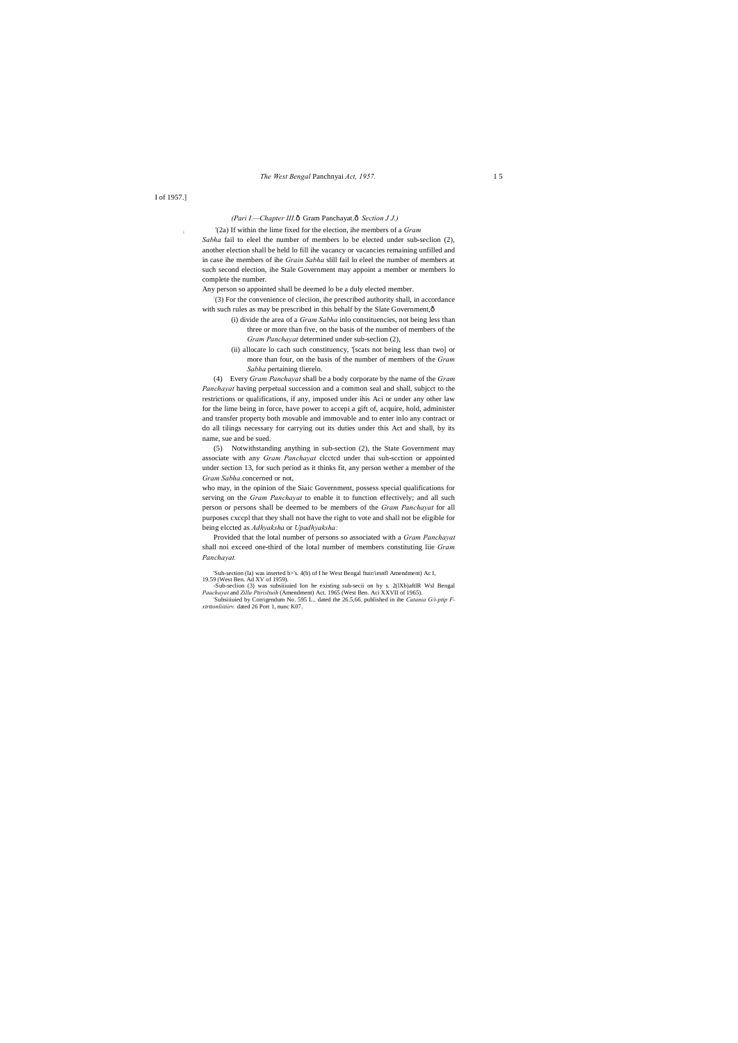#### *The West Bengal* Panchnyai *Act, 1957*. 15

I of 1957.]

#### *(Pari I.—Chapter III.* $\hat{o}$  Gram Panchayat. $\hat{o}$  Section J J.)

; '(2a) If within the lime fixed for the election, ihe members of a *Gram*

*Sabha* fail to eleel the number of members lo be elected under sub-seclion (2), another election shall be held lo fill ihe vacancy or vacancies remaining unfilled and in case ihe members of ihe *Grain Sabha* slill fail lo eleel the number of members at such second election, ihe Stale Government may appoint a member or members lo complete the number.

: (3) For the convenience of cleciion, ihe prescribed authority shall, in accordance with such rules as may be prescribed in this behalf by the Slate Government,  $\hat{o}$ 

Any person so appointed shall be deemed lo be a duly elected member.

- (i) divide the area of a *Gram Sabha* inlo constituencies, not being less than three or more than five, on the basis of the number of members of the *Gram Panchayat* determined under sub-seclion (2),
- (ii) allocate lo cach such constituency, '[scats not being less than two] or more than four, on the basis of the number of members of the *Gram Sabha* pertaining tlierelo.

(4) Every *Gram Panchayat* shall be a body corporate by the name of the *Gram Panchayat* having perpetual succession and a common seal and shall, subjcct to the restrictions or qualifications, if any, imposed under ihis Aci or under any other law for the lime being in force, have power to accepi a gift of, acquire, hold, administer and transfer property both movable and immovable and to enter inlo any contract or do all tilings necessary for carrying out its duties under this Act and shall, by its name, sue and be sued.

(5) Notwithstanding anything in sub-section (2), the State Government may associate with any *Gram Panchayat* clcctcd under thai suh-scction or appointed under section 13, for such period as it thinks fit, any person wether a member of the *Gram Sabha.*concerned or not,

who may, in the opinion of the Siaic Government, possess special qualifications for serving on the *Gram Panchayat* to enable it to function effectively; and all such person or persons shall be deemed to be members of the *Gram Panchayat* for all purposes cxccpl that they shall not have the right to vote and shall not be eligible for being elccted as *Adhyaksha* or *Upadhyaksha:*

Provided that the lotal number of persons so associated with a *Gram Panchayat* shall noi exceed one-third of the lotal number of members constituting liie *Gram Panchayat.*

'Suh-section (la) was inserted b>'s. 4(b) of I he West Bengal ftuir/imnfl Amendment) Ac I, 19.59 (West Ben. Ad XV of 1959).

-Sub-seclion (3) was subsiiiuied Ion he existing sub-secii on by s. 2(lXb)aftlR WsI Bengal

Paachayat and Zillu Ptirisltuih (Amendment) Act. 1965 (West Ben. Aci XXVII of 1965).<br>
'Subsiiiuied by Corrigendum No. 595 L.. dated the 26.5,66. published in ihe Catania G/i-ptip F-<br>
xtrttonliitiirv. dated 26 Port 1, nunc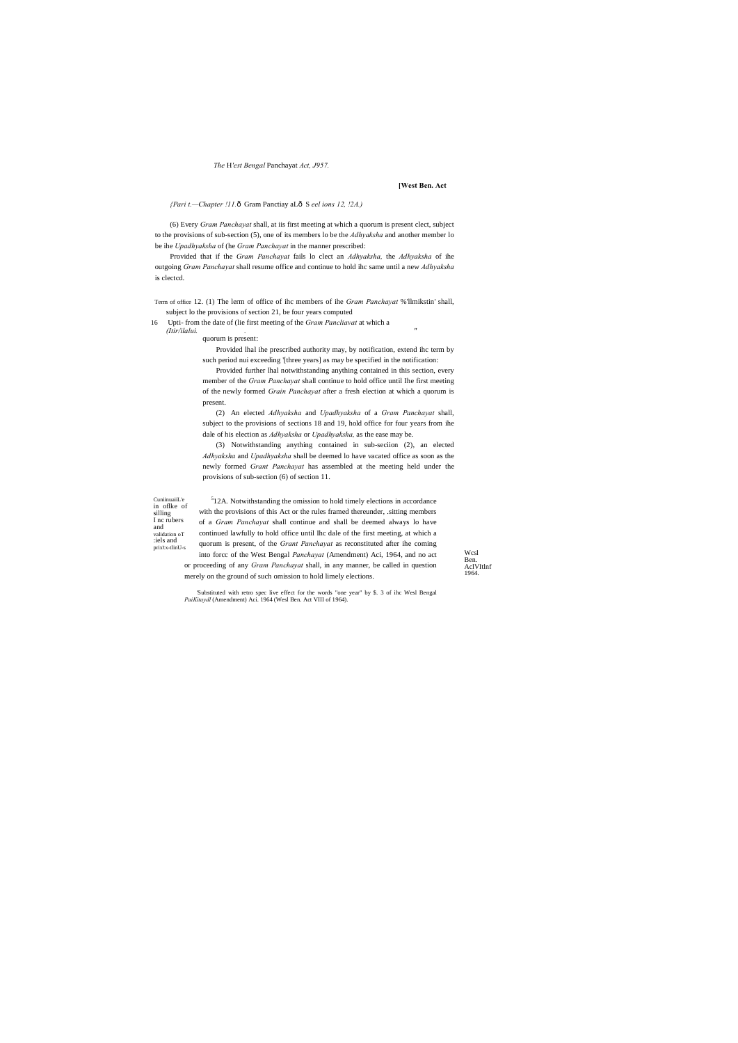CuniinuaiiL'e in oflke of silling I nc rubers and validation oT :iels and<br>prix'tx-tlinU-s

Ben. AclVItlnf 1964.

#### *The* H*'est Bengal* Panchayat *Act, J957.*

### **[West Ben. Act**

*{Pari t.—Chapter !11.*—Gram Panctiay aL—S *eel ions 12, !2A.)*

(6) Every *Gram Panchayat* shall, at iis first meeting at which a quorum is present clect, subject to the provisions of sub-section (5), one of its members lo be the *Adhyaksha* and another member lo be ihe *Upadhyaksha* of (he *Gram Panchayat* in the manner prescribed:

16 Upti- from the date of (lie first meeting of the *Gram Pancliavat* at which a *(Itir/ilalui. . "*

> Provided lhal ihe prescribed authority may, by notification, extend ihc term by such period nui exceeding '[three years] as may be specified in the notification:

Provided that if the *Gram Panchayat* fails lo clect an *Adhyaksha,* the *Adhyaksha* of ihe outgoing *Gram Panchayat* shall resume office and continue to hold ihc same until a new *Adhyaksha* is clectcd.

Term of office 12. (1) The lerm of office of ihc members of ihe *Gram Panchayat* %'llmikstin' shall, subject lo the provisions of section 21, be four years computed

quorum is present:

prix'tx-tlinU-s quotum is present, or the ordin *r* anchayat as reconstructed after the coming<br>into forcc of the West Bengal *Panchayat* (Amendment) Aci, 1964, and no act <sup>5</sup>12A. Notwithstanding the omission to hold timely elections in accordance with the provisions of this Act or the rules framed thereunder, .sitting members of a *Gram Panchayat* shall continue and shall be deemed always lo have continued lawfully to hold office until Ihc dale of the first meeting, at which a quorum is present, of the *Grant Panchayat* as reconstituted after ihe coming or proceeding of any *Gram Panchayat* shall, in any manner, be called in question merely on the ground of such omission to hold limely elections.

Provided further lhal notwithstanding anything contained in this section, every member of the *Gram Panchayat* shall continue to hold office until Ihe first meeting of the newly formed *Grain Panchayat* after a fresh election at which a quorum is present.

(2) An elected *Adhyaksha* and *Upadhyaksha* of a *Gram Panchayat* shall, subject to the provisions of sections 18 and 19, hold office for four years from ihe dale of his election as *Adhyaksha* or *Upadhyaksha,* as the ease may be.

(3) Notwithstanding anything contained in sub-seciion (2), an elected *Adhyaksha* and *Upadhyaksha* shall be deemed lo have vacated office as soon as the newly formed *Grant Panchayat* has assembled at the meeting held under the provisions of sub-section (6) of section 11.

'Substituted with retro spec live effect for the words "one year" by \$. 3 of ihc Wesl Bengal *PaiKitaydl* (Amendment) Aci. 1964 (Wesl Ben. Act VIII of 1964).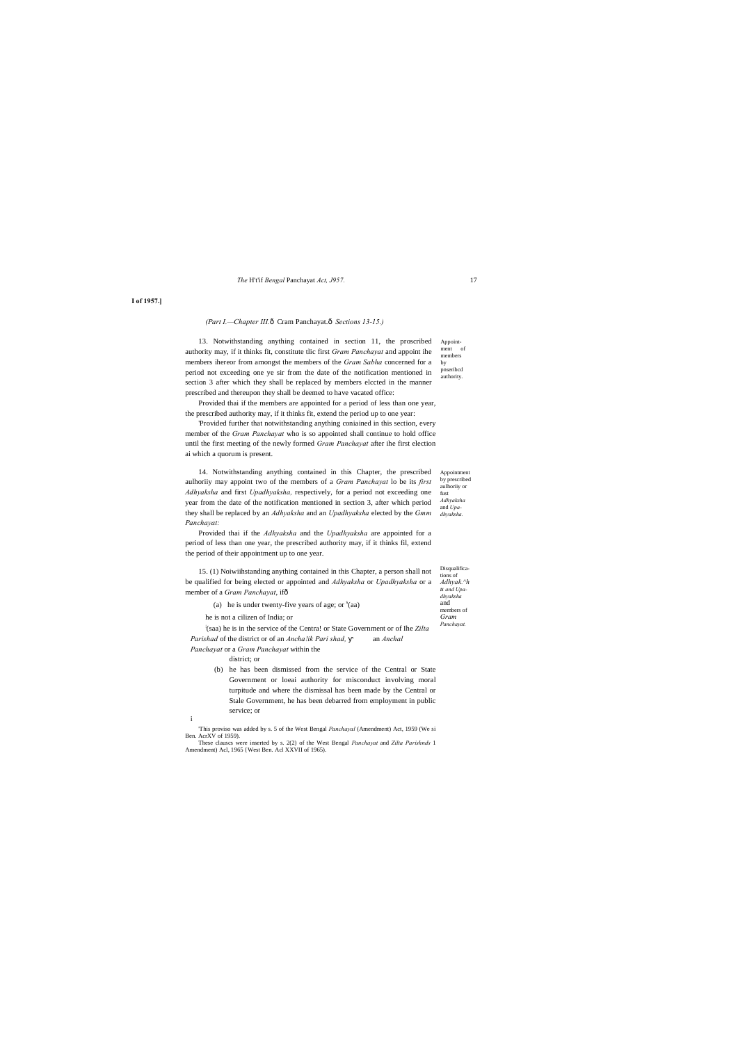*Adhyak.^h u and Upadhyaksha*  and members of *Gram Panchayat.*

*The* H't'if *Bengal* Panchayat *Act, J957.* 17

#### **I of 1957.]**

*(Part I.—Chapter III.*—Cram Panchayat.—*Sections 13-15.)*

Appointment of members by pnseribcd authority 13. Notwithstanding anything contained in section 11, the proscribed authority may, if it thinks fit, constitute tlic first *Gram Panchayat* and appoint ihe members ihereor from amongst the members of the *Gram Sabha* concerned for a period not exceeding one ye sir from the date of the notification mentioned in section 3 after which they shall be replaced by members elccted in the manner prescribed and thereupon they shall be deemed to have vacated office:

Appointment by prescribed aulhoriiy or fust *Adhyaksha*  and *Upadhyaksha.* 14. Notwithstanding anything contained in this Chapter, the prescribed aulhoriiy may appoint two of the members of a *Gram Panchayat* lo be its *first Adhyaksha* and first *Upadhyaksha,* respectively, for a period not exceeding one year from the date of the notification mentioned in section 3, after which period they shall be replaced by an *Adhyaksha* and an *Upadhyaksha* elected by the *Gmm Panchayat:*

Provided thai if the members are appointed for a period of less than one year, the prescribed authority may, if it thinks fit, extend the period up to one year:

| (a) he is under twenty-five years of age; or $s$ (aa) |  |
|-------------------------------------------------------|--|
|                                                       |  |

Disqualifications of 15. (1) Noiwiihstanding anything contained in this Chapter, a person shall not be qualified for being elected or appointed and *Adhyaksha* or *Upadhyaksha* or a member of a *Gram Panchayat*, if—

'Provided further that notwithstanding anything coniained in this section, every member of the *Gram Panchayat* who is so appointed shall continue to hold office until the first meeting of the newly formed *Gram Panchayat* after ihe first election ai which a quorum is present.

Provided thai if the *Adhyaksha* and the *Upadhyaksha* are appointed for a period of less than one year, the prescribed authority may, if it thinks fil, extend the period of their appointment up to one year.

he is not a cilizen of India; or

; (saa) he is in the service of the Centra! or State Government or of Ihe *Zilta Parishad* of the district or of an *Ancha!ik Pari shad,* an *Anchal Panchayat* or a *Gram Panchayat* within the

district; or

(b) he has been dismissed from the service of the Central or State Government or loeai authority for misconduct involving moral turpitude and where the dismissal has been made by the Central or Stale Government, he has been debarred from employment in public service; or

i

'This proviso was added by s. 5 of the West Bengal *Panchayal* (Amendment) Act, 1959 (We si Ben. AcrXV of 1959).

These clauscs were inserted by s. 2(2) of the West Bengal *Panchayat* and *Zilta Parishnds* 1 Amendment) Acl, 1965 {West Ben. Acl XXVII of 1965).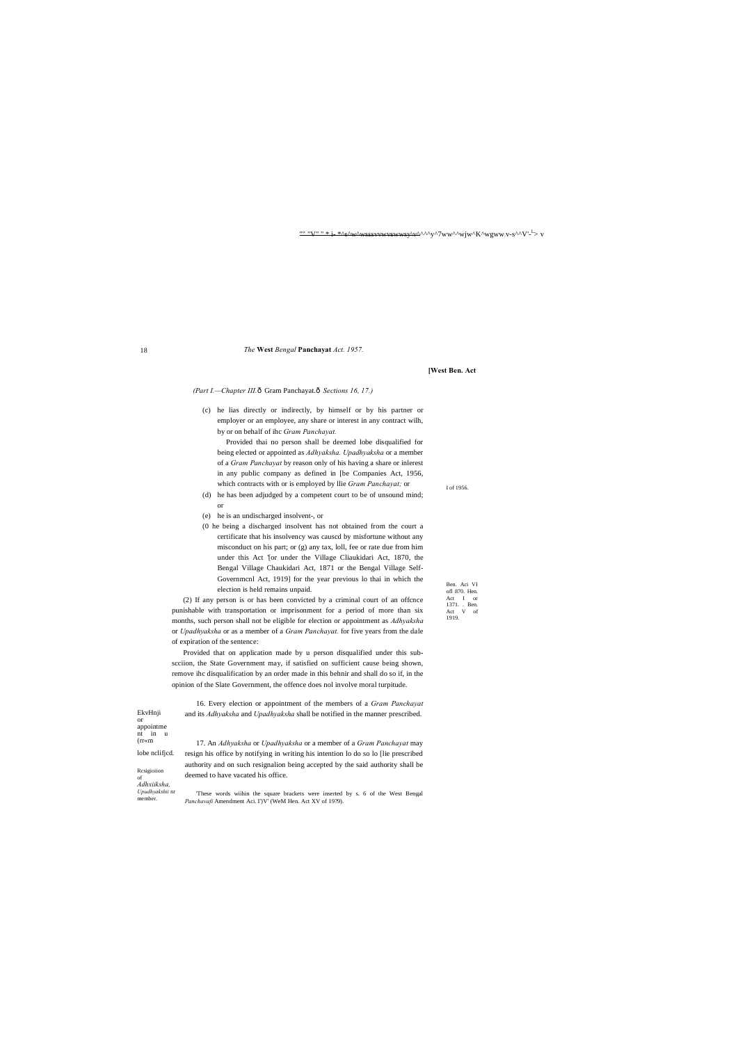#### <del>"" "V" " \* i\_\*^s^w^wsssvvwvswwsy\v^</del>^^^y^7ww^^wjw^K^wgww<sub>:</sub>v-s^^V'-<sup>L</sup>> v

18

I of 1956.

Ben. Aci VI ofl 870. Hen. Act I or 1371. . Ben. Act V of 1919.

EkvHnji or appointme nt in u (rr«m

lobe nclifjcd.

Rcsigioiion of *Adhxiiksha,* 

#### *The* **West** *Bengal* **Panchayat** *Act. 1957.*

**[West Ben. Act**

*(Part I.—Chapter III.*—Gram Panchayat.—*Sections 16, 17.)*

(c) he lias directly or indirectly, by himself or by his partner or employer or an employee, any share or interest in any contract wilh, by or on behalf of ihc *Gram Panchayat.*

Provided thai no person shall be deemed lobe disqualified for being elected or appointed as *Adhyaksha. Upadhyaksha* or a member of a *Gram Panchayat* by reason only of his having a share or inlerest in any public company as defined in [be Companies Act, 1956, which contracts with or is employed by llie *Gram Panchayat;* or

- (d) he has been adjudged by a competent court to be of unsound mind; or
- (e) he is an undischarged insolvent-, or
- (0 he being a discharged insolvent has not obtained from the court a certificate that his insolvency was causcd by misfortune without any misconduct on his part; or (g) any tax, loll, fee or rate due from him under this Act '[or under the Village Cliaukidari Act, 1870, the Bengal Village Chaukidari Act, 1871 or the Bengal Village Self-Governmcnl Act, 1919] for the year previous lo thai in which the election is held remains unpaid.

*Upudhyakshii* nr member. 'These words wiihin the square brackets were inserted by s. 6 of the West Bengal *Panchavafi* Amendment Aci. I')V' (WeM Hen. Act XV of 19?9).

(2) If any person is or has been convicted by a criminal court of an offcnce punishable with transportation or imprisonment for a period of more than six months, such person shall not be eligible for election or appointment as *Adhyaksha* or *Upadhyaksha* or as a member of a *Gram Panchayat.* for five years from the dale of expiration of the sentence:

Provided that on application made by u person disqualified under this subscciion, the State Government may, if satisfied on sufficient cause being shown, remove ihc disqualification by an order made in this behnir and shall do so if, in the opinion of the Slate Government, the offence does nol involve moral turpitude.

16. Every election or appointment of the members of a *Gram Panchayat* and its *Adhyaksha* and *Upadhyaksha* shall be notified in the manner prescribed.

17. An *Adhyaksha* or *Upadhyaksha* or a member of a *Gram Panchayat* may resign his office by notifying in writing his intention lo do so lo [lie prescribed authority and on such resignalion being accepted by the said authority shall be deemed to have vacated his office.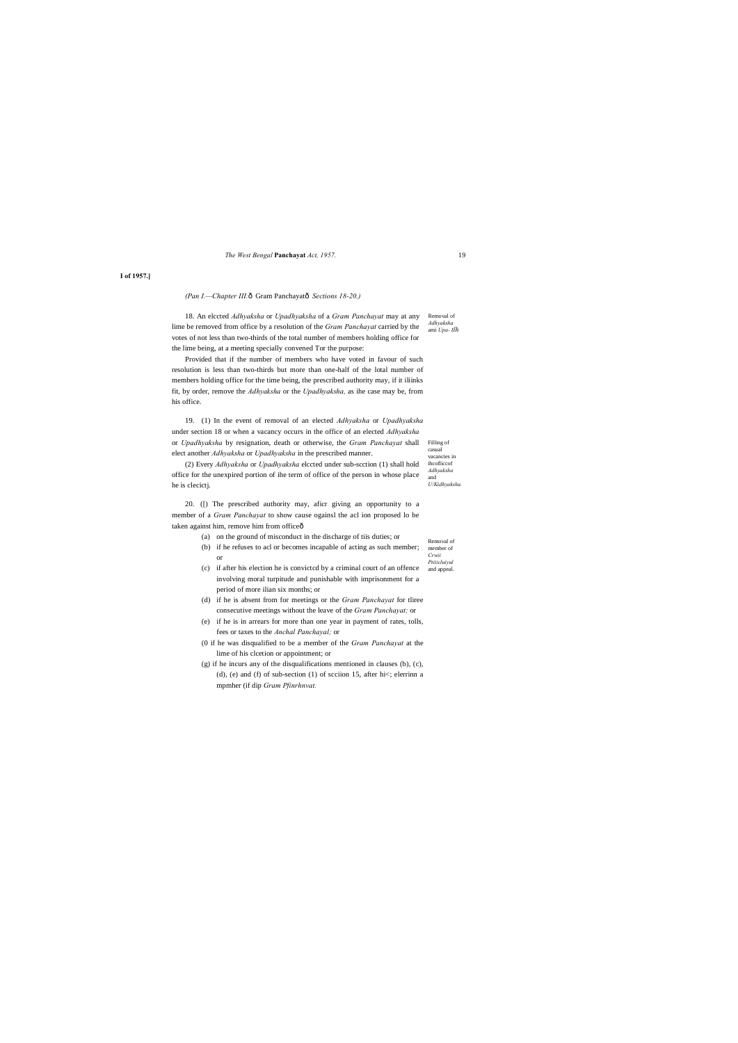Filling of casual vacancies in ihcofliccof *Adhyaksha* and *U/Kidhyaksha.*

Removal of member of *Crwii Ptiiicluiyul* 

*The West Bengal* **Panchayat** *Act, 1957.* 19

**I of 1957.]**

*(Pan I.—Chapter III.*—Gram Panchayat—*Sections 18-20.)*

Removal of *Adhyaksha*  ami *Upa- tlh* 18. An elccted *Adhyaksha* or *Upadhyaksha* of a *Gram Panchayat* may at any lime be removed from office by a resolution of the *Gram Panchayat* carried by the votes of not less than two-thirds of the total number of members holding office for the lime being, at a meeting specially convened Tor the purpose:

20. ([) The prescribed authority may, aficr giving an opportunity to a member of a *Gram Panchayat* to show cause ogainsl the acl ion proposed lo be taken against him, remove him from officeô

Provided that if the number of members who have voted in favour of such resolution is less than two-thirds but more than one-half of the lotal number of members holding office for the time being, the prescribed authority may, if it iliinks fit, by order, remove the *Adhyaksha* or the *Upadhyaksha,* as ihe case may be, from his office.

19. (1) In the event of removal of an elected *Adhyaksha* or *Upadhyaksha* under section 18 or when a vacancy occurs in the office of an elected *Adhyaksha* or *Upadhyaksha* by resignation, death or otherwise, the *Gram Panchayat* shall elect another *Adhyaksha* or *Upadhyaksha* in the prescribed manner.

(2) Every *Adhyaksha* or *Upadhyaksha* elccted under sub-scction (1) shall hold office for the unexpired portion of ihe term of office of the person in whose place he is clecictj.

- (a) on the ground of misconduct in the discharge of tiis duties; or
- (b) if he refuses to acl or becomes incapable of acting as such member; or
- and appeal. (c) if after his election he is convictcd by a criminal court of an offence involving moral turpitude and punishable with imprisonment for a period of more ilian six months; or
- (d) if he is absent from for meetings or the *Gram Panchayat* for tliree consecutive meetings without the leave of the *Gram Panchayat;* or
- (e) if he is in arrears for more than one year in payment of rates, tolls, fees or taxes to the *Anchal Panchayal;* or
- (0 if he was disqualified to be a member of the *Gram Panchayat* at the lime of his clcetion or appointment; or
- (g) if he incurs any of the disqualifications mentioned in clauses (b), (c), (d), (e) and (f) of sub-section (1) of scciion 15, after hi $\lt$ ; elerrinn a mpmher (if dip *Gram Pfinrhnvat.*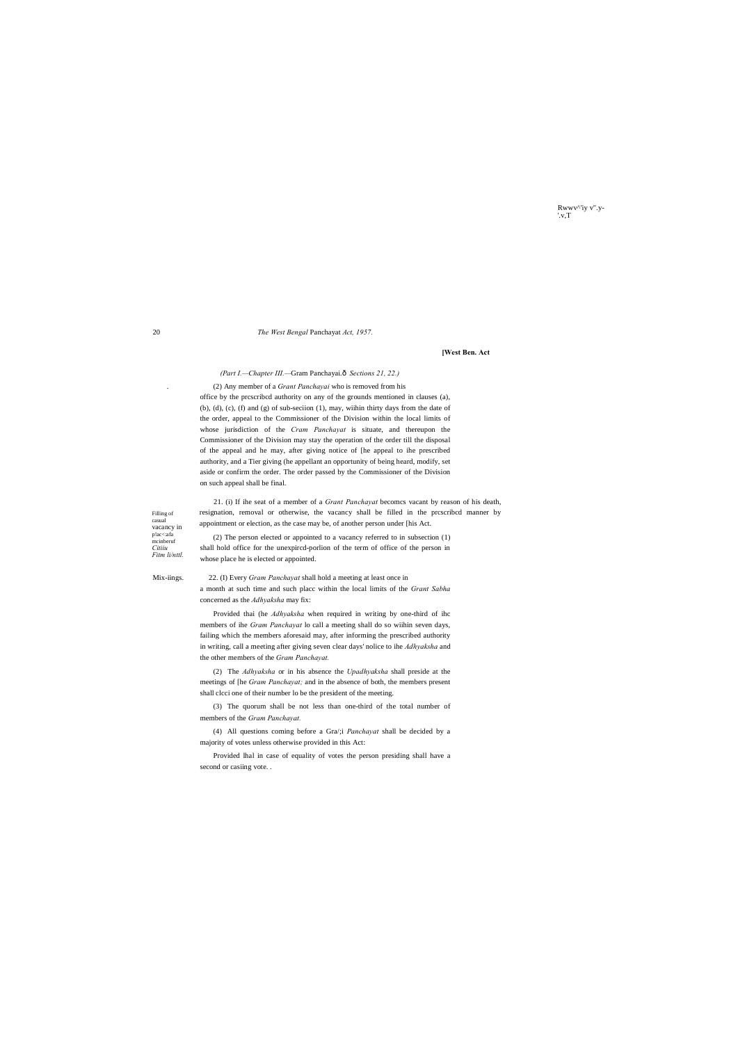Filling of casual vacancy in p!ac<:afa mcinberuf *Citiiu Fitm li/nttl.* Rwwv^'iy v".y- '.v,T

20 *The West Bengal* Panchayat *Act, 1957.*

#### **[West Ben. Act**

*(Part I.—Chapter III.—*Gram Panchayai.—*Sections 21, 22.)*

. (2) Any member of a *Grant Panchayai* who is removed from his office by the prcscribcd authority on any of the grounds mentioned in clauses (a), (b), (d), (c), (f) and (g) of sub-seciion (1), may, wiihin thirty days from the date of the order, appeal to the Commissioner of the Division within the local limits of whose jurisdiction of the *Cram Panchayat* is situate, and thereupon the Commissioner of the Division may stay the operation of the order till the disposal of the appeal and he may, after giving notice of [he appeal to ihe prescribed authority, and a Tier giving (he appellant an opportunity of being heard, modify, set aside or confirm the order. The order passed by the Commissioner of the Division on such appeal shall be final.

21. (i) If ihe seat of a member of a *Grant Panchayat* becomcs vacant by reason of his death, resignation, removal or otherwise, the vacancy shall be filled in the prcscribcd manner by appointment or election, as the case may be, of another person under [his Act.

(2) The person elected or appointed to a vacancy referred to in subsection (1) shall hold office for the unexpircd-porlion of the term of office of the person in whose place he is elected or appointed.

Mix-iings. 22. (I) Every *Gram Panchayat* shall hold a meeting at least once in a month at such time and such placc within the local limits of the *Grant Sabha* concerned as the *Adhyaksha* may fix:

> Provided thai (he *Adhyaksha* when required in writing by one-third of ihc members of ihe *Gram Panchayat* lo call a meeting shall do so wiihin seven days, failing which the members aforesaid may, after informing the prescribed authority in writing, call a meeting after giving seven clear days' nolice to ihe *Adhyaksha* and the other members of the *Gram Panchayat.*

> (2) The *Adhyaksha* or in his absence the *Upadhyaksha* shall preside at the meetings of [he *Gram Panchayat;* and in the absence of both, the members present shall clcci one of their number lo be the president of the meeting.

> (3) The quorum shall be not less than one-third of the total number of members of the *Gram Panchayat.*

> (4) All questions coming before a Gra/;i *Panchayat* shall be decided by a majority of votes unless otherwise provided in this Act:

> Provided lhal in case of equality of votes the person presiding shall have a second or casiing vote. .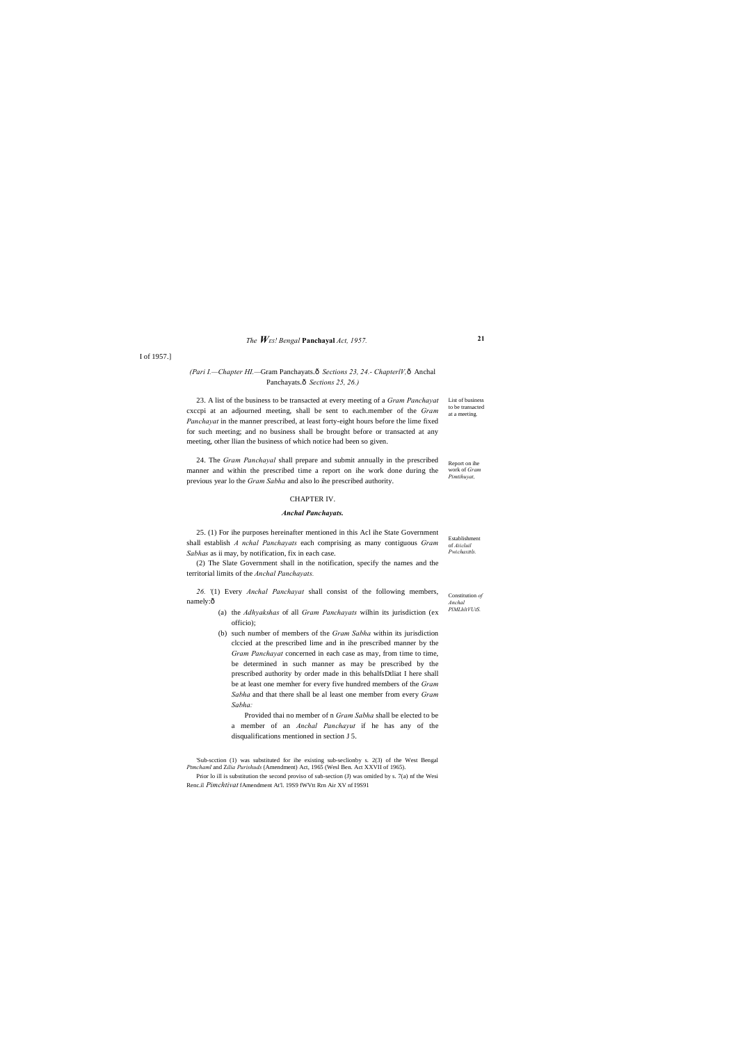**21**

*Anchal 26.* '(1) Every *Anchal Panchayat* shall consist of the following members, namely: $ô$ 

#### *(Pari I.—Chapter HI.—*Gram Panchayats.—*Sections 23, 24.- ChapterlV,*—Anchal Panchayats. $\hat{o}$  Sections 25, 26.)

Constitution *of* 

## *The WES! Bengal* **Panchayal** *Act, 1957.*

#### I of 1957.]

List of business to be transacted at a meeting. 23. A list of the business to be transacted at every meeting of a *Gram Panchayat* cxccpi at an adjourned meeting, shall be sent to each.member of the *Gram Panchayat* in the manner prescribed, at least forty-eight hours before the lime fixed for such meeting; and no business shall be brought before or transacted at any meeting, other llian the business of which notice had been so given.

Report on ihe work of *Gram Pimtihuyat,* 24. The *Gram Panchayal* shall prepare and submit annually in the prescribed manner and within the prescribed time a report on ihe work done during the previous year lo the *Gram Sabha* and also lo ihe prescribed authority.

Establishment of *Aiicluil Pwichaxttls.* 25. (1) For ihe purposes hereinafter mentioned in this Acl ihe State Government shall establish *A nchal Panchayats* each comprising as many contiguous *Gram Sabhas* as ii may, by notification, fix in each case.

> *PlMLhltVUtS.* (a) the *Adhyakshas* of all *Gram Panchayats* wilhin its jurisdiction (ex officio);

#### CHAPTER IV.

#### *Anchal Panchayats.*

'Sub-scction (1) was substituted for ihe existing sub-seclionby s. 2(3) of the West Bengal *Ptmchaml* and Z*ilia Purishuds* (Amendment) Act, 1965 (Wesl Ben. Act XXVII of 1965). Prior lo ill is substitution the second proviso of sub-section (J) was omitled by s. 7(a) nf the Wesi

(2) The Slate Government shall in the notification, specify the names and the territorial limits of the *Anchal Panchayats.*

> (b) such number of members of the *Gram Sabha* within its jurisdiction clccied at the prescribed lime and in ihe prescribed manner by the *Gram Panchayat* concerned in each case as may, from time to time, be determined in such manner as may be prescribed by the prescribed authority by order made in this behalfsDtliat I here shall be at least one memher for every five hundred members of the *Gram Sabha* and that there shall be al least one member from every *Gram Sabha:*

Provided thai no member of n *Gram Sabha* shall be elected to be a member of an *Anchal Panchayut* if he has any of the disqualifications mentioned in section J 5.

Renc.il *Pimchtivat* fAmendment At'l. 19S9 fWVtt Rrn Air XV nf I9S91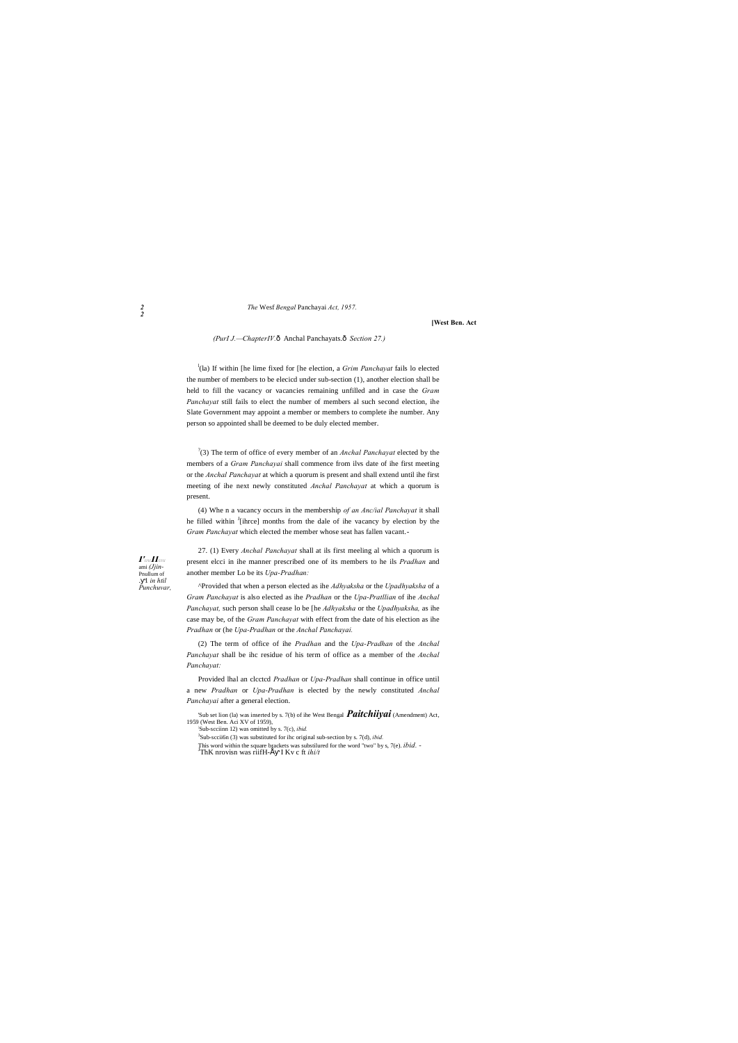*I'I I I IIIU I I I* ami *(Jjin-*Pnullum of . 1 *in htil Punchuvar,*

# *2 2*

#### *The* Wesf *Bengal* Panchayai *Act, 1957.*

#### **[West Ben. Act**

*(PurI J.—ChapterIV.*—Anchal Panchayats.—*Section 27.)*

l (la) If within [he lime fixed for [he election, a *Grim Panchayat* fails lo elected the number of members to be elecicd under sub-section (1), another election shall be held to fill the vacancy or vacancies remaining unfilled and in case the *Gram Panchayat* still fails to elect the number of members al such second election, ihe Slate Government may appoint a member or members to complete ihe number. Any person so appointed shall be deemed to be duly elected member.

? (3) The term of office of every member of an *Anchal Panchayat* elected by the members of a *Gram Panchayai* shall commence from ilvs date of ihe first meeting or the *Anchal Panchayat* at which a quorum is present and shall extend until ihe first meeting of ihe next newly constituted *Anchal Panchayat* at which a quorum is present.

(4) Whe n a vacancy occurs in the membership *of an Anc/ial Panchayat* it shall he filled within <sup>J</sup>[ihrce] months from the dale of ihe vacancy by election by the *Gram Panchayat* which elected the member whose seat has fallen vacant.-

27. (1) Every *Anchal Panchayat* shall at ils first meeling al which a quorum is present elcci in ihe manner prescribed one of its members to he ils *Pradhan* and another member Lo be its *Upa-Pradhan:*

^Provided that when a person elected as ihe *Adhyaksha* or the *Upadhyaksha* of a *Gram Panchayat* is also elected as ihe *Pradhan* or the *Upa-Pratllian* of ihe *Anchal Panchayat,* such person shall cease lo be [he *Adhyaksha* or the *Upadhyaksha,* as ihe case may be, of the *Gram Panchayat* with effect from the date of his election as ihe *Pradhan* or (he *Upa-Pradhan* or the *Anchal Panchayai.*

(2) The term of office of ihe *Pradhan* and the *Upa-Pradhan* of the *Anchal Panchayat* shall be ihc residue of his term of office as a member of the *Anchal Panchayat:*

Provided lhal an clcctcd *Pradhan* or *Upa-Pradhan* shall continue in office until a new *Pradhan* or *Upa-Pradhan* is elected by the newly constituted *Anchal Panchayai* after a general election.

'Sub set lion (la) was inserted by s. 7(b) of ihe West Bengal *Paitchiiyai* (Amendment) Act, 1959 (West Ben. Aci XV of 1959), Sub-scciinn 12) was omitted by s. 7(c), *ibid.*

3 Sub-sccii6n (3) was substituted for ihc original sub-section by s. 7(d), *ibid.*

This word within the square brackets was substilured for the word "two" by s, 7(e). *ibid.* -<br><sup>J</sup>ThK nrovisn was riifH-É I Kv c ft *ihi/t*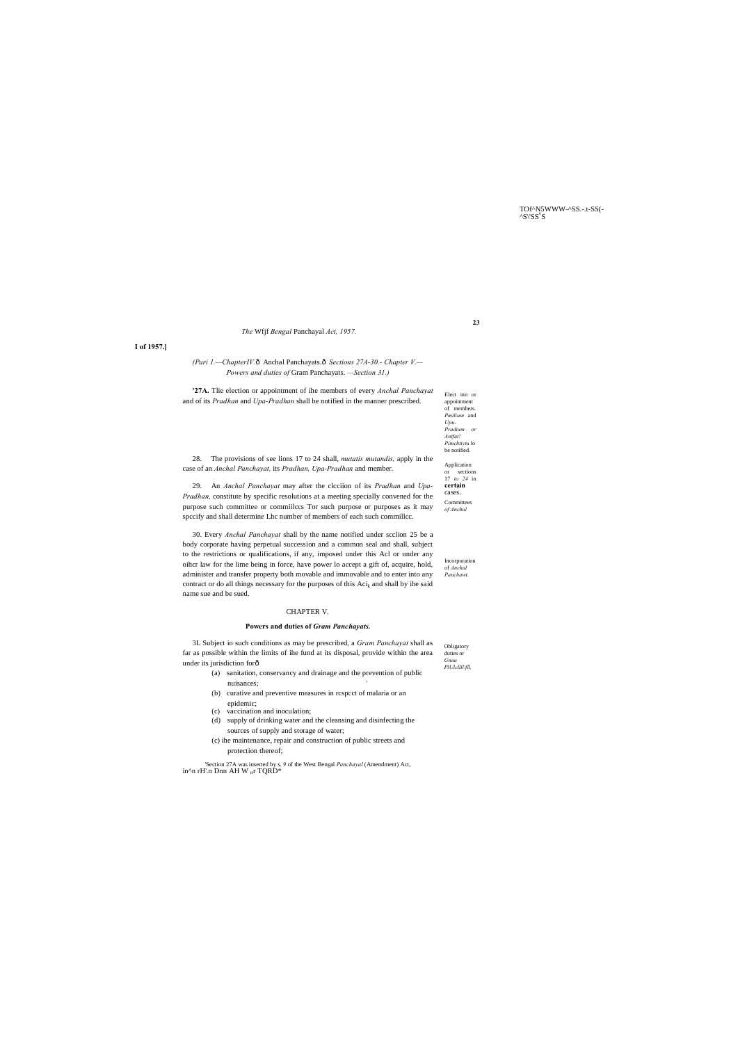## **23**

Elect inn or

appointment of members. *Pmilium* and *Upu-Pradium or Antfut! Pimchtiytu* lo be notified.

TOf^N5WWW-^SS.-.t-SS(-  $^{\wedge}S\$ SS\

Application or sections 17 *to 24* in **certain** cases. Committees

*of Anchul*

Incorporation of *Anchal Panchawt.*

## *The* Wfjf *Bengal* Panchayal *Act, 1957.*

**I of 1957.]**

*(Pari 1.—ChapterIV.*—Anchal Panchayats.—*Sections 27A-30.- Chapter V.— Powers and duties of* Gram Panchayats. *—Section 31.)*

**'27A.** Tlie election or appointment of ihe members of every *Anchal Panchayat* and of its *Pradhan* and *Upa-Pradhan* shall be notified in the manner prescribed.

28. The provisions of see lions 17 to 24 shall, *mutatis mutandis,* apply in the case of an *Anchal Panchayat,* its *Pradhan, Upa-Pradhan* and member.

Obligatory duties or *Gnuu PlUlcllll\fll,* 3L Subject io such conditions as may be prescribed, a *Gram Panchayat* shall as far as possible within the limits of ihe fund at its disposal, provide within the area under its jurisdiction for—

29. An *Anchal Panchayat* may after the clcciion of its *Pradhan* and *Upa-Pradhan,* constitute by specific resolutions at a meeting specially convened for the purpose such committee or commiilccs Tor such purpose or purposes as it may spccify and shall determine Lhc number of members of each such commillcc.

30. Every *Anchal Panchayat* shall by the name notified under scclion 25 be a body corporate having perpetual succession and a common seal and shall, subject to the restrictions or qualifications, if any, imposed under this Acl or under any oihcr law for the lime being in force, have power lo accept a gift of, acquire, hold, administer and transfer property both movable and immovable and to enter into any contract or do all things necessary for the purposes of this Aci<sub>k</sub> and shall by ihe said name sue and be sued.

## CHAPTER V.

#### **Powers and duties of** *Gram Panchayats.*

- (a) sanitation, conservancy and drainage and the prevention of public nuisances;
- (b) curative and preventive measures in rcspcct of malaria or an
- epidemic; (c) vaccination and inoculation;
- (d) supply of drinking water and the cleansing and disinfecting the sources of supply and storage of water;
- (c) ihe maintenance, repair and construction of public streets and protection thereof;

'Section 27A was inserted by s. *9* of the West Bengal *Panchayal* (Amendment) Act, in^n rH'.n Dnn AH W rtr TQRD\*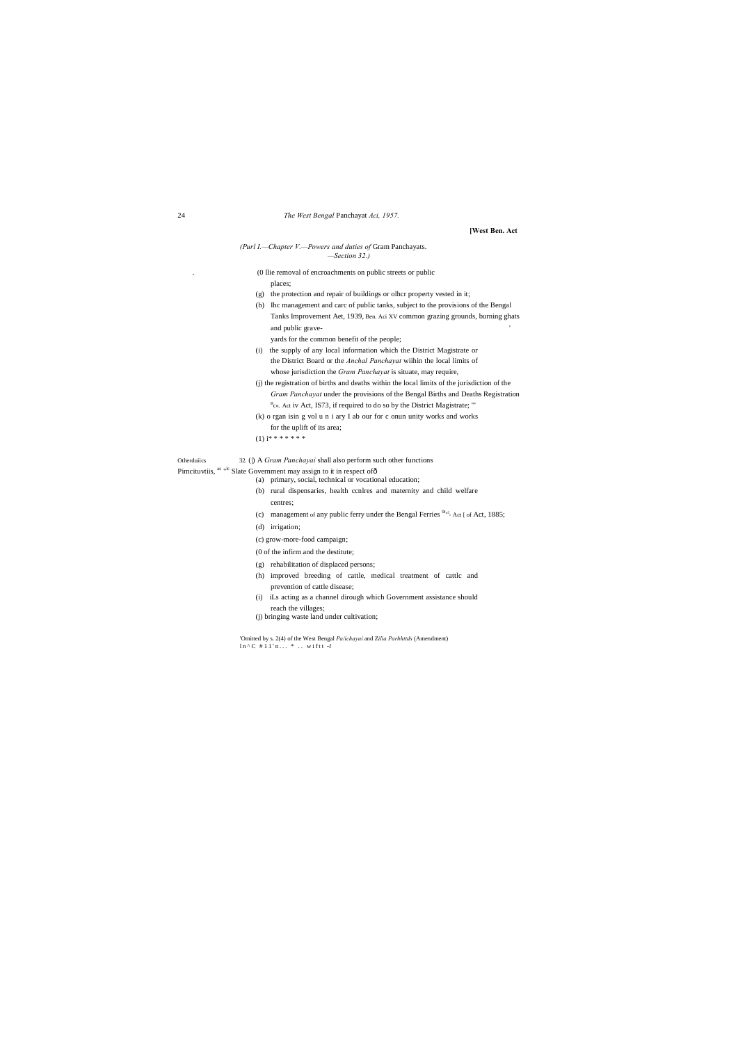24 *The West Bengal* Panchayat *Aci, 1957.*

#### **[West Ben. Act**

#### *(Purl I.—Chapter V.—Powers and duties of* Gram Panchayats. *—Section 32.)*

. (0 llie removal of encroachments on public streets or public places;

- (i) the supply of any local information which the District Magistrate or the District Board or the *Anchal Panchayat* wiihin the local limits of whose jurisdiction the *Gram Panchayat* is situate, may require,
- (j) the registration of births and deaths within the local limits of the jurisdiction of the *Gram Panchayat* under the provisions of the Bengal Births and Deaths Registration <sup>B</sup>c«. Act iv Act, IS73, if required to do so by the District Magistrate; "'
- (k) o rgan isin g vol u n i ary I ab our for c onun unity works and works for the uplift of its area;
- $(1)$  i\* \* \* \* \* \* \*
- (g) the protection and repair of buildings or olhcr property vested in it;
- (h) Ihc management and carc of public tanks, subject to the provisions of the Bengal Tanks Improvement Aet, 1939, Ben. Aci XV common grazing grounds, burning ghats and public grave- '

yards for the common benefit of the people;

#### Otherduiics 32. (|) A *Gram Panchayai* shall also perform such other functions

Pimcituvtiis, <sup>as "lc</sup> Slate Government may assign to it in respect of ô

- (a) primary, social, technical or vocational education;
- (b) rural dispensaries, health ccnlres and maternity and child welfare centres;
- (c) management of any public ferry under the Bengal Ferries  $^{0t_{\text{r1}}}$  Act [ of Act, 1885;
- (d) irrigation;

(c) grow-more-food campaign;

(0 of the infirm and the destitute;

- (g) rehabilitation of displaced persons;
- (h) improved breeding of cattle, medical treatment of cattlc and prevention of cattle disease;
- (i) iLs acting as a channel dirough which Government assistance should
- reach the villages;

(j) bringing waste land under cultivation;

'Omitted by s. 2(4) of the West Bengal *Pa/ichayui* and Z*ilia Parhhttds* (Amendment) l n ^ C # 1 1 ' n . . . \* . . w i f t t *-t*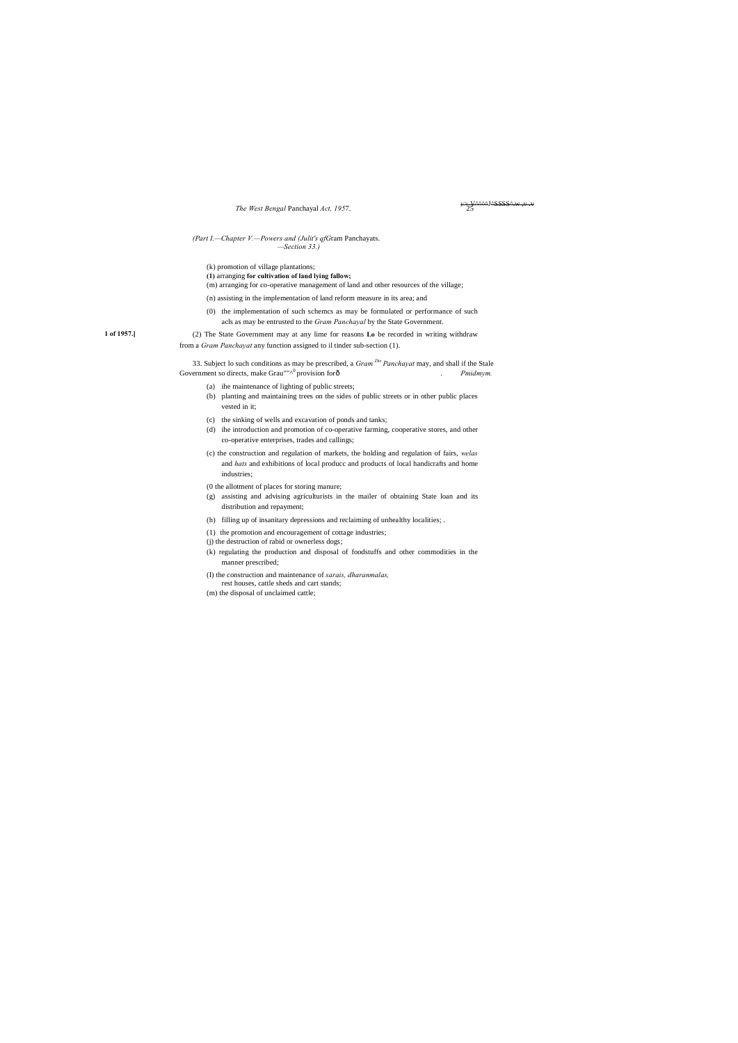## *y>* V^^^^J^SSSS^.w ,v .v

**1 of 1957.]**

| The West Bengal Panchayal Act, 1957. |  |
|--------------------------------------|--|
|                                      |  |

*(Part I.—Chapter V.—Powers and (Julit's qfG*ram Panchayats. *—Section 33.)*

(k) promotion of village plantations; **(1)** arranging **for cultivation of land lying fallow;**

- (m) arranging for co-operative management of land and other resources of the village;
- (n) assisting in the implementation of land reform measure in its area; and
- (0) the implementation of such schemcs as may be formulated or performance of such acls as may be entrusted to the *Gram Panchayal* by the State Government.

(2) The State Government may at any lime for reasons **Lo** be recorded in writing withdraw from a *Gram Panchayat* any function assigned to il tinder sub-section (1).

33. Subject lo such conditions as may be prescribed, a *Gram Dis Panchayat* may, and shall if the Stale Government so directs, make Grau""^0 provision for— . *Pmidmym.*

- (a) ihe maintenance of lighting of public streets;
- (b) planting and maintaining trees on the sides of public streets or in other public places vested in it;
- (c) the sinking of wells and excavation of ponds and tanks;
- (d) ihe introduction and promotion of co-operative farming, cooperative stores, and other co-operative enterprises, trades and callings;
- (c) the construction and regulation of markets, the holding and regulation of fairs, *welas* and *hats* and exhibitions of local producc and products of local handicrafts and home industries;
- (0 the allotment of places for storing manure;
- (g) assisting and advising agriculturists in the mailer of obtaining State loan and its distribution and repayment;
- (h) filling up of insanitary depressions and reclaiming of unhealthy localities; .
- (1) the promotion and encouragement of cottage industries;
- (j) the destruction of rabid or ownerless dogs;
- (k) regulating the production and disposal of foodstuffs and other commodities in the manner prescribed;
- (I) the construction and maintenance of *sarais, dharanmalas,* rest houses, cattle sheds and cart stands;
- (m) the disposal of unclaimed cattle;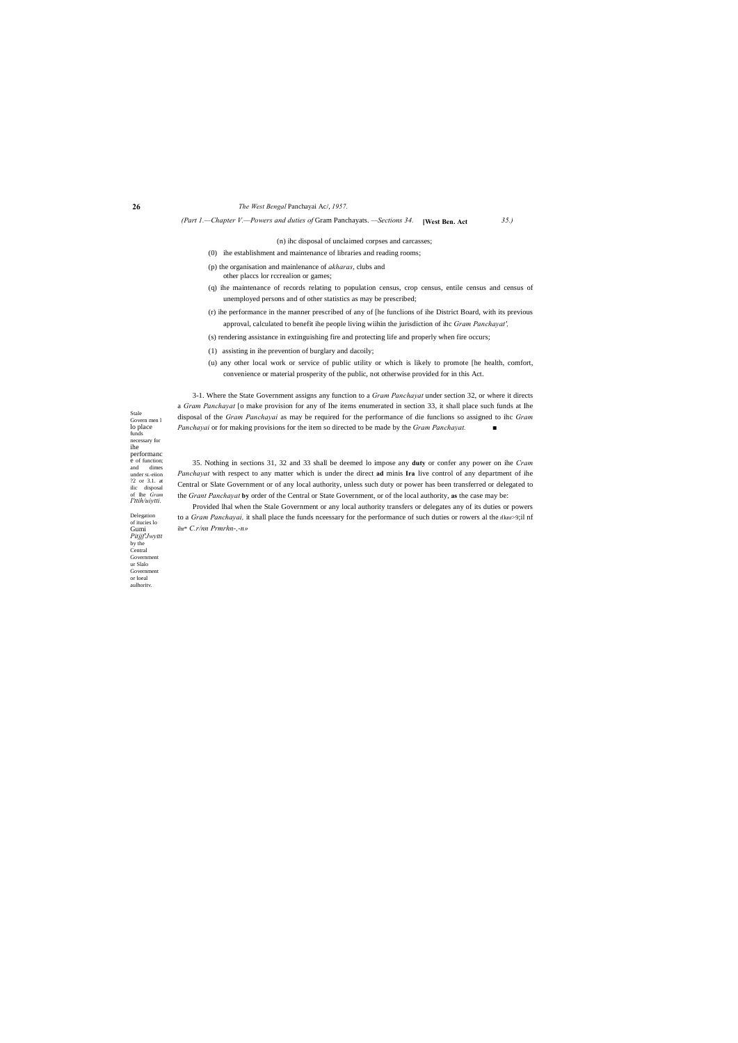Stale Govern men l lo place funds necessary for ihe performanc e of function; and dimes under SL-eiion ?2 or 3.1. at ilic disposal of Ihe *Gram I'ttih/uiytti.*

Delegation of itucies lo Gumi *Pitjjf'Jwyttt* by the Central Government ur Slalo Government or loeal aulhoritv.

#### **26** *The West Bengal* Panchayai Ac/, *1957.*

**[West Ben. Act** *(Part 1.—Chapter V.—Powers and duties of* Gram Panchayats. *—Sections 34. 35.)*

#### (n) ihc disposal of unclaimed corpses and carcasses;

- (0) ihe establishment and maintenance of libraries and reading rooms;
- (p) the organisation and mainlenance of *akharas*, clubs and other placcs lor rccrealion or games;
- (q) ihe maintenance of records relating to population census, crop census, entile census and census of unemployed persons and of other statistics as may be prescribed;
- (r) ihe performance in the manner prescribed of any of [he funclions of ihe District Board, with its previous approval, calculated to benefit ihe people living wiihin the jurisdiction of ihc *Gram Panchayat',*
- (s) rendering assistance in extinguishing fire and protecting life and properly when fire occurs;
- (1) assisting in ihe prevention of burglary and dacoily;
- (u) any other local work or service of public utility or which is likely to promote [he health, comfort, convenience or material prosperity of the public, not otherwise provided for in this Act.

3-1. Where the State Government assigns any function to a *Gram Panchayat* under section 32, or where it directs a *Gram Panchayat* [o make provision for any of Ihe items enumerated in section 33, it shall place such funds at Ihe disposal of the *Gram Panchayai* as may be required for the performance of die funclions so assigned to ihc *Gram Panchayai* or for making provisions for the item so directed to be made by the *Gram Panchayat. ■*

35. Nothing in sections 31, 32 and 33 shall be deemed lo impose any **duty** or confer any power on ihe *Cram Panchayat* with respect to any matter which is under the direct **ad** minis **Ira** live control of any department of ihe Central or Slate Government or of any local authority, unless such duty or power has been transferred or delegated to the *Grant Panchayat* **by** order of the Central or State Government, or of the local authority, **as** the case may be:

Provided lhal when the Stale Government or any local authority transfers or delegates any of its duties or powers to a *Gram Panchayai*, it shall place the funds nceessary for the performance of such duties or rowers al the rlknr>9;il nf ihr\* *C.r/nn Prmrhn-,-n»*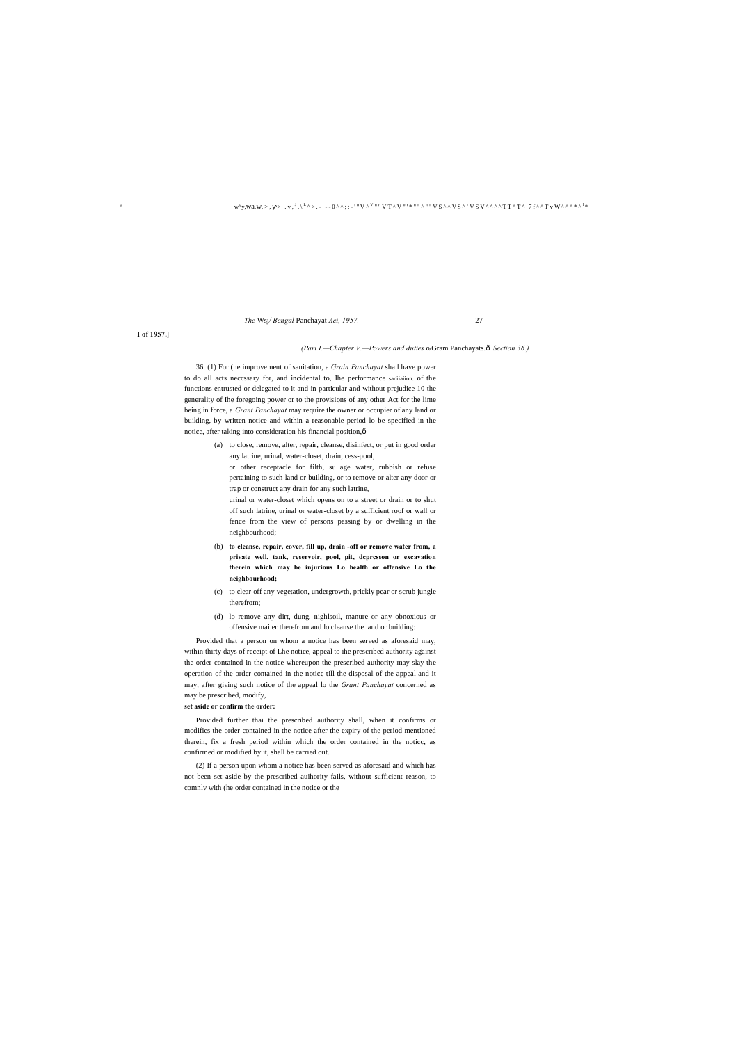#### ^ w^y,wa.w. > , \_> . v , <sup>J</sup> , \ <sup>L</sup> ^ > . - -- 0 ^ ^ ; : -' " V ^ <sup>V</sup> " " V T ^ V " ' \* " " ^ " ' V S ^ ^ V S V ^ ^ ^ ^ T T ^ T ^ ' 7 f ^ ^ T v W ^ ^ ^ \* ^ <sup>l \*</sup>

*The* Wsj*/ Bengal* Panchayat *Aci, 1957.* 27

#### **I of 1957.]**

*(Pari I.—Chapter V.—Powers and duties* o/Gram Panchayats.—*Section 36.)*

36. (1) For (he improvement of sanitation, a *Grain Panchayat* shall have power to do all acts neccssary for, and incidental to, Ihe performance saniiaiion. of the functions entrusted or delegated to it and in particular and without prejudice 10 the generality of Ihe foregoing power or to the provisions of any other Act for the lime being in force, a *Grant Panchayat* may require the owner or occupier of any land or building, by written notice and within a reasonable period lo be specified in the notice, after taking into consideration his financial position,—

> (a) to close, remove, alter, repair, cleanse, disinfect, or put in good order any latrine, urinal, water-closet, drain, cess-pool,

or other receptacle for filth, sullage water, rubbish or refuse pertaining to such land or building, or to remove or alter any door or trap or construct any drain for any such latrine,

urinal or water-closet which opens on to a street or drain or to shut off such latrine, urinal or water-closet by a sufficient roof or wall or fence from the view of persons passing by or dwelling in the neighbourhood;

- (b) **to cleanse, repair, cover, fill up, drain -off or remove water from, a private well, tank, reservoir, pool, pit, dcprcsson or excavation therein which may be injurious Lo health or offensive Lo the neighbourhood;**
- (c) to clear off any vegetation, undergrowth, prickly pear or scrub jungle therefrom;
- (d) lo remove any dirt, dung, nighlsoil, manure or any obnoxious or offensive mailer therefrom and lo cleanse the land or building:

Provided that a person on whom a notice has been served as aforesaid may, within thirty days of receipt of Lhe notice, appeal to ihe prescribed authority against the order contained in the notice whereupon the prescribed authority may slay the operation of the order contained in the notice till the disposal of the appeal and it may, after giving such notice of the appeal lo the *Grant Panchayat* concerned as may be prescribed, modify,

#### **set aside or confirm the order:**

Provided further thai the prescribed authority shall, when it confirms or modifies the order contained in the notice after the expiry of the period mentioned therein, fix a fresh period within which the order contained in the noticc, as confirmed or modified by it, shall be carried out.

(2) If a person upon whom a notice has been served as aforesaid and which has not been set aside by the prescribed auihority fails, without sufficient reason, to comnlv with (he order contained in the notice or the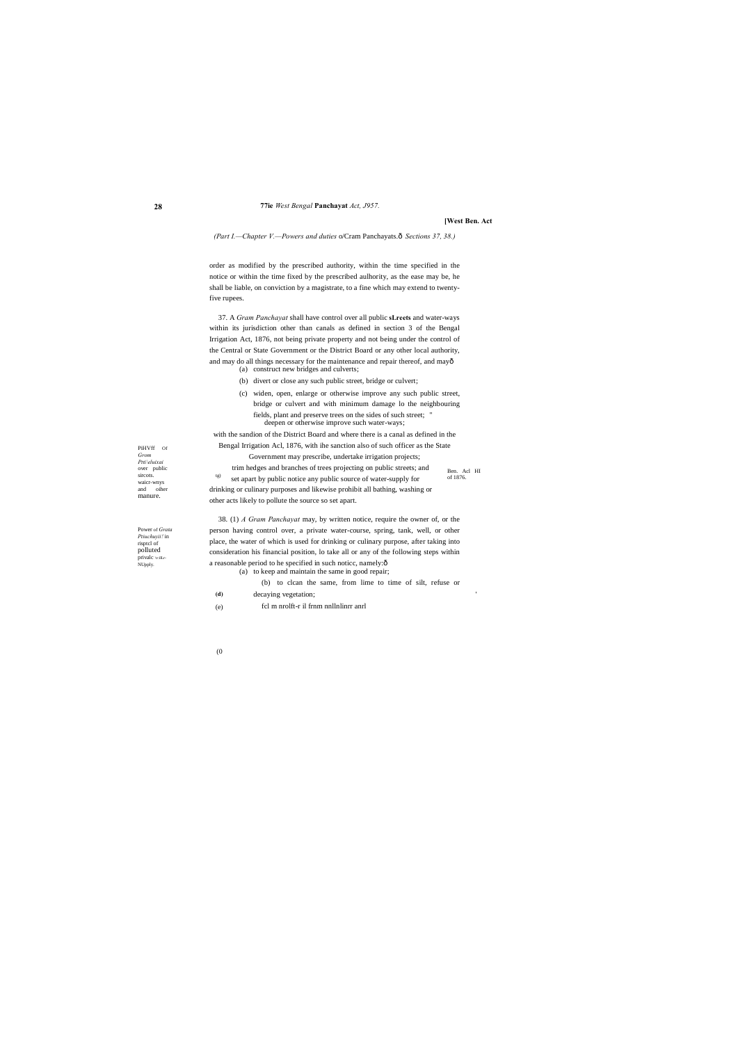**28**

Power of *Grata Ptiuchuyii!* in risptcl of polluted privalc \v:ilLr-NUpply.

PiHVff Of

*Grom Ptti\eluixai*  over public sircots. waicr-wnys and oiher manure.

(0

#### **77ie** *West Bengal* **Panchayat** *Act, J957.*

#### **[West Ben. Act**

*(Part I.—Chapter V.—Powers and duties* o/Cram Panchayats.—*Sections 37, 38.)*

order as modified by the prescribed authority, within the time specified in the notice or within the time fixed by the prescribed aulhority, as the ease may be, he shall be liable, on conviction by a magistrate, to a fine which may extend to twentyfive rupees.

37. A *Gram Panchayat* shall have control over all public **sLreets** and water-ways within its jurisdiction other than canals as defined in section 3 of the Bengal Irrigation Act, 1876, not being private property and not being under the control of the Central or State Government or the District Board or any other local authority, and may do all things necessary for the maintenance and repair thereof, and mayô (a) construct new bridges and culverts;

tg) Ben. Acl HI of 1876. trim hedges and branches of trees projecting on public streets; and set apart by public notice any public source of water-supply for

38. (1) *A Gram Panchayat* may, by written notice, require the owner of, or the person having control over, a private water-course, spring, tank, well, or other place, the water of which is used for drinking or culinary purpose, after taking into consideration his financial position, lo take all or any of the following steps within a reasonable period to he specified in such notice, namely: $\delta$ 

- (b) divert or close any such public street, bridge or culvert;
- (c) widen, open, enlarge or otherwise improve any such public street, bridge or culvert and with minimum damage lo the neighbouring fields, plant and preserve trees on the sides of such street; "
	- deepen or otherwise improve such water-ways;

with the sandion of the District Board and where there is a canal as defined in the Bengal Irrigation Acl, 1876, with ihe sanction also of such officer as the State

Government may prescribe, undertake irrigation projects;

drinking or culinary purposes and likewise prohibit all bathing, washing or other acts likely to pollute the source so set apart.

- (a) to keep and maintain the same in good repair;
	- (b) to clcan the same, from lime to time of silt, refuse or
- **(d)**  decaying vegetation;
- (e) fcl m nrolft-r il frnm nnllnlinrr anrl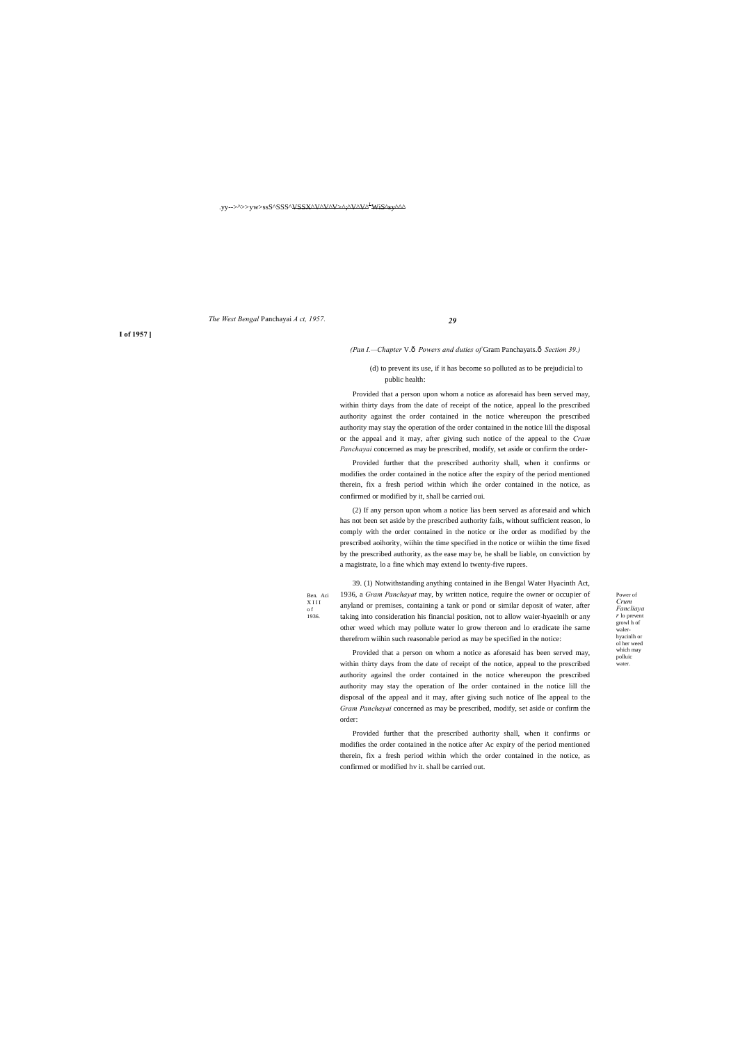*29*

#### *(Pan I.—Chapter* V.ô *Powers and duties of* Gram Panchayats.ô *Section 39.)*

Power of *Crum Fancliaya*  $r$  lo preven growl h of waler-hyacinlh or ol her weed which may polluic water.

Ben. Aci X I I I o f 1936.

#### .yy-->^>>yw>ssS^SSS^<del>VSSX^V^V^V^V>^;^V^V^<sup>L</sup>WiS^sy^^^</del>

*The West Bengal* Panchayai *A ct, 1957.*

**I of 1957 ]**

(d) to prevent its use, if it has become so polluted as to be prejudicial to public health:

Provided that a person upon whom a notice as aforesaid has been served may, within thirty days from the date of receipt of the notice, appeal lo the prescribed authority against the order contained in the notice whereupon the prescribed authority may stay the operation of the order contained in the notice lill the disposal or the appeal and it may, after giving such notice of the appeal to the *Cram Panchayai* concerned as may be prescribed, modify, set aside or confirm the order-

Provided further that the prescribed authority shall, when it confirms or modifies the order contained in the notice after the expiry of the period mentioned therein, fix a fresh period within which ihe order contained in the notice, as confirmed or modified by it, shall be carried oui.

(2) If any person upon whom a notice lias been served as aforesaid and which has not been set aside by the prescribed authority fails, without sufficient reason, lo comply with the order contained in the notice or ihe order as modified by the prescribed aoihority, wiihin the time specified in the notice or wiihin the time fixed by the prescribed authority, as the ease may be, he shall be liable, on conviction by a magistrate, lo a fine which may extend lo twenty-five rupees.

39. (1) Notwithstanding anything contained in ihe Bengal Water Hyacinth Act, 1936, a *Gram Panchayat* may, by written notice, require the owner or occupier of anyland or premises, containing a tank or pond or similar deposit of water, after taking into consideration his financial position, not to allow waier-hyaeinlh or any other weed which may pollute water lo grow thereon and lo eradicate ihe same therefrom wiihin such reasonable period as may be specified in the notice:

Provided that a person on whom a notice as aforesaid has been served may, within thirty days from the date of receipt of the notice, appeal to the prescribed authority againsl the order contained in the notice whereupon the prescribed authority may stay the operation of Ihe order contained in the notice lill the disposal of the appeal and it may, after giving such notice of Ihe appeal to the *Gram Panchayai* concerned as may be prescribed, modify, set aside or confirm the order:

Provided further that the prescribed authority shall, when it confirms or modifies the order contained in the notice after Ac expiry of the period mentioned therein, fix a fresh period within which the order contained in the notice, as confirmed or modified hv it. shall be carried out.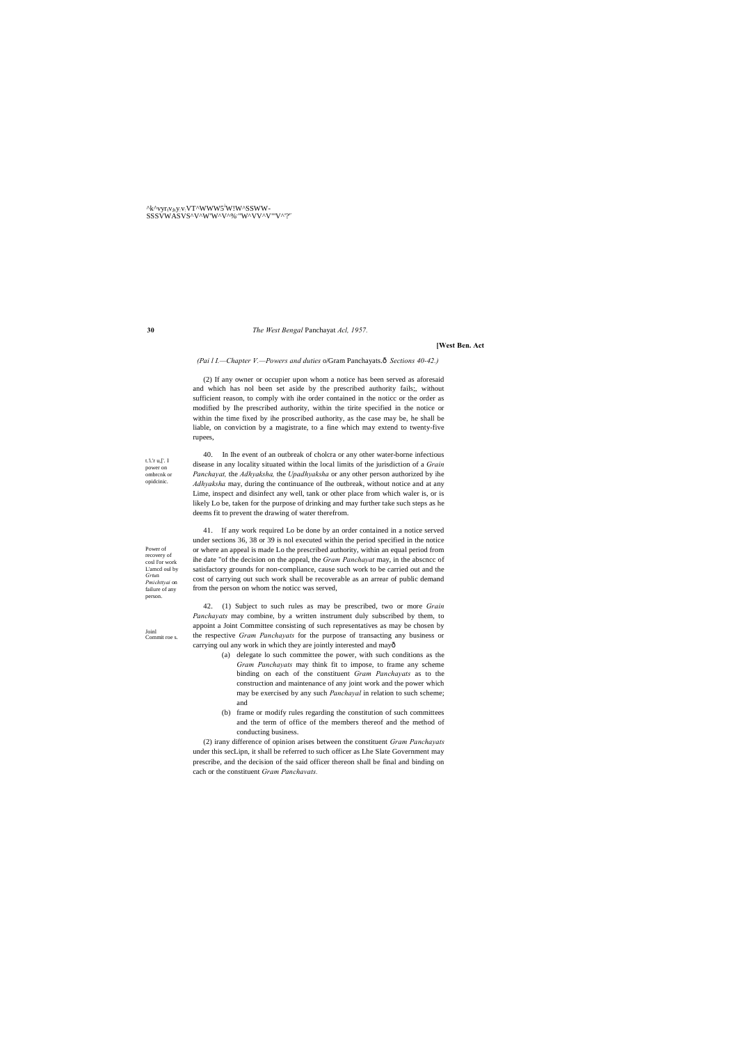^k^vyr<sub>t</sub>v<sub>:h</sub>y:v:VT^WWW5<sup>i</sup>W!W^SSWW-^k^vyr<sub>tV:h</sub>y:v:VT^WWW5'W!W^SSWW-<br>SSSVWASVS^V^W'W^V^%<sup>,</sup>''W^VV^V'''V^'?'

**30**

t.'i.'r u,['. I power on ombrcnk or opidcinic.

Power of recovery of cosl I'or work L'amcd oul by *Grtu*n *Pmichttyai* on failure of any person.

Joinl Commit roe s.

#### *The West Bengal* Panchayat *Acl, 1957.*

#### **[West Ben. Act**

*(Pai l I.—Chapter V.—Powers and duties* o/Gram Panchayats.—*Sections 40-42.)*

(2) If any owner or occupier upon whom a notice has been served as aforesaid and which has nol been set aside by the prescribed authority fails;, without sufficient reason, to comply with ihe order contained in the noticc or the order as modified by Ihe prescribed authority, within the tirite specified in the notice or within the time fixed by ihe proscribed authority, as the case may be, he shall be liable, on conviction by a magistrate, to a fine which may extend to twenty-five rupees,

40. In Ihe event of an outbreak of cholcra or any other water-borne infectious disease in any locality situated within the local limits of the jurisdiction of a *Grain Panchayat,* the *Adhyaksha,* the *Upadhyaksha* or any other person authorized by ihe *Adhyaksha* may, during the continuance of Ihe outbreak, without notice and at any Lime, inspect and disinfect any well, tank or other place from which waler is, or is likely Lo be, taken for the purpose of drinking and may further take such steps as he deems fit to prevent the drawing of water therefrom.

41. If any work required Lo be done by an order contained in a notice served under sections 36, 38 or 39 is nol executed within the period specified in the notice or where an appeal is made Lo the prescribed authority, within an equal period from ihe date "of the decision on the appeal, the *Gram Panchayat* may, in the abscncc of satisfactory grounds for non-compliance, cause such work to be carried out and the cost of carrying out such work shall be recoverable as an arrear of public demand

from the person on whom the noticc was served, 42. (1) Subject to such rules as may be prescribed, two or more *Grain Panchayats* may combine, by a written instrument duly subscribed by them, to appoint a Joint Committee consisting of such representatives as may be chosen by the respective *Gram Panchayats* for the purpose of transacting any business or carrying oul any work in which they are jointly interested and may—

- (a) delegate lo such committee the power, with such conditions as the *Gram Panchayats* may think fit to impose, to frame any scheme binding on each of the constituent *Gram Panchayats* as to the construction and maintenance of any joint work and the power which may be exercised by any such *Panchayal* in relation to such scheme; and
- (b) frame or modify rules regarding the constitution of such committees and the term of office of the members thereof and the method of conducting business.

(2) irany difference of opinion arises between the constituent *Gram Panchayats* under this secLipn, it shall be referred to such officer as Lhe Slate Government may prescribe, and the decision of the said officer thereon shall be final and binding on cach or the constituent *Gram Panchavats.*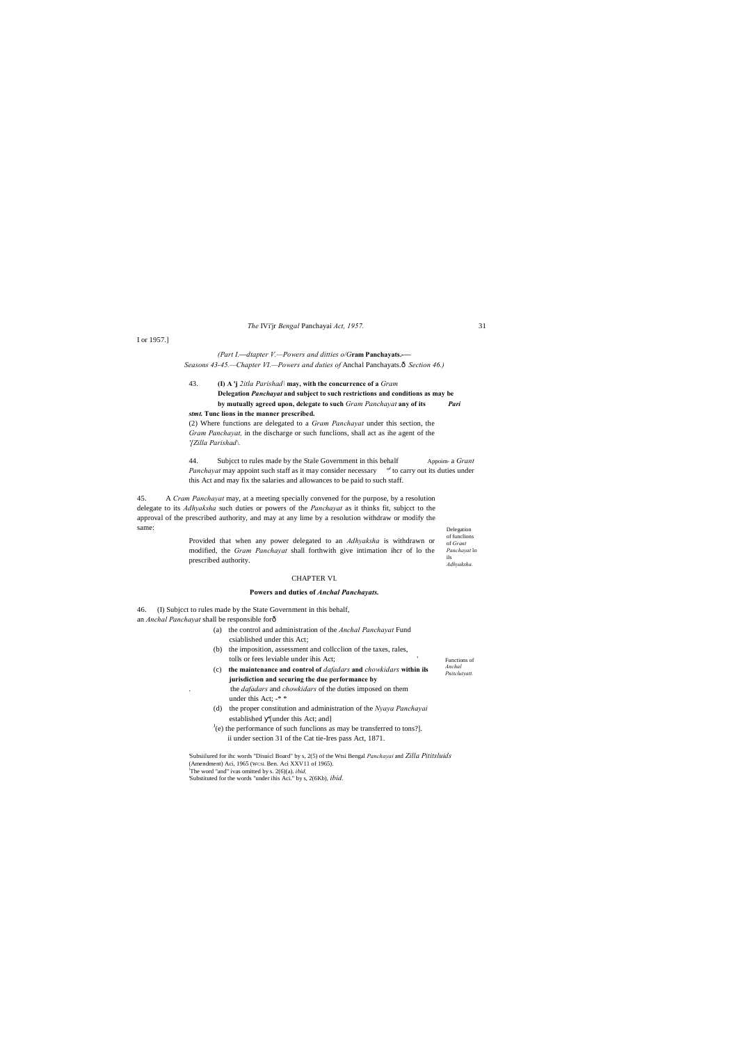Delegation

Functions of

*(Part I.***—***dtapter V.—Powers and ditties o/G***ram Panchayats.-—** *Seasons 43-45.*—*Chapter VI.*—*Powers and duties of Anchal Panchayats.ô Section 46.)* 

*The* IVi'jr *Bengal* Panchayai *Act, 1957.* 31

#### I or 1957.]

43. **(I) A 'j** *2itla Parishad\* **may, with the concurrence of a** *Gram* **Delegation** *Panchayat* **and subject to such restrictions and conditions as may be by mutually agreed upon, delegate to such** *Gram Panchayat* **any of its** *Pari stmt.* **Tunc lions in the manner prescribed.**

(2) Where functions are delegated to a *Gram Panchayat* under this section, the *Gram Panchayat,* in the discharge or such funclions, shall act as ihe agent of the *'[Zilla Parishad\.*

of funclions of *Grant Panchayat* lo ils *Adhyaksha.* Provided that when any power delegated to an *Adhyaksha* is withdrawn or modified, the *Gram Panchayat* shall forthwith give intimation ihcr of lo the prescribed authority.

44. Subjcct to rules made by the Stale Government in this behalf Appoim- a *Grant Panchayat* may appoint such staff as it may consider necessary <sup>or</sup> to carry out its duties under this Act and may fix the salaries and allowances to be paid to such staff.

45. A *Cram Panchayat* may, at a meeting specially convened for the purpose, by a resolution delegate to its *Adhyaksha* such duties or powers of the *Panchayat* as it thinks fit, subjcct to the approval of the prescribed authority, and may at any lime by a resolution withdraw or modify the same:

### CHAPTER VI.

#### **Powers and duties of** *Anchal Panchayats.*

46. (I) Subjcct to rules made by the State Government in this behalf,

- an *Anchal Panchayat* shall be responsible for—
	- (a) the control and administration of the *Anchal Panchayat* Fund csiablished under this Act;
	- (b) the imposition, assessment and collcclion of the taxes, rales, tolls or fees leviable under ihis Act;
	- *Anchal Pnitclutyatt.* (c) **the maintenance and control of** *dafadars* **and** *chowkidars* **within ils jurisdiction and securing the due performance by** . the *dafadars* and *chowkidars* of the duties imposed on them
	- under this Act; -\* \*
		- (d) the proper constitution and administration of the *Nyaya Panchayai* established '[under this Act; and]
		- $J(e)$  the performance of such funclions as may be transferred to tons?]. ii under section 31 of the Cat tie-Ires pass Act, 1871.

'Subsiilured for ihc words "Disuicl Board" by s, 2(5) of the Wtsi Bengal *Panchayai* and *Zilla Pititsluids* (Amendment) Aci, 1965 (WCSL Ben. Aci XXV11 of 1965). ! The word "and" ivas omitted by s. 2(6)(a). *ibid,* 'Substituted for the words "under ihis Aci." by s, 2(6Kb), *ibid.*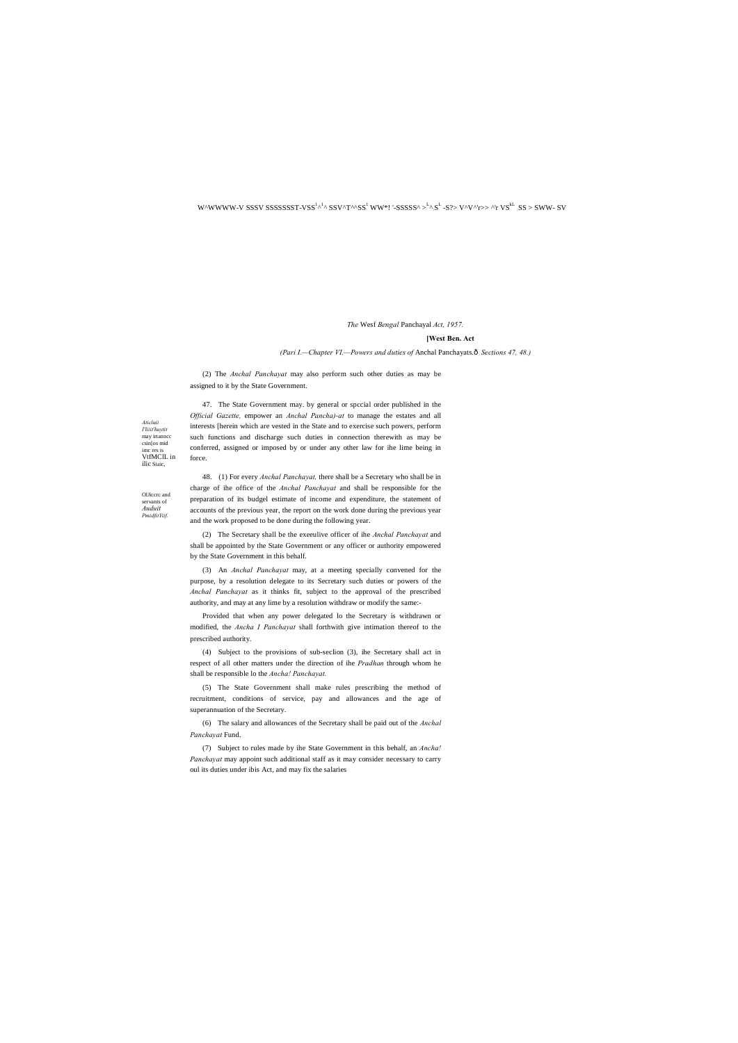*Aticluii I'liiit'huytit*  may irtanncc csin[os mid imc res is VtfMClL in ilic Siaic,

OlJiccrc and servants of *Auduit PmidfitYiif.*

 $W^{\wedge}WWWW\text{-}V$  SSSV SSSSSSST-VSS<sup>1,A1</sup>^ SSV^T^^SS<sup>1</sup> WW\*! '-SSSSS^ ><sup>L</sup>^;S<sup>L</sup> -S?> V^V^'r>> ^'r VS<sup>kL</sup> :SS > SWW- SV

*The* Wesf *Bengal* Panchayal *Act, 1957.*

#### **[West Ben. Act**

*(Pari I.—Chapter VI.—Powers and duties of* Anchal Panchayats.—*Sections 47, 48.)*

(2) The *Anchal Panchayat* may also perform such other duties as may be assigned to it by the State Government.

47. The State Government may. by general or spccial order published in the *Official Gazette,* empower an *Anchal Pancha)-at* to manage the estates and all interests [herein which are vested in the State and to exercise such powers, perform

such functions and discharge such duties in connection therewith as may be conferred, assigned or imposed by or under any other law for ihe lime being in force. 48. (1) For every *Anchal Panchayat,* there shall be a Secretary who shall be in

charge of ihe office of the *Anchal Panchayat* and shall be responsible for the preparation of its budgel estimate of income and expenditure, the statement of accounts of the previous year, the report on the work done during the previous year and the work proposed to be done during the following year.

(2) The Secretary shall be the exeeulive officer of ihe *Anchal Panchayat* and shall be appointed by the State Government or any officer or authority empowered by the State Government in this behalf.

(3) An *Anchal Panchayat* may, at a meeting specially convened for the purpose, by a resolution delegate to its Secretary such duties or powers of the *Anchal Panchayat* as it thinks fit, subject to the approval of the prescribed authority, and may at any lime by a resolution withdraw or modify the same:-

Provided that when any power delegated lo the Secretary is withdrawn or modified, the *Ancha I Panchayat* shall forthwith give intimation thereof to the prescribed authority.

(4) Subject to the provisions of sub-seclion (3), ihe Secretary shall act in respect of all other matters under the direction of ihe *Pradhan* through whom he shall be responsible lo the *Ancha! Panchayat.*

(5) The State Government shall make rules prescribing the method of recruitment, conditions of service, pay and allowances and the age of superannuation of the Secretary.

(6) The salary and allowances of the Secretary shall be paid out of the *Anchal Panchayat* Fund.

(7) Subject to rules made by ihe State Government in this behalf, an *Ancha! Panchayat* may appoint such additional staff as it may consider necessary to carry oul its duties under ibis Act, and may fix the salaries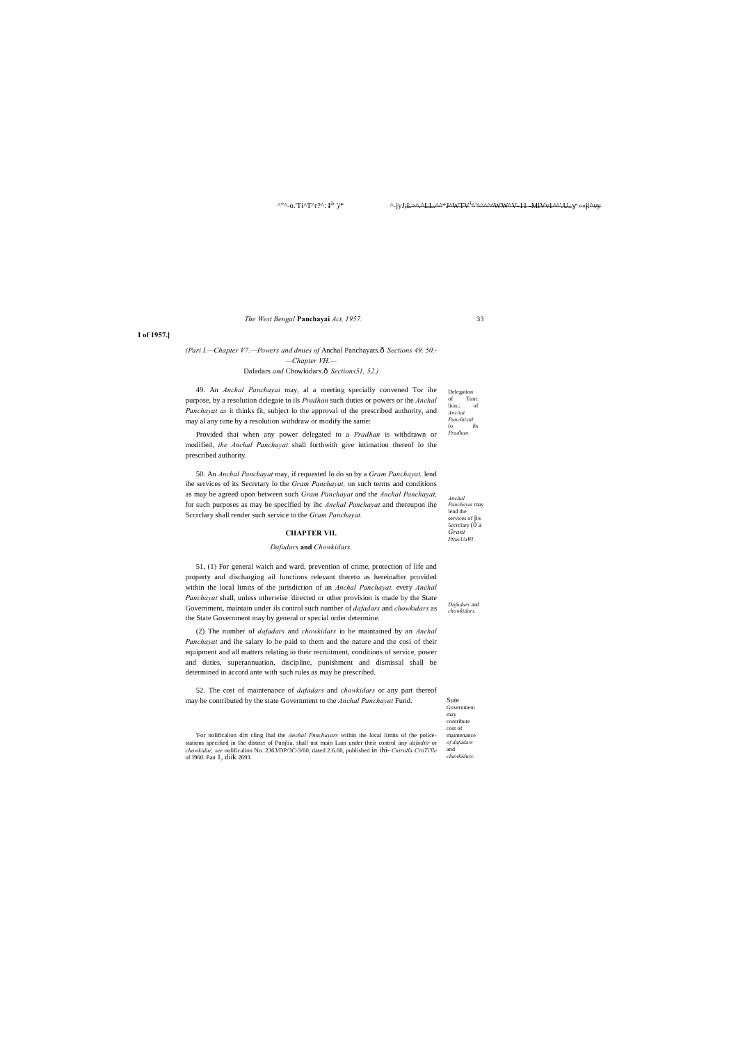^"^-o.'Ti^T^r?^: I<sup>+</sup>'

#### '*j*;\* ^-jyJ;<u>L>^.^LL.^^\*J^WTV<sup>+</sup>^'^^^WW^W^V-11 -MlVv1^^'.U..</u> »«<del>j</del>i^<del>vy</del>

33

of Tunc lion;: of *Anc/iat Punchtixttl*  (o ils *Pradhan.*

*Ancluil Panchayai* may lend the services of jis 5ccrclary (0 a *Grant PttucUuWl.*

*Dafadurs* and *chowkidars.*

## *(Pari I.—Chapter V7.—Powers and dmies of* Anchal Panchayats.—*Sections 49, 50.- —Chapter VH.—* Dafadars *and* Chowkidars. $\hat{o}$  Sections51, 52.)

Government may contribute cost of maintenance *of dafadars*  and

Sute *chawkidurs.*

#### *The West Bengal* **Panchayai** *Act, 1957.*

**I of 1957.]**

Delegation 49. An *Anchal Panchayai* may, al a meeting specially convened Tor ihe purpose, by a resolution dclegaie to ils *Pradhan* such duties or powers or ihe *Anchal Panchayat as* it thinks fit, subject lo the approval of the prescribed authority, and may al any time by a resolution withdraw or modify the same:

Provided thai when any power delegated to a *Pradhan* is withdrawn or modified, *ihe Anchal Panchayat* shall forthwith give intimation thereof lo the prescribed authority.

50. An *Anchal Panchayat* may, if requested lo do so by a *Gram Panchayat,* lend ihe services of its Secretary lo the *Gram Panchayat,* on such terms and conditions as may be agreed upon between such *Gram Panchayat* and the *Anchal Panchayat,* for such purposes as may be specified by ihc *Anchal Panchayat* and thereupon ihe Sccrclary shall render such service to the *Gram Panchayat.*

#### **CHAPTER VII.**

#### *Dafadars* **and** *Chowkidars.*

51, (1) For general waich and ward, prevention of crime, protection of life and property and discharging ail functions relevant thereto as hereinafter provided within the local limits of the jurisdiction of an *Anchal Panchayat,* every *Anchal Panchayat* shall, unless otherwise 'directed or other provision is made by the State Government, maintain under ils control such number of *dafadars* and *chowkidars* as the State Government may by general or special order determine.

(2) The number of *dafadars* and *chowkidars* io be maintained by an *Anchal Panchayat* and ihe salary lo be paid to them and the nature and the cosi of their equipment and all matters relating io their recruitment, conditions of service, power and duties, superannuation, discipline, punishment and dismissal shall be determined in accord ante with such rules as may be prescribed.

52. The cost of maintenance of *dafadars* and *chowkidars* or any part thereof may be contributed by the state Government to the *Anchal Panchayat* Fund.

'For nolificalion dirt cling lhal the *Anchal Pnnchayars* wiihin ihe local limits of (he policestations specified in Ihe district of Punjlia, shall not main Lain under their control any *dafudtir* or *chowkidar, see* nolificalion No. 2363/DP/3C-3/60, dated 2.6.60, published in ihi- *Cntrulla CrtiTi'lle* of I960. Pan 1, diik 2693.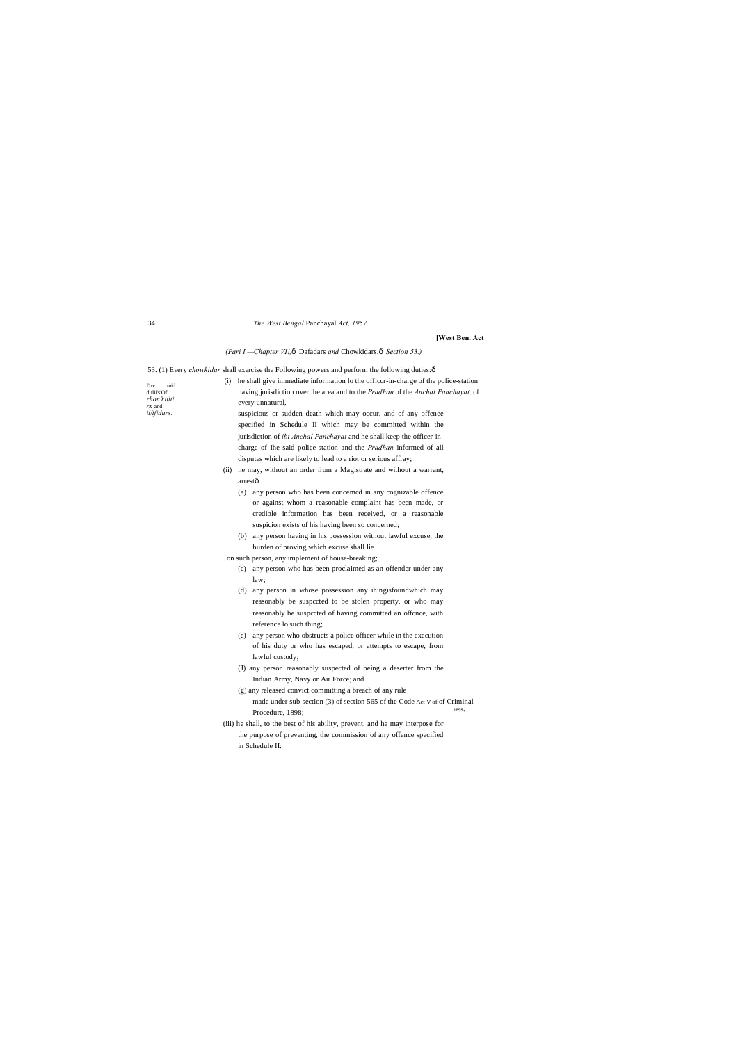dulii's'Of *rhon'kiilti rx* and *il/ifidurs.*

34 *The West Bengal* Panchayal *Act, 1957.*

**[West Ben. Act**

*(Pari I.—Chapter VI!,* ô Dafadars *and Chowkidars.* ô *Section 53.)* 

53. (1) Every *chowkidar* shall exercise the Following powers and perform the following duties: ô

I'ov. mid (i) he shall give immediate information lo the officcr-in-charge of the police-station having jurisdiction over ihe area and to the *Pradhan* of the *Anchal Panchayat,* of every unnatural, suspicious or sudden death which may occur, and of any offenee specified in Schedule II which may be committed within the jurisdiction of *ibt Anchal Panchayat* and he shall keep the officer-incharge of Ihe said police-station and the *Pradhan* informed of all disputes which are likely to lead to a riot or serious affray; (ii) he may, without an order from a Magistrate and without a warrant, arrestô (a) any person who has been concemcd in any cognizable offence or against whom a reasonable complaint has been made, or credible information has been received, or a reasonable suspicion exists of his having been so concerned; (b) any person having in his possession without lawful excuse, the burden of proving which excuse shall lie . on such person, any implement of house-breaking; (c) any person who has been proclaimed as an offender under any law; (d) any person in whose possession any ihingisfoundwhich may reasonably be suspccted to be stolen property, or who may reasonably be suspccted of having committed an offcnce, with reference lo such thing; (e) any person who obstructs a police officer while in the execution of his duty or who has escaped, or attempts to escape, from lawful custody; (J) any person reasonably suspected of being a deserter from the Indian Army, Navy or Air Force; and (g) any released convict committing a breach of any rule made under sub-section (3) of section 565 of the Code Act v of of Criminal Procedure, 1898;<br>
<sup>1898</sup> (iii) he shall, to the best of his ability, prevent, and he may interpose for the purpose of preventing, the commission of any offence specified in Schedule II:

| ۰,<br>I<br>×<br>٠ |  |
|-------------------|--|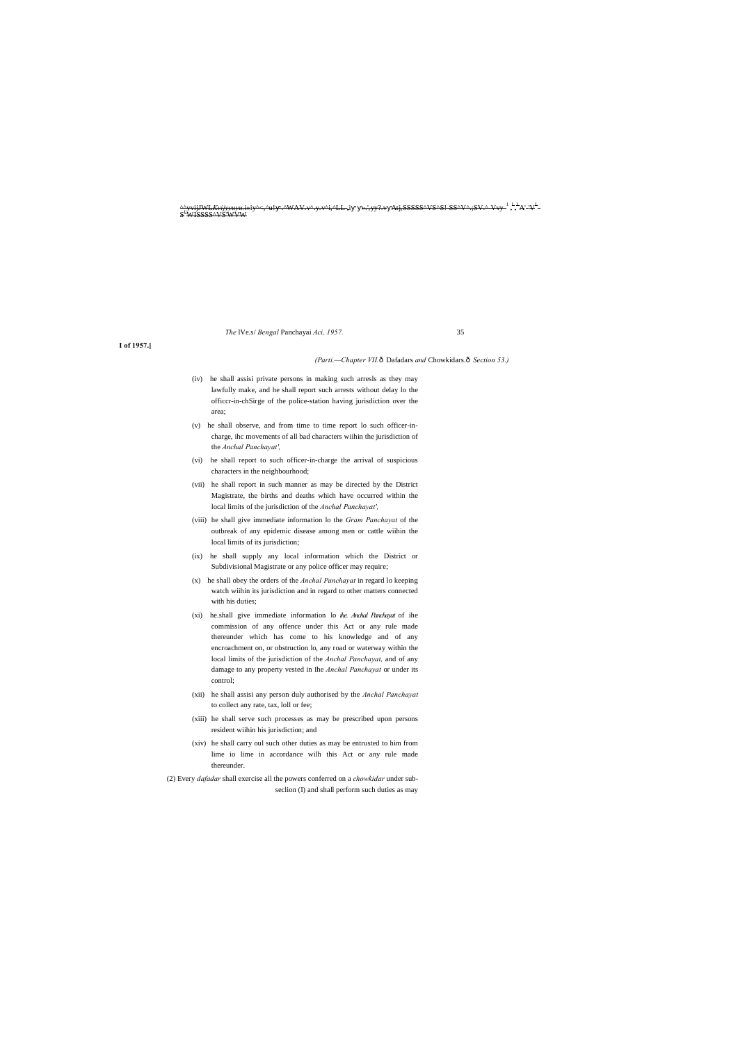*The* lVe.s/ *Bengal* Panchayai *Aci, 1957.* 35

## *(Parti.—Chapter VII.*<sup>6</sup> Dafadars *and Chowkidars.*<sup>6</sup> Section 53.)

^^yvijJWL*Kvijyyuyu.*i»iy^<,^u! -^WAV.v^.y.v^i,^LL si ».',yy?.v Atj,SSSSSS^VS^S!-SS^V^.;SV.^-Vvy-<sup>1</sup> s.sA'-'V<sup>L</sup> S<sup>E</sup>WISSSSAVSWVW

**I of 1957.]**

- (iv) he shall assisi private persons in making such arresls as they may lawfully make, and he shall report such arrests without delay lo the officcr-in-chSirge of the police-station having jurisdiction over the area;
- (v) he shall observe, and from time to time report lo such officer-incharge, ihc movements of all bad characters wiihin the jurisdiction of the *Anchal Panchayat',*
- (vi) he shall report to such officer-in-charge the arrival of suspicious characters in the neighbourhood;
- (vii) he shall report in such manner as may be directed by the District Magistrate, the births and deaths which have occurred within the local limits of the jurisdiction of the *Anchal Panchayat',*
- (viii) he shall give immediate information lo the *Gram Panchayat* of the outbreak of any epidemic disease among men or cattle wiihin the local limits of its jurisdiction;
- (ix) he shall supply any local information which the District or Subdivisional Magistrate or any police officer may require;
- (x) he shall obey the orders of the *Anchal Panchayat* in regard lo keeping watch wiihin its jurisdiction and in regard to other matters connected with his duties;
- (xi) he.shall give immediate information lo *ihe. Anchal Panchayat* of ihe commission of any offence under this Act or any rule made thereunder which has come to his knowledge and of any encroachment on, or obstruction lo, any road or waterway within the local limits of the jurisdiction of the *Anchal Panchayat,* and of any damage to any property vested in Ihe *Anchal Panchayat* or under its control;
- (xii) he shall assisi any person duly authorised by the *Anchal Panchayat* to collect any rate, tax, loll or fee;
- (xiii) he shall serve such processes as may be prescribed upon persons resident wiihin his jurisdiction; and
- (xiv) he shall carry oul such other duties as may be entrusted to him from lime io lime in accordance wilh this Act or any rule made thereunder.

(2) Every *dafadar* shall exercise all the powers conferred on a *chowkidar* under subseclion (I) and shall perform such duties as may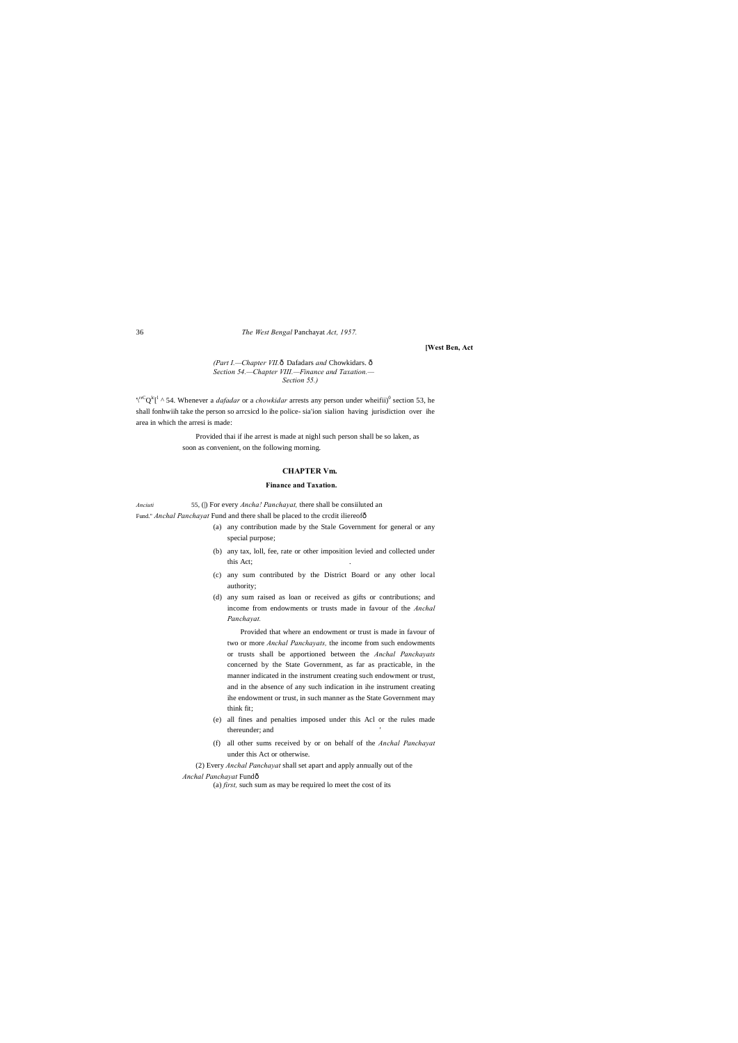36 *The West Bengal* Panchayat *Act, 1957.*

## **[West Ben, Act**

*(Part I.-Chapter VII.* ô Dafadars *and* Chowkidars.  $\hat{o}$ *Section 54.—Chapter VIII.—Finance and Taxation.— Section 55.)*

 $\gamma^{nc}Q^{bc}$ <sup>1</sup> ^ 54. Whenever a *dafadar* or a *chowkidar* arrests any person under wheifii)<sup>0</sup> section 53, he shall fonhwiih take the person so arrcsicd lo ihe police- sia'ion sialion having jurisdiction over ihe area in which the arresi is made:

> Provided thai if ihe arrest is made at nighl such person shall be so laken, as soon as convenient, on the following morning.

# **CHAPTER Vm.**

## **Finance and Taxation.**

*Anciuti* 55, () For every *Ancha! Panchayat*, there shall be consiiluted an Fund." Anchal Panchayat Fund and there shall be placed to the crcdit iliereofô

- (a) any contribution made by the Stale Government for general or any special purpose;
- (b) any tax, loll, fee, rate or other imposition levied and collected under this Act;
- (c) any sum contributed by the District Board or any other local authority;
- (d) any sum raised as loan or received as gifts or contributions; and income from endowments or trusts made in favour of the *Anchal Panchayat.*

Provided that where an endowment or trust is made in favour of two or more *Anchal Panchayats,* the income from such endowments or trusts shall be apportioned between the *Anchal Panchayats* concerned by the State Government, as far as practicable, in the manner indicated in the instrument creating such endowment or trust, and in the absence of any such indication in ihe instrument creating ihe endowment or trust, in such manner as the State Government may think fit;

- (e) all fines and penalties imposed under this Acl or the rules made thereunder; and
- (f) all other sums received by or on behalf of the *Anchal Panchayat* under this Act or otherwise.

(2) Every *Anchal Panchayat* shall set apart and apply annually out of the *Anchal Panchayat* Fund—

(a) *first,* such sum as may be required lo meet the cost of its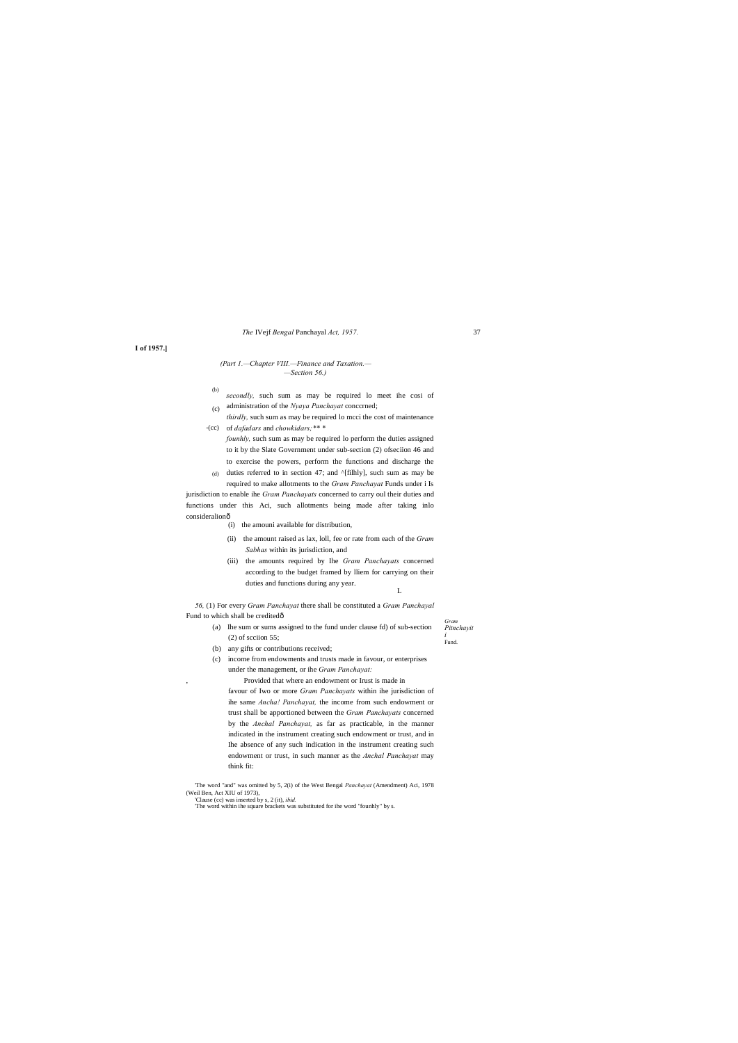*Gram Pitnchayit i* Fund.

# *The* IVejf *Bengal* Panchayal *Act, 1957.* 37

**I of 1957.]**

## *(Part 1.—Chapter VIII.—Finance and Taxation.— —Section 56.)*

- (b) (c) administration of the *Nyaya Panchayat* conccrned; *secondly,* such sum as may be required lo meet ihe cosi of
- -(cc) of *dafadars* and *chowkidars;\*\* \* thirdly,* such sum as may be required lo mcci the cost of maintenance
- *founhly,* such sum as may be required lo perform the duties assigned to it by the Slate Government under sub-section (2) ofseciion 46 and to exercise the powers, perform the functions and discharge the
- (d) duties referred to in section 47; and ^[filhly], such sum as may be required to make allotments to the *Gram Panchayat* Funds under i Is

jurisdiction to enable ihe *Gram Panchayats* concerned to carry oul their duties and functions under this Aci, such allotments being made after taking inlo consideralionô

*56,* (1) For every *Gram Panchayat* there shall be constituted a *Gram Panchayal* Fund to which shall be creditedô

> (a) Ihe sum or sums assigned to the fund under clause fd) of sub-section  $(2)$  of scciion 55;

- (i) the amouni available for distribution,
- (ii) the amount raised as lax, loll, fee or rate from each of the *Gram Sabhas* within its jurisdiction, and
- (iii) the amounts required by Ihe *Gram Panchayats* concerned according to the budget framed by lliem for carrying on their duties and functions during any year. L

- (b) any gifts or contributions received;
- (c) income from endowments and trusts made in favour, or enterprises under the management, or ihe *Gram Panchayat:*

, Provided that where an endowment or Irust is made in favour of Iwo or more *Gram Panchayats* within ihe jurisdiction of ihe same *Ancha! Panchayat,* the income from such endowment or trust shall be apportioned between the *Gram Panchayats* concerned by the *Anchal Panchayat,* as far as practicable, in the manner indicated in the instrument creating such endowment or trust, and in Ihe absence of any such indication in the instrument creating such endowment or trust, in such manner as the *Anchal Panchayat* may think fit:

'The word "and" was omitted by 5, 2(i) of the West Bengal *Panchayat* (Amendment) Aci, 1978

(Weil Ben, Act XIU of 1973), 'Clause (cc) was inserted by s, 2 (it), *ibid.* 'The word within ihe square brackets was substituted for ihe word "founhly" by s.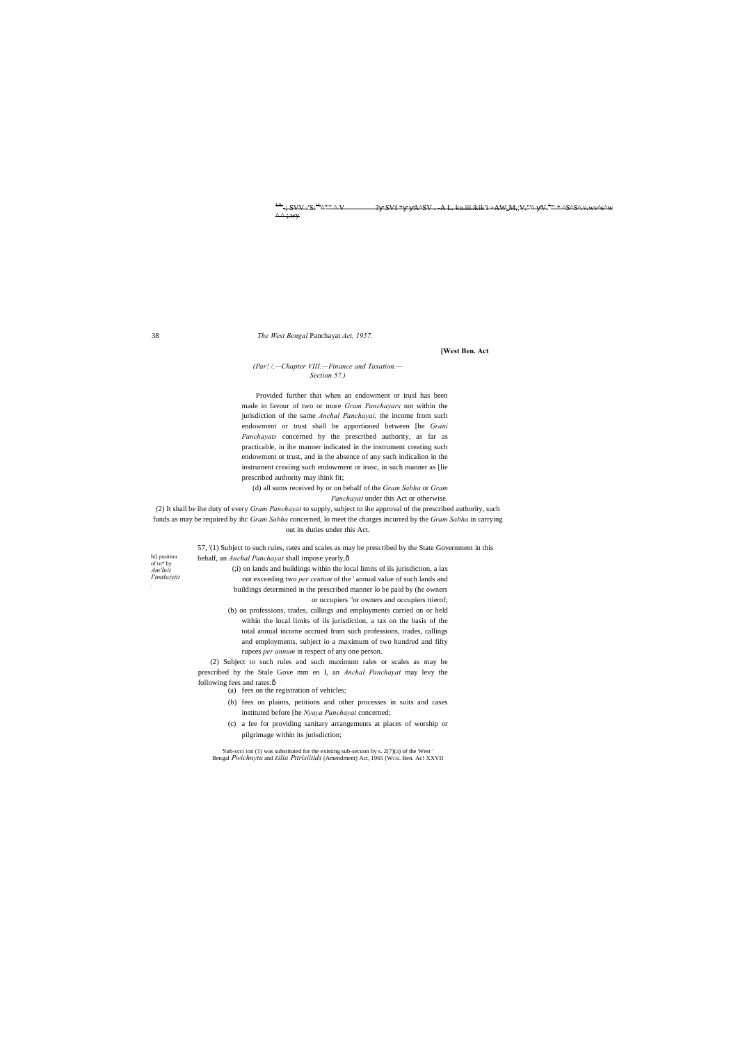hi] position of tn\* by *Am'luit I'tmtlutyttt .*

## <sup>HE</sup>; SVV:'S:<sup>H</sup>'^'''' ^ V <sup>?</sup> SVf \* A^SV . A L. ku.iii.ikik'i >AW<sub>v</sub>M;,V.'''^ V.<sup>1</sup>''' \* ^S^S^.v.wv^s^w  $\Delta \Delta$ ; wy

38 *The West Bengal* Panchayat *Act, 1957.*

## **[West Ben. Act**

*(Par! /,—Chapter VIII.—Finance and Taxation.— Section 57.)*

Provided further that when an endowment or irusl has been made in favour of two or more *Gram Panchayars* not within the jurisdiction of the same *Anchal Panchayai,* the income from such endowment or trust shall be apportioned between [he *Grani Panchayats* concerned by the prescribed authority, as far as practicable, in ihe manner indicated in the instrument creating such endowment or trust, and in the absence of any such indicalion in the instrument creaiing such endowment or irusc, in such manner as [lie prescribed authority may ihink fit;

(d) all sums received by or on behalf of the *Gram Sabha* or *Gram Panchayat* under this Act or otherwise.

(2) Subject to such rules and such maximum rales or scales as may be prescribed by the Stale Gove mm en I, an *Anchal Panchayat* may levy the following fees and rates: $\hat{o}$ 

(2) It shall be ihe duty of every *Gram Panchayat* to supply, subject to ihe approval of the prescribed authority, such funds as may be required by ihc *Gram Sabha* concerned, lo meet the charges incurred by the *Gram Sabha* in carrying out its duties under this Act.

> 57, '(1) Subject to such rules, rates and scales as may be prescribed by the State Government in this behalf, an *Anchal Panchayat* shall impose yearly,—

- (;i) on lands and buildings within the local limits of ils jurisdiction, a lax not exceeding two *per centum* of the ' annual value of such lands and buildings determined in the prescribed manner lo be paid by (he owners or occupiers "or owners and occupiers ttierof;
- (b) on professions, trades, callings and employments carried on or held within the local limits of ils jurisdiction, a tax on the basis of the total annual income accrued from such professions, trades, callings and employments, subject io a maximum of two hundred and fifty rupees *per annum* in respect of any one person.

- (a) fees on the registration of vehicles;
- (b) fees on plaints, petitions and other processes in suits and cases instituted before [he *Nyaya Panchayat* concerned;
- (c) a fee for providing sanitary arrangements at places of worship or pilgrimage within its jurisdiction;

'Sub-scci ion (1) was substituted for the existing sub-secuon by s. 2(7)(a) of the West ' Bengal *Pwichnytu* and Z*ilia Pttrisiitids* (Amendment) Act, 1965 (WCSL Ben. Ac! XXVII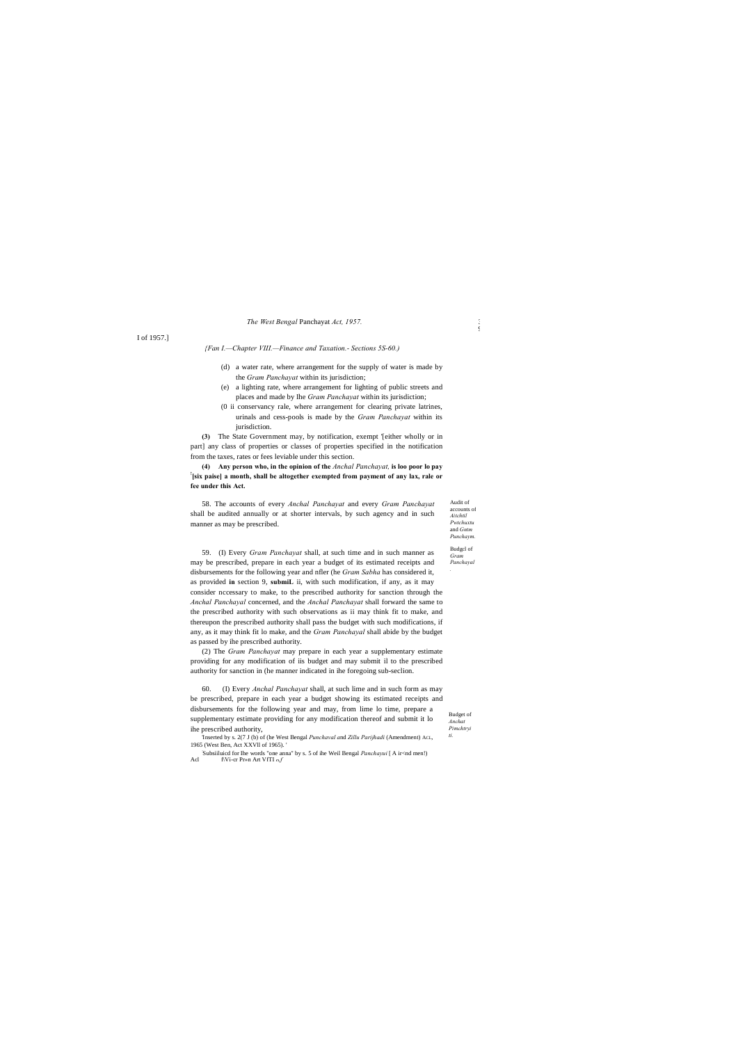accounts of *Aitchtil Pwtchuxtu*  and *Gntm Punchaym.* Budgcl of

*Gram Panchayal .*

 $\frac{3}{2}$ 

Budget of *Anchat Pimchtryi*

## *The West Bengal* Panchayat *Act, 1957.*

I of 1957.]

# *{Fan I.—Chapter VIII.—Finance and Taxation.- Sections 5S-60.)*

- (d) a water rate, where arrangement for the supply of water is made by the *Gram Panchayat* within its jurisdiction;
- (e) a lighting rate, where arrangement for lighting of public streets and places and made by Ihe *Gram Panchayat* within its jurisdiction;
- (0 ii conservancy rale, where arrangement for clearing private latrines, urinals and cess-pools is made by the *Gram Panchayat* within its jurisdiction.

Audit of 58. The accounts of every *Anchal Panchayat* and every *Gram Panchayat* shall be audited annually or at shorter intervals, by such agency and in such manner as may be prescribed.

**(3)** The State Government may, by notification, exempt '[either wholly or in part] any class of properties or classes of properties specified in the notification from the taxes, rates or fees leviable under this section.

**(4) Any person who, in the opinion of the** *Anchal Panchayat,* **is loo poor lo pay !** <sup>1</sup>[six paise] a month, shall be altogether exempted from payment of any lax, rale or **fee under this Act.**

*ti.* 60. (I) Every *Anchal Panchayat* shall, at such lime and in such form as may be prescribed, prepare in each year a budget showing its estimated receipts and disbursements for the following year and may, from lime lo time, prepare a supplementary estimate providing for any modification thereof and submit it lo ihe prescribed authority,

59. (I) Every *Gram Panchayat* shall, at such time and in such manner as may be prescribed, prepare in each year a budget of its estimated receipts and disbursements for the following year and nfler (he *Gram Sabha* has considered it, as provided **in** section 9, **submiL** ii, with such modification, if any, as it may consider nccessary to make, to the prescribed authority for sanction through the *Anchal Panchayal* concerned, and the *Anchal Panchayat* shall forward the same to the prescribed authority with such observations as ii may think fit to make, and thereupon the prescribed authority shall pass the budget with such modifications, if any, as it may think fit lo make, and the *Gram Panchayal* shall abide by the budget as passed by ihe prescribed authority.

(2) The *Gram Panchayat* may prepare in each year a supplementary estimate providing for any modification of iis budget and may submit il to the prescribed authority for sanction in (he manner indicated in ihe foregoing sub-seclion.

'Inserted by s. 2(7 J (b) of (he West Bengal *Punchaval a*nd *Zillu Parijhadi* (Amendment) ACL, 1965 (West Ben, Act XXVll of 1965). '

Subsiiluicd for Ihe words "one anna" by s. 5 of ihe Weil Bengal *Panchayui* [A ir <nd men!)<br>Acl f\Vi-cr Pr»n Art VfTI *n*<sub>*f*</sub>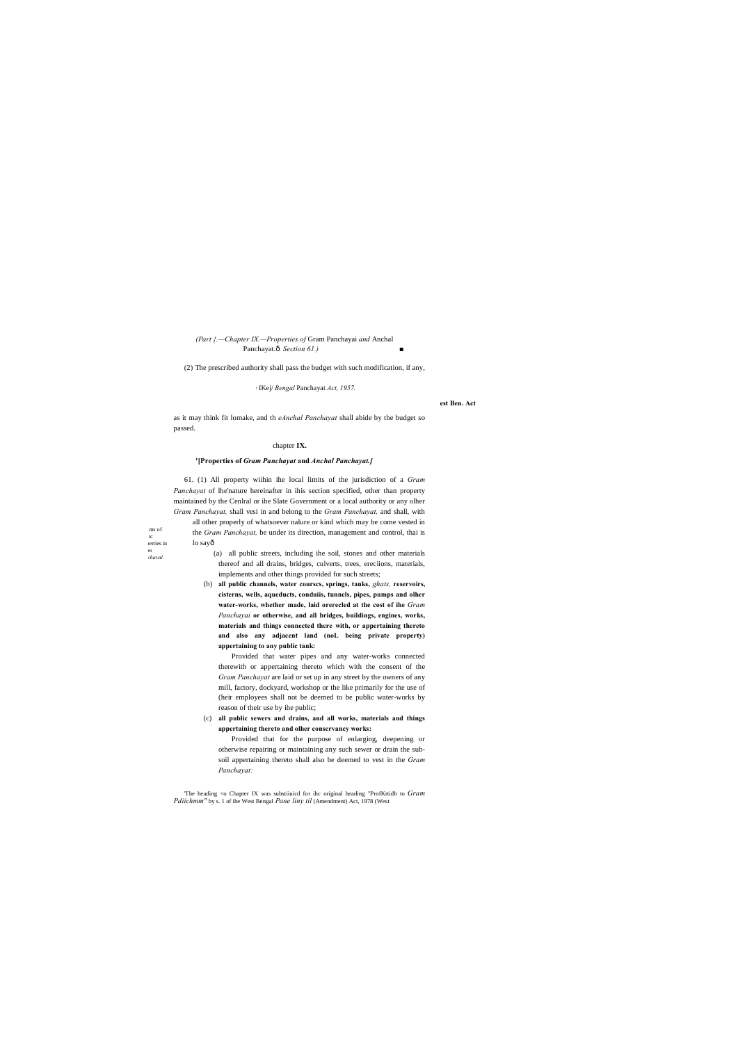# *(Part {.—Chapter IX.—Properties of* Gram Panchayai *and* Anchal Panchayat. $\hat{o}$  *Section 61.*)

*The* IKej/ *Bengal* Panchayat *Act, 1957.*

est Ben. Act

(2) The prescribed authority shall pass the budget with such modification, if any,

as it may think fit lomake, and th *eAnchal Panchayat* shall abide by the budget so passed.

## chapter **IX.**

# **'[Properties of** *Gram Panchayat* **and** *Anchal Panchayat.]*

61. (1) All property wiihin ihe local limits of the jurisdiction of a *Gram Panchayat* of lhe'nature hereinafter in ihis section specified, other than property maintained by the Cenlral or ihe Slate Government or a local authority or any olher *Gram Panchayat,* shall vesi in and belong to the *Gram Panchayat,* and shall, with

 $\text{ms}$  of public verties in m<br>chaval.

all other properly of whatsoever nalure or kind which may be come vested in

the *Gram Panchayat,* be under its direction, management and control, thai is lo sayô (a) all public streets, including ihe soil, stones and other materials

- thereof and all drains, bridges, culverts, trees, ereciions, materials, implements and other things provided for such streets;
- (b) **all public channels, water courscs, springs, tanks,** *ghats,* **reservoirs, cisterns, wells, aqueducts, conduiis, tunnels, pipes, pumps and olher water-works, whether made, laid orerecled at the cost of ihe** *Gram Panchayai* **or otherwise, and all bridges, buildings, engines, works, materials and things connected there with, or appertaining thereto and also any adjacent land (noL being private property) appertaining to any public tank:**

Provided that water pipes and any water-works connected therewith or appertaining thereto which with the consent of the *Gram Panchayat* are laid or set up in any street by the owners of any mill, factory, dockyard, workshop or the like primarily for the use of (heir employees shall not be deemed to be public water-works by reason of their use by ihe public;

(c) **all public sewers and drains, and all works, materials and things appertaining thereto and olher conservancy works:**

Provided that for the purpose of enlarging, deepening or otherwise repairing or maintaining any such sewer or drain the subsoil appertaining thereto shall also be deemed to vest in the *Gram Panchayat:*

'The heading <o Chapter IX was substiiuicd for ihc original heading "ProfKrtidb to *Gram Pdiichmm"* by s. 1 of ihe West Bengal *Pane liny til* (Amendment) Act, 1978 (West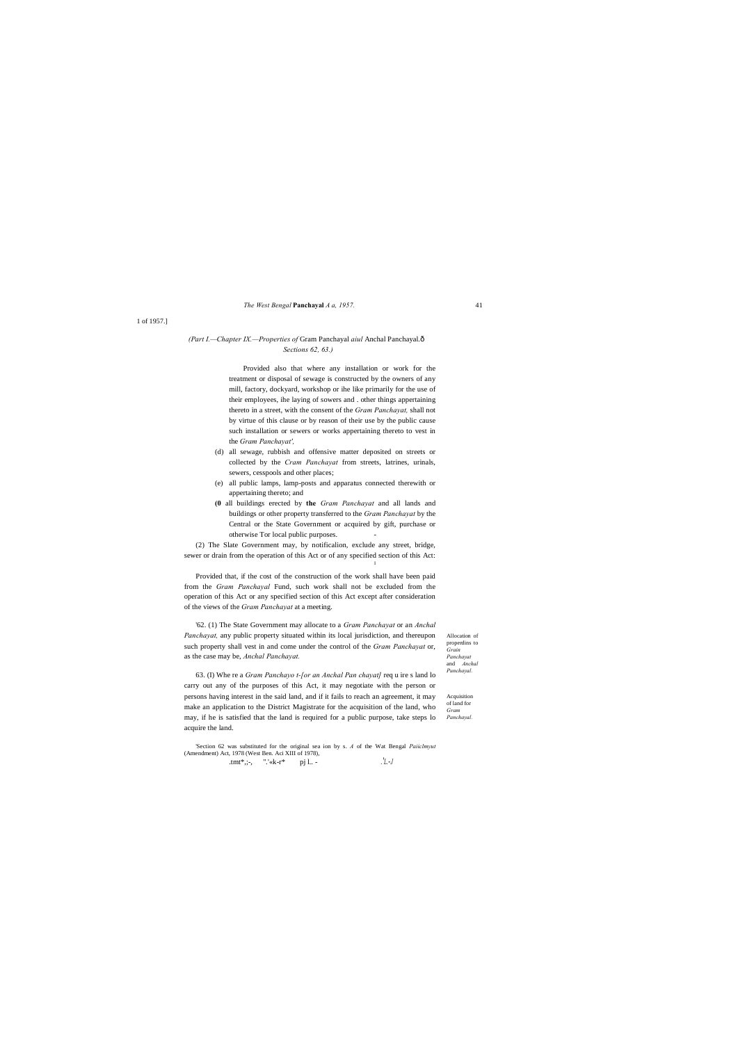Allocation of properdins to *Grain Panchayat*  and *Anchal Punchayal.*

of land for *Gram Panchayal.*

*The West Bengal* **Panchayal** *A a, 1957.* 41

1 of 1957.]

# *(Part I.—Chapter IX.—Properties of* Gram Panchayal *aiul* Anchal Panchayal.— *Sections 62, 63.)*

Provided also that where any installation or work for the treatment or disposal of sewage is constructed by the owners of any mill, factory, dockyard, workshop or ihe like primarily for the use of their employees, ihe laying of sowers and . other things appertaining thereto in a street, with the consent of the *Gram Panchayat,* shall not by virtue of this clause or by reason of their use by the public cause such installation or sewers or works appertaining thereto to vest in the *Gram Panchayat',*

- (d) all sewage, rubbish and offensive matter deposited on streets or collected by the *Cram Panchayat* from streets, latrines, urinals, sewers, cesspools and other places;
- (e) all public lamps, lamp-posts and apparatus connected therewith or appertaining thereto; and
- **(0** all buildings erected by **the** *Gram Panchayat* and all lands and buildings or other property transferred to the *Gram Panchayat* by the Central or the State Government or acquired by gift, purchase or otherwise Tor local public purposes. -

Acquisition 63. (I) Whe re a *Gram Panchayo t-[or an Anchal Pan chayat]* req u ire s land lo carry out any of the purposes of this Act, it may negotiate with the person or persons having interest in the said land, and if it fails to reach an agreement, it may make an application to the District Magistrate for the acquisition of the land, who may, if he is satisfied that the land is required for a public purpose, take steps lo acquire the land.

(2) The Slate Government may, by notificalion, exclude any street, bridge, sewer or drain from the operation of this Act or of any specified section of this Act:

1

Provided that, if the cost of the construction of the work shall have been paid from the *Gram Panchayal* Fund, such work shall not be excluded from the operation of this Act or any specified section of this Act except after consideration of the views of the *Gram Panchayat* at a meeting.

'62. (1) The State Government may allocate to a *Gram Panchayat* or an *Anchal Panchayat,* any public property situated within its local jurisdiction, and thereupon such property shall vest in and come under the control of the *Gram Panchayat* or, as the case may be, *Anchal Panchayat.*

'Section 62 was substituted for the original sea ion by s. *A* of the Wat Bengal *Paiiclmyut* (Amendment) Act, 1978 (West Ben. Aci XIII of 1978), .tmt\*,;-, ".'«k-r\* pj l.. - *.'L.-J*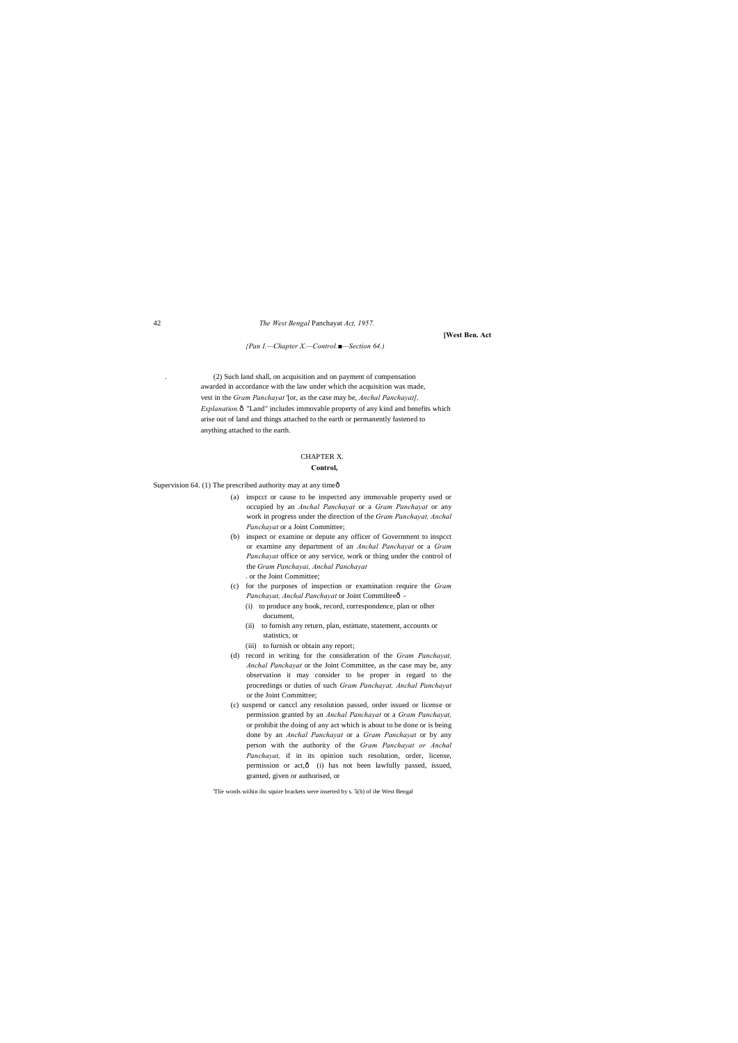42 *The West Bengal* Panchayat *Act, 1957.*

**[West Ben. Act**

*{Pan I.—Chapter X.—Control.■—Section 64.)*

. (2) Such land shall, on acquisition and on payment of compensation awarded in accordance with the law under which the acquisition was made, vest in the *Gram Panchayat* '[or, as the case may be, *Anchal Panchayat], Explanation.* $\hat{o}$  "Land" includes immovable property of any kind and benefits which arise out of land and things attached to the earth or permanently fastened to anything attached to the earth.

## CHAPTER X.

### **Control,**

Supervision 64. (1) The prescribed authority may at any timeô

- (a) inspcct or cause to be inspected any immovable property used or occupied by an *Anchal Panchayat* or a *Gram Panchayat* or any work in progress under the direction of the *Gram Panchayat, Anchal Panchayat* or a Joint Committee;
- (b) inspect or examine or depute any officer of Government to inspcct or examine any department of an *Anchal Panchayat* or a *Gram Panchayat* office or any service, work or thing under the control of the *Gram Panchayai, Anchal Panchayat* . or the Joint Committee;
- (c) for the purposes of inspection or examination require the *Gram*  Panchayat, Anchal Panchayat or Joint Commilteeô -
	- (i) to produce any book, record, correspondence, plan or olher document,
	- (ii) to furnish any return, plan, estimate, statement, accounts or statistics, or
	- (iii) to furnish or obtain any report;
- (d) record in writing for the consideration of the *Gram Panchayat, Anchal Panchayat* or the Joint Committee, as the case may be, any observation it may consider to be proper in regard to the proceedings or duties of such *Gram Panchayat, Anchal Panchayat* or the Joint Committee;
- (c) suspend or canccl any resolution passed, order issued or license or permission granted by an *Anchal Panchayat* or a *Gram Panchayat,* or prohibit the doing of any act which is about to be done or is being done by an *Anchal Panchayat* or a *Gram Panchayat* or by any person with the authority of the *Gram Panchayat or Anchal Panchayat,* if in its opinion such resolution, order, license, permission or act, $\hat{o}$  (i) has not been lawfully passed, issued, granted, given or authorised, or

'Tlie words wiihin ihc squire brackets were inserted by s. 5(b) of ihe West Bengal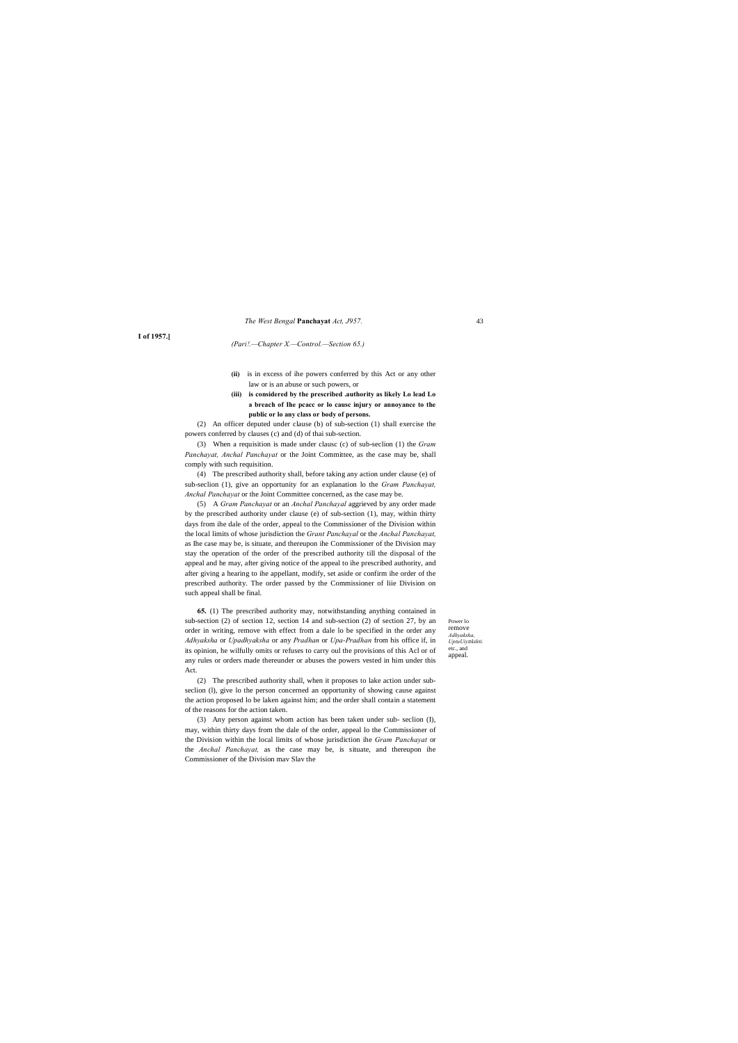Power lo remove *Adhyaksha, UptuUiyttkshti.* etc., and appeal.

# *The West Bengal* **Panchayat** *Act, J957.*

**I of 1957.]**

## *(Pari!.—Chapter X.—Control.—Section 65.)*

- **(ii)** is in excess of ihe powers conferred by this Act or any other law or is an abuse or such powers, or
- **(iii) is considered by the prescribed .authority as likely Lo lead Lo a breach of Ihe pcacc or lo causc injury or annoyance to the public or lo any class or body of persons.**

(2) An officer deputed under clause (b) of sub-section (1) shall exercise the powers conferred by clauses (c) and (d) of thai sub-section.

(3) When a requisition is made under clausc (c) of sub-seclion (1) the *Gram Panchayat, Anchal Panchayat* or the Joint Committee, as the case may be, shall comply with such requisition.

(4) The prescribed authority shall, before taking any action under clause (e) of sub-seclion (1), give an opportunity for an explanation lo the *Gram Panchayat, Anchal Panchayat* or the Joint Committee concerned, as the case may be.

(5) A *Gram Panchayat* or an *Anchal Panchayal* aggrieved by any order made by the prescribed authority under clause (e) of sub-section (1), may, within thirty days from ihe dale of the order, appeal to the Commissioner of the Division within the local limits of whose jurisdiction the *Grant Panchayal* or the *Anchal Panchayat,* as Ihe case may be, is situate, and thereupon ihe Commissioner of the Division may stay the operation of the order of the prescribed authority till the disposal of the appeal and he may, after giving notice of the appeal to ihe prescribed authority, and after giving a hearing to ihe appellant, modify, set aside or confirm ihe order of the prescribed authority. The order passed by the Commissioner of liie Division on such appeal shall be final.

**65.** (1) The prescribed authority may, notwithstanding anything contained in sub-section (2) of section 12, section 14 and sub-section (2) of section 27, by an order in writing, remove with effect from a dale lo be specified in the order any *Adhyaksha* or *Upadhyaksha* or any *Pradhan* or *Upa-Pradhan* from his office if, in its opinion, he wilfully omits or refuses to carry oul the provisions of this Acl or of any rules or orders made thereunder or abuses the powers vested in him under this Act.

(2) The prescribed authority shall, when it proposes to lake action under subseclion (l), give lo the person concerned an opportunity of showing cause against the action proposed lo be laken against him; and the order shall contain a statement of the reasons for the action taken.

(3) Any person against whom action has been taken under sub- seclion (I), may, within thirty days from the dale of the order, appeal lo the Commissioner of the Division within the local limits of whose jurisdiction ihe *Gram Panchayat* or the *Anchal Panchayat,* as the case may be, is situate, and thereupon ihe Commissioner of the Division mav Slav the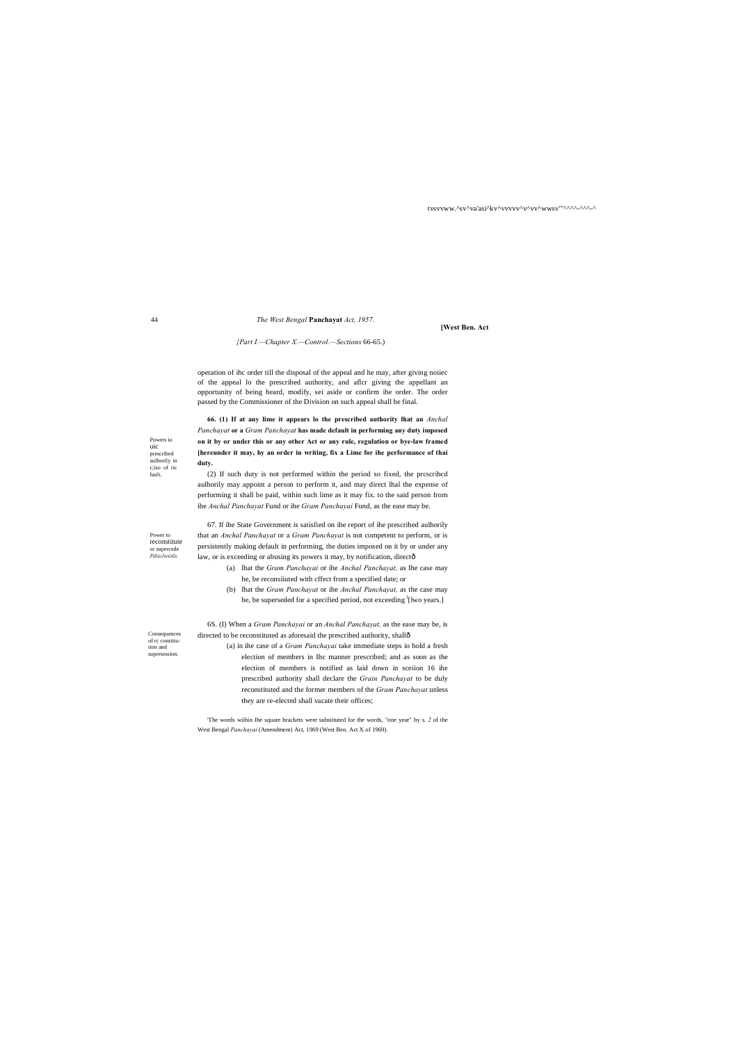Power to reconstitute or supercede *Pdiiclwxitls.*

of rc constitution and supersession

Powers io uic prescribed aulhorily in c;iso of tic fault.

Consequences

tvsvvww.^sv^va'asi^kv^vvvvvv^v^vvvwsv"'^^^^-^^^-^^-^

## *The West Bengal* **Panchayat** *Act, 1957.*

## **[West Ben. Act**

*{Part I.—Chapter X.—Control.—Sections* 66-65.)

operation of ihc order till the disposal of the appeal and he may, after giving noiiec of the appeal lo the prescribed authority, and aflcr giving the appellant an opportunity of being heard, modify, sei aside or confirm ihe order. The order passed by the Commissioner of the Division on such appeal shall be final.

67. If ibe State Government is satisfied on ihe report of ihe prescribed aulhorily that an *Anchal Panchayat* or a *Gram Panchayat* is not competent to perform, or is persistently making default in performing, the duties imposed on it by or under any law, or is exceeding or abusing its powers it may, by notification, directô

- (a) lhat the *Gram Panchayai* or ihe *Anchal Panchayat,* as Ihe case may he, be reconsiiuted with cffect from a specified date; or
- (b) lhat the *Gram Panchayat* or ihe *Anchal Panchayat,* as the case may be, be superseded for a specified period, not exceeding  $\frac{1}{2}$ [lwo years.]

**66. (1) If at any lime it appears lo the prescribed authority lhat an** *Anchal Panchayat* **or a** *Gram Panchayat* **has made default in performing any duty imposed on it by or under this or any other Act or any rule, regulation or bye-law framed [hereunder it may, hy an order in writing, fix a Lime for ihe performance of thai duty.**

6S. (I) When a *Gram Panchayai* or an *Anchal Panchayat,* as the ease may be, is directed to be reconstituted as aforesaid the prescribed authority, shallô

(2) If such duty is not performed within the period so fixed, the prcscribcd aulhorily may appoint a person to perform it, and may direct lhal the expense of performing it shall be paid, within such lime as it may fix. to the said person from ihe *Anchal Panchayat* Fund or ihe *Gram Panchayai* Fund, as the ease may be.

> (a) in ihe case of a *Gram Panchayai* take immediate steps io hold a fresh election of members in Ihc manner prescribed; and as soon as the election of members is notified as laid down in sceiion 16 ihe prescribed authority shall declare the *Grain Panchayat* to be duly reconstituted and the former members of the *Gram Panchayat* unless they are re-elected shall vacate their offices;

'The words wiihin Ihe square brackets were substituted for the words, "one year" by s. *2* of the West Bengal *Panchayai* (Amendment) Act, 1969 (West Ben. Act X of 1969).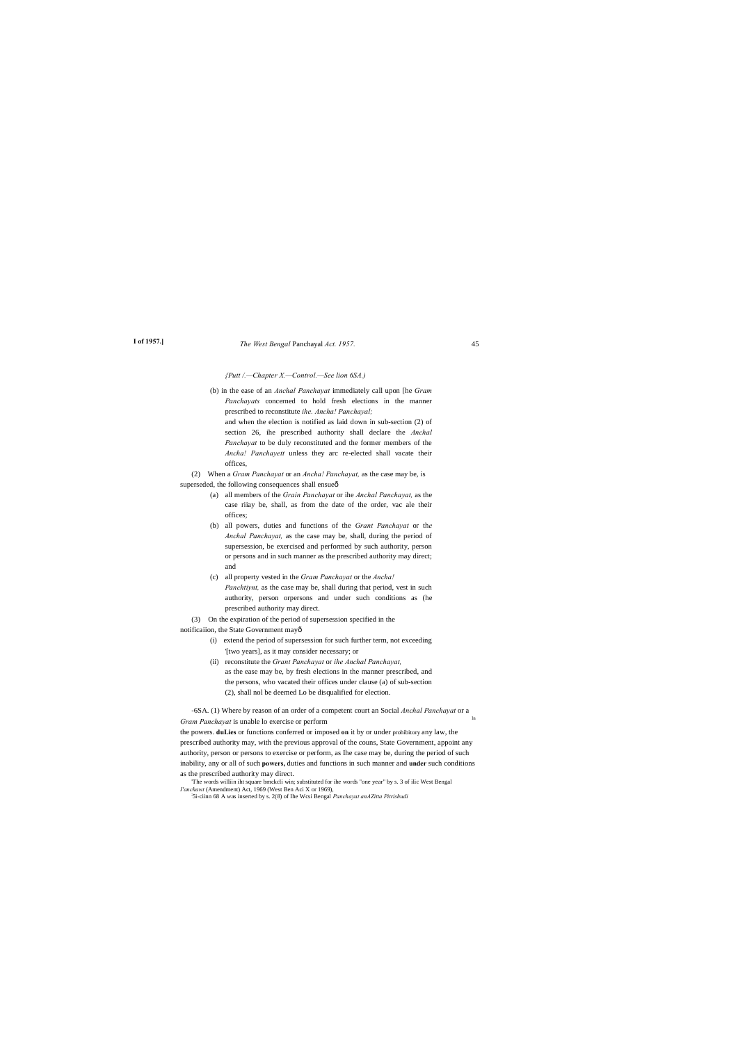# **I of 1957.]** *The West Bengal* Panchayal *Act. 1957.* 45

*{Putt /.—Chapter X.—Control.—See lion 6SA.)*

(2) When a *Gram Panchayat* or an *Ancha! Panchayat,* as the case may be, is superseded, the following consequences shall ensueô

(b) in the ease of an *Anchal Panchayat* immediately call upon [he *Gram Panchayats* concerned to hold fresh elections in the manner prescribed to reconstitute *ihe. Ancha! Panchayal;* and when the election is notified as laid down in sub-section (2) of section 26, ihe prescribed authority shall declare the *Anchal Panchayat* to be duly reconstituted and the former members of the *Ancha! Panchayett* unless they arc re-elected shall vacate their

offices,

- (a) all members of the *Grain Panchayat* or ihe *Anchal Panchayat,* as the case riiay be, shall, as from the date of the order, vac ale their offices;
- (b) all powers, duties and functions of the *Grant Panchayat* or th*e Anchal Panchayat,* as the case may be, shall, during the period of supersession, be exercised and performed by such authority, person or persons and in such manner as the prescribed authority may direct; and
- (c) all property vested in the *Gram Panchayat* or the *Ancha! Panchtiynt,* as the case may be, shall during that period, vest in such authority, person orpersons and under such conditions as (he prescribed authority may direct.
- (3) On the expiration of the period of supersession specified in the
- notificaiion, the State Government may—

- (i) extend the period of supersession for such further term, not exceeding '[two years], as it may consider necessary; or
- (ii) reconstitute the *Grant Panchayat* or *ihe Anchal Panchayat,* as the ease may be, by fresh elections in the manner prescribed, and the persons, who vacated their offices under clause (a) of sub-section (2), shall nol be deemed Lo be disqualified for election.

-6SA. (1) Where by reason of an order of a competent court an Social *Anchal Panchayat* or a *Gram Panchayat* is unable lo exercise or perform ln the powers. **duLies** or functions conferred or imposed **on** it by or under prohibitory any law, the prescribed authority may, with the previous approval of the couns, State Government, appoint any authority, person or persons to exercise or perform, as Ihe case may be, during the period of such inability, any or all of such **powers,** duties and functions in such manner and **under** such conditions

as the prescribed authority may direct. 'The words williin iht square bmckcli win; substituted for ihe words "one year" by s. 3 of ilic West Bengal

*I'anchawt* (Amendment) Act, 1969 (West Ben Aci X or 1969), ; 5i-ciinn 68 A was inserted by s. 2(8) of Ihe Wcsi Bengal *Panchayat anAZitta Pitrishudi*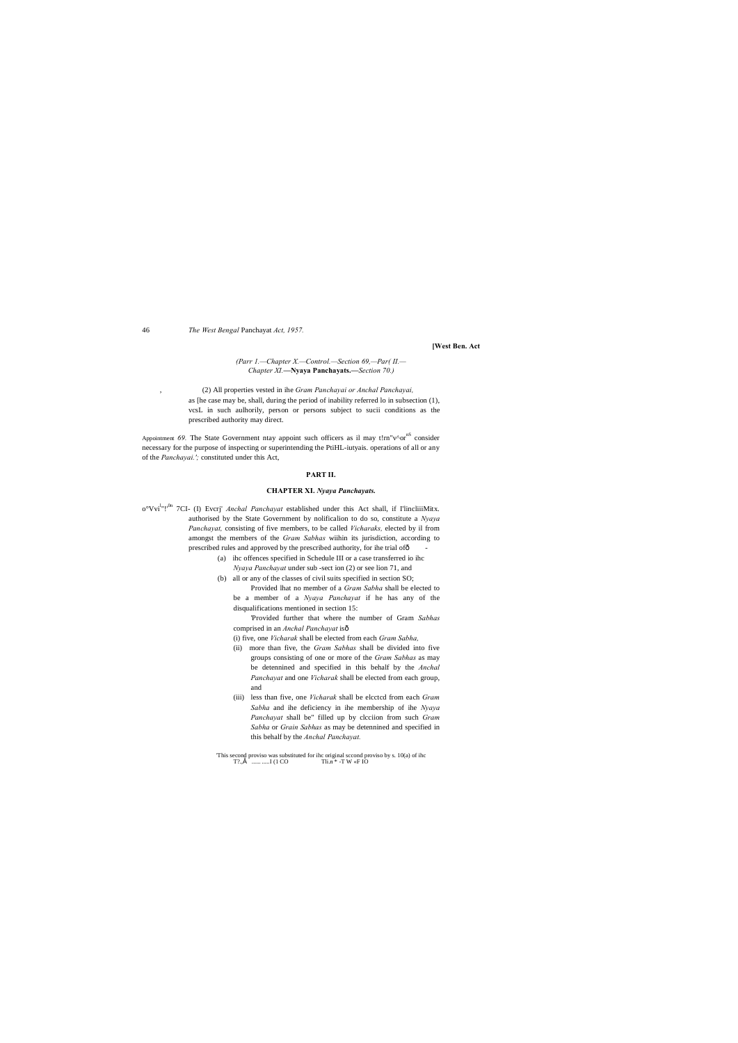46 *The West Bengal* Panchayat *Act, 1957.*

# **[West Ben. Act**

# *(Parr 1.—Chapter X.—Control.—Section 69,—Par( II.— Chapter XI.***—Nyaya Panchayats.—***Section 70.)*

, (2) All properties vested in ihe *Gram Panchayai or Anchal Panchayai,* as [he case may be, shall, during the period of inability referred lo in subsection (1), vcsL in such aulhorily, person or persons subject to sucii conditions as the prescribed authority may direct.

Appointment 69. The State Government ntay appoint such officers as il may t!rn"v^or<sup>nS</sup> consider necessary for the purpose of inspecting or superintending the PtiHL-iutyais. operations of all or any of the *Panchayai.';* constituted under this Act,

## **PART II.**

# **CHAPTER XI.** *Nyaya Panchayats.*

o°Vvi<sup>1</sup>"!<sup>'on</sup> 7CI- (I) Evcrj' *Anchal Panchayat* established under this Act shall, if I'lincliiiMitx. authorised by the State Government by nolificalion to do so, constitute a *Nyaya Panchayat,* consisting of five members, to be called *Vicharaks,* elected by il from amongst the members of the *Gram Sabhas* wiihin its jurisdiction, according to prescribed rules and approved by the prescribed authority, for ihe trial of ô

> 'Provided further that where the number of Gram *Sabhas*  comprised in an *Anchal Panchayat* isô

- (a) ihc offences specified in Schedule III or a case transferred io ihc *Nyaya Panchayat* under sub -sect ion (2) or see lion 71, and
- (b) all or any of the classes of civil suits specified in section SO;
	- Provided lhat no member of a *Gram Sabha* shall be elected to be a member of a *Nyaya Panchayat* if he has any of the disqualifications mentioned in section 15:

- (i) five, one *Vicharak* shall be elected from each *Gram Sabha,*
- (ii) more than five, the *Gram Sabhas* shall be divided into five groups consisting of one or more of the *Gram Sabhas* as may be detennined and specified in this behalf by the *Anchal Panchayat* and one *Vicharak* shall be elected from each group, and
- (iii) less than five, one *Vicharak* shall be elcctcd from each *Gram Sabha* and ihe deficiency in ihe membership of ihe *Nyaya Panchayat* shall be" filled up by clcciion from such *Gram Sabha* or *Grain Sabhas* as may be detennined and specified in this behalf by the *Anchal Panchayat.*

This second proviso was substituted for ihc original sccond proviso by s. 10(a) of ihc T?.,  $\zeta$  ...... .......I (1 CO Tli.n \* -T W «F IO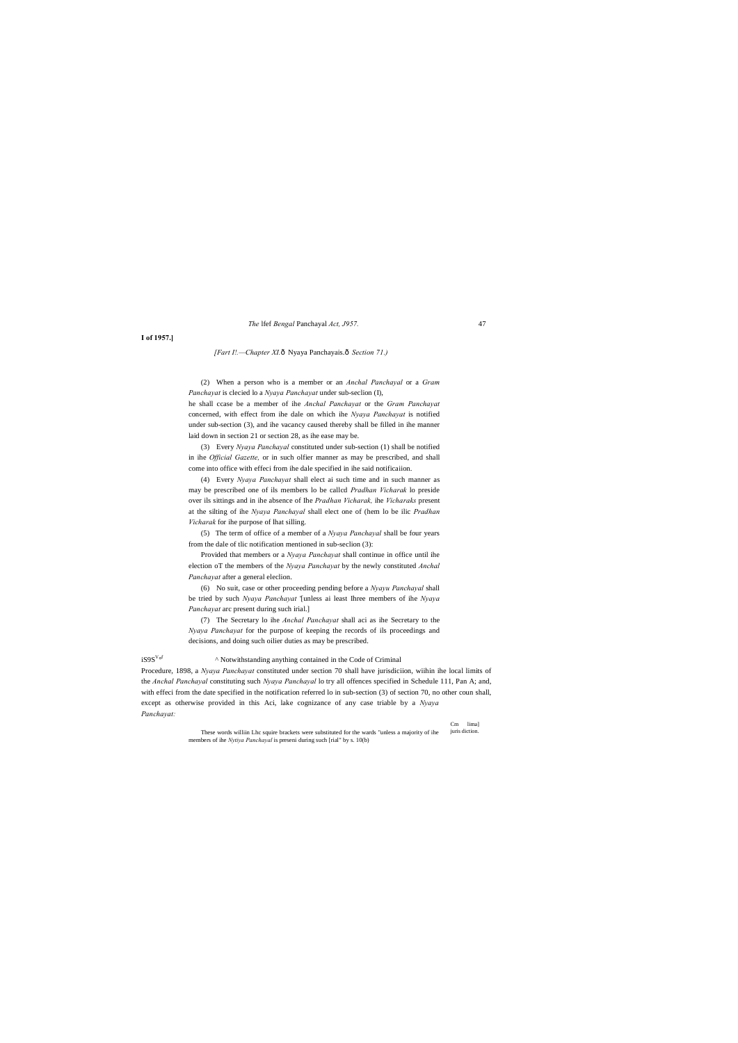*The* lfef *Bengal* Panchayal *Act, J957.* 47

**I of 1957.]**

 $i$ S9S $V$ of

*[Fart I!.*—*Chapter XI.*ô Nyaya Panchayais.ô Section 71.)

(2) When a person who is a member or an *Anchal Panchayal* or a *Gram Panchayat* is clecied lo a *Nyaya Panchayat* under sub-seclion (I),

he shall ccase be a member of ihe *Anchal Panchayat* or the *Gram Panchayat* concerned, with effect from ihe dale on which ihe *Nyaya Panchayat* is notified under sub-section (3), and ihe vacancy caused thereby shall be filled in ihe manner laid down in section 21 or section 28, as ihe ease may be.

(3) Every *Nyaya Panchayal* constituted under sub-section (1) shall be notified in ihe *Official Gazette,* or in such olfier manner as may be prescribed, and shall come into office with effeci from ihe dale specified in ihe said notificaiion.

(4) Every *Nyaya Panchayat* shall elect ai such time and in such manner as may be prescribed one of ils members lo be callcd *Pradhan Vicharak* lo preside over ils sittings and in ihe absence of Ihe *Pradhan Vicharak,* ihe *Vicharaks* present at the silting of ihe *Nyaya Panchayal* shall elect one of (hem lo be ilic *Pradhan Vicharak* for ihe purpose of lhat silling.

(5) The term of office of a member of a *Nyaya Panchayal* shall be four years from the dale of tlic notification mentioned in sub-seclion (3):

Provided that members or a *Nyaya Panchayat* shall continue in office until ihe election oT the members of the *Nyaya Panchayat* by the newly constituted *Anchal Panchayat* after a general eleclion.

(6) No suit, case or other proceeding pending before a *Nyayu Panchayal* shall be tried by such *Nyaya Panchayat* '[unless ai least Ihree members of ihe *Nyaya Panchayat* arc present during such irial.]

(7) The Secretary lo ihe *Anchal Panchayat* shall aci as ihe Secretary to the *Nyaya Panchayat* for the purpose of keeping the records of ils proceedings and decisions, and doing such oilier duties as may be prescribed.

# <sup>f</sup> ^ Notwithstanding anything contained in the Code of Criminal

Procedure, 1898, a *Nyaya Panchayat* constituted under section 70 shall have jurisdiciion, wiihin ihe local limits of the *Anchal Panchayal* constituting such *Nyaya Panchayal* lo try all offences specified in Schedule 111, Pan A; and, with effeci from the date specified in the notification referred lo in sub-section (3) of section 70, no other coun shall, except as otherwise provided in this Aci, lake cognizance of any case triable by a *Nyaya Panchayat:*

Cm lima]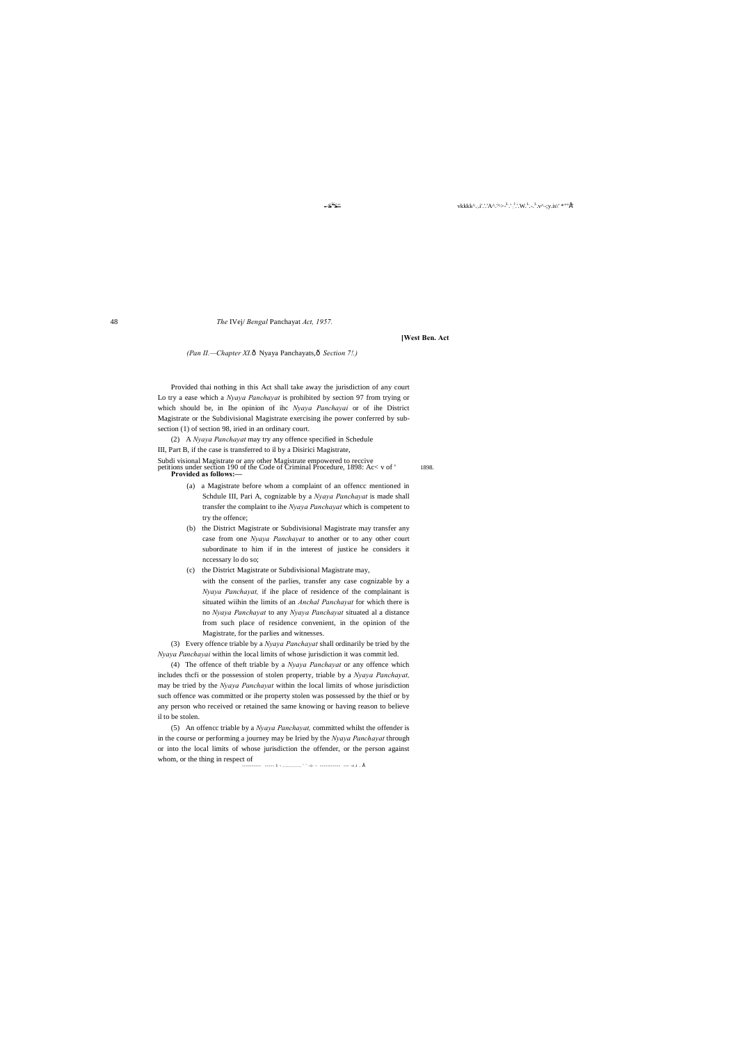vkkkk^..i'.'.'A^.'^>-<sup>L</sup>:'<sup>J</sup>'.W.<sup>L</sup>.-<sup>L</sup>.v^-;y.is\' \*""É'

48 *The* IVej/ *Bengal* Panchayat *Act, 1957.*

# **[West Ben. Act**

*(Pan II.--Chapter XI.*ô Nyaya Panchayats,ô Section 7!.)

Provided thai nothing in this Act shall take away the jurisdiction of any court Lo try a ease which a *Nyaya Panchayat* is prohibited by section 97 from trying or which should be, in Ihe opinion of ihc *Nyaya Panchayai* or of ihe District Magistrate or the Subdivisional Magistrate exercising ihe power conferred by subsection (1) of section 98, iried in an ordinary court.

(2) A *Nyaya Panchayat* may try any offence specified in Schedule

III, Part B, if the case is transferred to il by a Disirici Magistrate,

Subdi visional Magistrate or any other Magistrate empowered to reccive<br>petitions under section 190 of the Code of Criminal Procedure, 1898: Ac< v of <sup>v</sup> 1898.<br>**Provided as follows:**—

(a) a Magistrate before whom a complaint of an offencc mentioned in Schdule III, Pari A, cognizable by a *Nyaya Panchayat* is made shall transfer the complaint to ihe *Nyaya Panchayat* which is competent to try the offence;

(5) An offencc triable by a *Nyaya Panchayat,* committed whilst the offender is in the course or performing a journey may be Iried by the *Nyaya Panchayat* through or into the local limits of whose jurisdiction the offender, or the person against whom, or the thing in respect of  $\ldots$  ' -i-  $\ldots$  ----------- --- -r.i . É

- (b) the District Magistrate or Subdivisional Magistrate may transfer any case from one *Nyaya Panchayat* to another or to any other court subordinate to him if in the interest of justice he considers it nccessary lo do so;
- (c) the District Magistrate or Subdivisional Magistrate may, with the consent of the parlies, transfer any case cognizable by a *Nyaya Panchayat,* if ihe place of residence of the complainant is situated wiihin the limits of an *Anchal Panchayat* for which there is no *Nyaya Panchayat* to any *Nyaya Panchayat* situated al a distance from such place of residence convenient, in the opinion of the Magistrate, for the parlies and witnesses.

(3) Every offence triable by a *Nyaya Panchayat* shall ordinarily be tried by the *Nyaya Panchayai* within the local limits of whose jurisdiction it was commit led.

(4) The offence of theft triable by a *Nyaya Panchayat* or any offence which includes thcfi or the possession of stolen property, triable by a *Nyaya Panchayat,* may be tried by the *Nyaya Panchayat* within the local limits of whose jurisdiction such offence was committed or ihe property stolen was possessed by the thief or by any person who received or retained the same knowing or having reason to believe il to be stolen.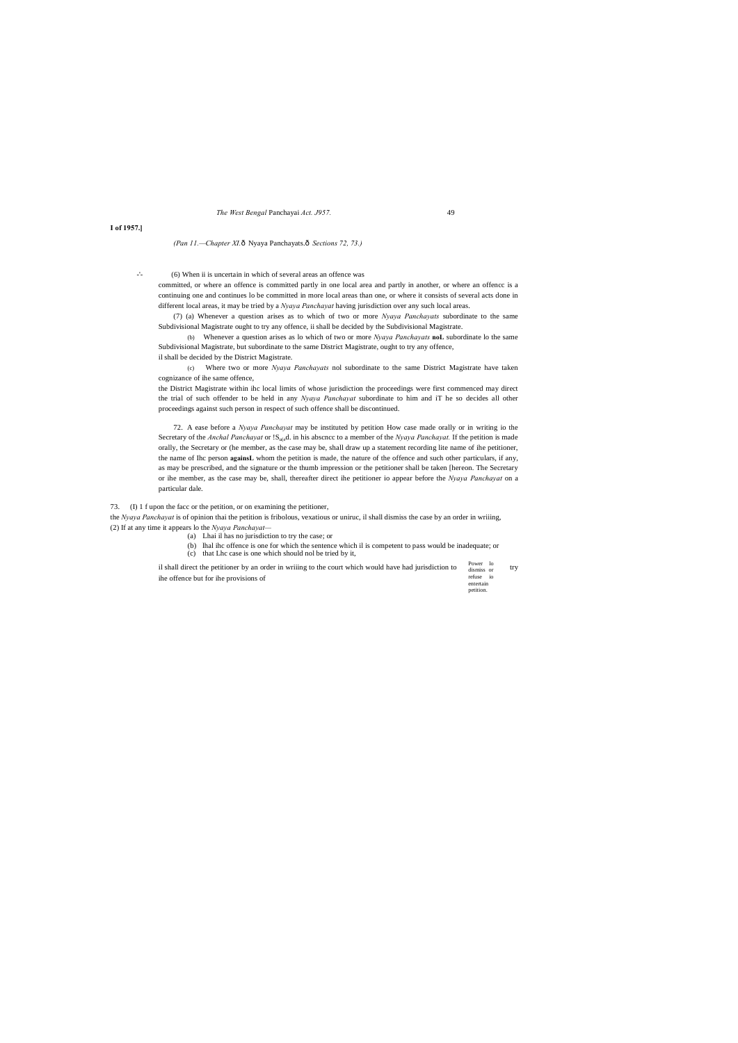petition.

*The West Bengal* Panchayai *Act. J957.* 49

# **I of 1957.]**

*(Pan 11.—Chapter XI.*ô Nyaya Panchayats.ô Sections 72, 73.)

-'- (6) When ii is uncertain in which of several areas an offence was

committed, or where an offence is committed partly in one local area and partly in another, or where an offencc is a continuing one and continues lo be committed in more local areas than one, or where it consists of several acts done in different local areas, it may be tried by a *Nyaya Panchayat* having jurisdiction over any such local areas.

(7) (a) Whenever a question arises as to which of two or more *Nyaya Panchayats* subordinate to the same Subdivisional Magistrate ought to try any offence, ii shall be decided by the Subdivisional Magistrate.

(b) Whenever a question arises as lo which of two or more *Nyaya Panchayats* **noL** subordinate lo the same Subdivisional Magistrate, but subordinate to the same District Magistrate, ought to try any offence, il shall be decided by the District Magistrate.

(c) Where two or more *Nyaya Panchayats* nol subordinate to the same District Magistrate have taken cognizance of ihe same offence,

the District Magistrate within ihc local limits of whose jurisdiction the proceedings were first commenced may direct the trial of such offender to be held in any *Nyaya Panchayat* subordinate to him and iT he so decides all other proceedings against such person in respect of such offence shall be discontinued.

Power lo dismiss or refuse io entertain il shall direct the petitioner by an order in writing to the court which would have had jurisdiction to  $\frac{1}{\text{dissins}}$  try ihe offence but for ihe provisions of

72. A ease before a *Nyaya Panchayat* may be instituted by petition How case made orally or in writing io the Secretary of the *Anchal Panchayat* or !Su(ed. in his abscncc to a member of the *Nyaya Panchayat.* If the petition is made orally, the Secretary or (he member, as the case may be, shall draw up a statement recording lite name of ihe petitioner, the name of Ihc person **againsL** whom the petition is made, the nature of the offence and such other particulars, if any, as may be prescribed, and the signature or the thumb impression or the petitioner shall be taken [hereon. The Secretary or ihe member, as the case may be, shall, thereafter direct ihe petitioner io appear before the *Nyaya Panchayat* on a particular dale.

# 73. (I) 1 f upon the facc or the petition, or on examining the petitioner,

the *Nyaya Panchayat* is of opinion thai the petition is fribolous, vexatious or uniruc, il shall dismiss the case by an order in wriiing, (2) If at any time it appears lo the *Nyaya Panchayat—*

(a) Lhai il has no jurisdiction to try the case; or

(b) lhal ihc offence is one for which the sentence which il is competent to pass would be inadequate; or (c) that Lhc case is one which should nol be tried by it,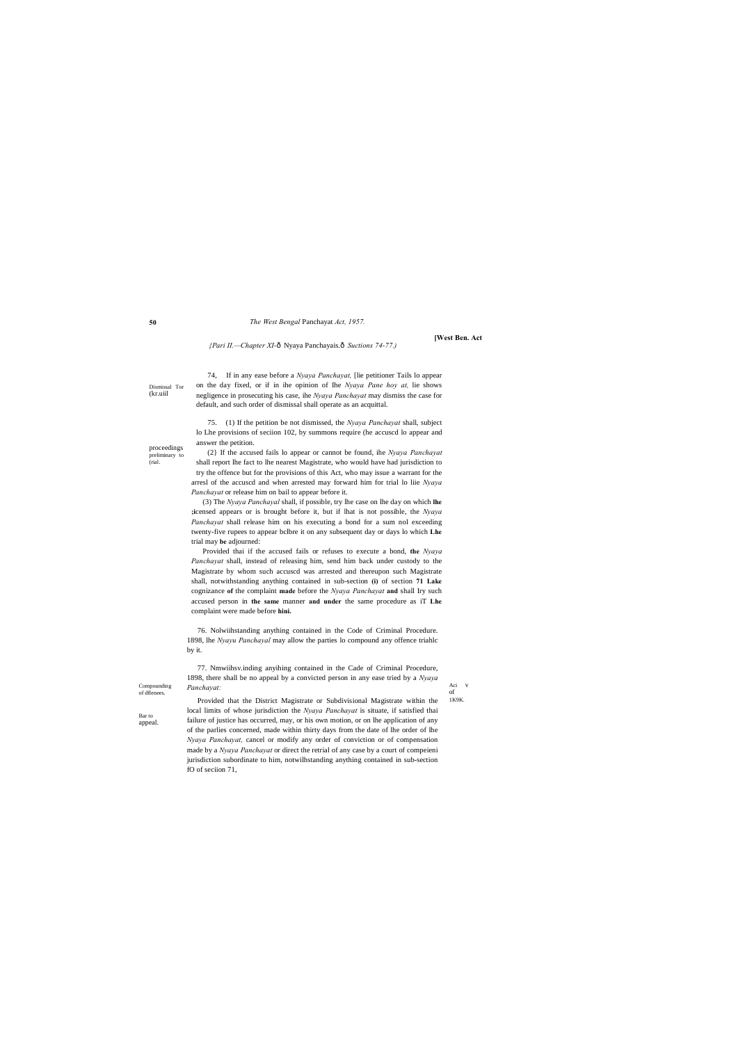Dismissal Tor (kr.uiil

proceedings preliminary to (rial.

> Aci v of 1K9K.

Compounding of dflenees.

Bar to appeal.

## *The West Bengal* Panchayat *Act, 1957.*

**[West Ben. Act**

*{Pari II.—Chapter XI-*—Nyaya Panchayais.—*Suctions 74-77.)*

74, If in any ease before a *Nyaya Panchayat,* [lie petitioner Tails lo appear on the day fixed, or if in ihe opinion of Ihe *Nyaya Pane hoy at,* lie shows negligence in prosecuting his case, ihe *Nyaya Panchayat* may dismiss the case for default, and such order of dismissal shall operate as an acquittal.

75. (1) If the petition be not dismissed, the *Nyaya Panchayat* shall, subject lo Lhe provisions of seciion 102, by summons require (he accuscd lo appear and answer the petition.

(2} If the accused fails lo appear or cannot be found, ihe *Nyaya Panchayat* shall report lhe fact to lhe nearest Magistrate, who would have had jurisdiction to try the offence but for the provisions of this Act, who may issue a warrant for the arresl of the accuscd and when arrested may forward him for trial lo liie *Nyaya Panchayat* or release him on bail to appear before it.

(3) The *Nyaya Panchayal* shall, if possible, try lhe case on lhe day on which **lhe ;i**censed appears or is brought before it, but if lhat is not possible, the *Nyaya Panchayat* shall release him on his executing a bond for a sum nol exceeding twenty-five rupees to appear bclbre it on any subsequent day or days lo which **Lhe** trial may **be** adjourned:

Provided thai if the accused fails or refuses to execute a bond, **the** *Nyaya Panchayat* shall, instead of releasing him, send him back under custody to the Magistrate by whom such accuscd was arrested and thereupon such Magistrate shall, notwithstanding anything contained in sub-section **(i)** of section **71 Lake** cognizance **of** the complaint **made** before the *Nyaya Panchayat* **and** shall Iry such accused person in **the same** manner **and under** the same procedure as iT **Lhe** complaint were made before **hini.**

76. Nolwiihstanding anything contained in the Code of Criminal Procedure. 1898, lhe *Nyayu Panchayal* may allow the parties lo compound any offence triahlc by it.

77. Nmwiihsv.inding anyihing contained in the Cade of Criminal Procedure, 1898, there shall be no appeal by a convicted person in any ease tried by a *Nyaya Panchayat:*

Provided that the District Magistrate or Subdivisional Magistrate within the local limits of whose jurisdiction the *Nyaya Panchayat* is situate, if satisfied thai failure of justice has occurred, may, or his own motion, or on lhe application of any of the parlies concerned, made within thirty days from the date of lhe order of lhe *Nyaya Panchayat,* cancel or modify any order of conviction or of compensation made by a *Nyaya Panchayat* or direct the retrial of any case by a court of compeieni jurisdiction subordinate to him, notwilhstanding anything contained in sub-section fO of seciion 71,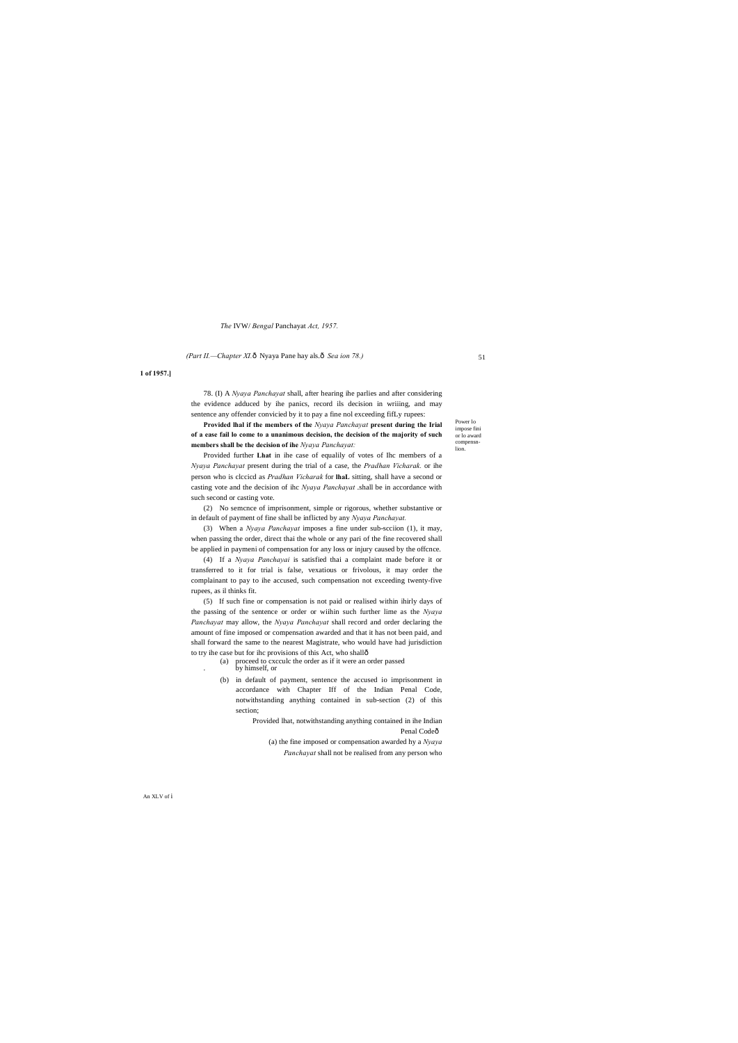**1 of 1957.]**

Power lo impose fini or lo award compensnlion.

An XLV of i

## *The* IVW/ *Bengal* Panchayat *Act, 1957.*

*(Part II.—Chapter XI.*ô Nyaya Pane hay als.ô Sea ion 78.)

78. (I) A *Nyaya Panchayat* shall, after hearing ihe parlies and after considering the evidence adduced by ihe panics, record ils decision in wriiing, and may sentence any offender convicied by it to pay a fine nol exceeding fifLy rupees:

**Provided lhal if the members of the** *Nyaya Panchayat* **present during the Irial of a ease fail lo come to a unanimous decision, the decision of the majority of such members shall be the decision of ihe** *Nyaya Panchayat:*

Provided further **Lhat** in ihe case of equalily of votes of Ihc members of a *Nyaya Panchayat* present during the trial of a case, the *Pradhan Vicharak.* or ihe person who is clccicd as *Pradhan Vicharak* for **lhaL** sitting, shall have a second or casting vote and the decision of ihc *Nyaya Panchayat* .shall be in accordance with such second or casting vote.

(2) No semcnce of imprisonment, simple or rigorous, whether substantive or in default of payment of fine shall be inflicted by any *Nyaya Panchayat.*

> Provided lhat, notwithstanding anything contained in ihe Indian Penal Codeô

(3) When a *Nyaya Panchayat* imposes a fine under sub-scciion (1), it may, when passing the order, direct thai the whole or any pari of the fine recovered shall be applied in paymeni of compensation for any loss or injury caused by the offcnce.

(4) If a *Nyaya Panchayai* is satisfied thai a complaint made before it or transferred to it for trial is false, vexatious or frivolous, it may order the complainant to pay to ihe accused, such compensation not exceeding twenty-five rupees, as il thinks fit.

(5) If such fine or compensation is not paid or realised within ihirly days of the passing of the sentence or order or wiihin such further lime as the *Nyaya Panchayat* may allow, the *Nyaya Panchayat* shall record and order declaring the amount of fine imposed or compensation awarded and that it has not been paid, and shall forward the same to the nearest Magistrate, who would have had jurisdiction to try ihe case but for ihc provisions of this Act, who shall—

- (a) proceed to cxcculc the order as if it were an order passed
- . by himself, or
	- (b) in default of payment, sentence the accused io imprisonment in accordance with Chapter Iff of the Indian Penal Code, notwithstanding anything contained in sub-section (2) of this section;

(a) the fine imposed or compensation awarded hy a *Nyaya Panchayat* shall not be realised from any person who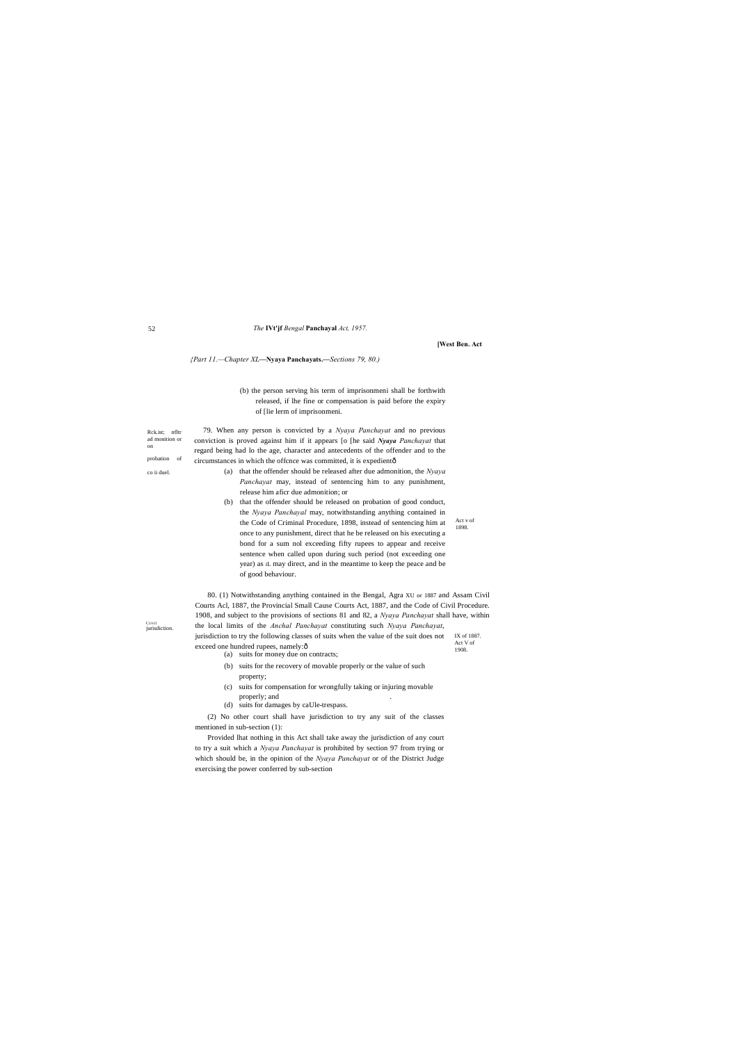# 52 *The* **IVt'jf** *Bengal* **Panchayal** *Act, 1957.*

## **[West Ben. Act**

Rck.ist; nfltr ad monition or on probation of

co ii duel.

Civil jurisdiction.

*{Part 11.—Chapter XL***—Nyaya Panchayats.—***Sections 79, 80.)*

(b) the person serving his term of imprisonmeni shall be forthwith released, if lhe fine or compensation is paid before the expiry of [lie lerm of imprisonmeni.

79. When any person is convicted by a *Nyaya Panchayat* and no previous conviction is proved against him if it appears [o [he said *Nyaya Panchayat* that regard being had lo the age, character and antecedents of the offender and to the circumstances in which the offcnce was committed, it is expedient—

IX of 1887. Act V of 1908. 80. (1) Notwithstanding anything contained in the Bengal, Agra XU or 1887 and Assam Civil Courts Acl, 1887, the Provincial Small Cause Courts Act, 1887, and the Code of Civil Procedure. 1908, and subject to the provisions of sections 81 and 82, a *Nyaya Panchayat* shall have, within the local limits of the *Anchal Panchayat* constituting such *Nyaya Panchayat*, jurisdiction to try the following classes of suits when the value of the suit does not exceed one hundred rupees, namely: $\hat{o}$ (a) suits for money due on contracts;

- (a) that the offender should be released after due admonition, the *Nyaya Panchayat* may, instead of sentencing him to any punishment, release him aficr due admonition; or
- Act v of 1898. (b) that the offender should be released on probation of good conduct, the *Nyaya Panchayal* may, notwithstanding anything contained in the Code of Criminal Procedure, 1898, instead of sentencing him at once to any punishment, direct that he be released on his executing a bond for a sum nol exceeding fifty rupees to appear and receive sentence when called upon during such period (not exceeding one year) as iL may direct, and in the meantime to keep the peace and be of good behaviour.

- (b) suits for the recovery of movable properly or the value of such property;
	-
- (c) suits for compensation for wrongfully taking or injuring movable properly; and
- (d) suits for damages by caUle-trespass.

(2) No other court shall have jurisdiction to try any suit of the classes mentioned in sub-section (1):

Provided lhat nothing in this Act shall take away the jurisdiction of any court to try a suit which a *Nyaya Panchayat* is prohibited by section 97 from trying or which should be, in the opinion of the *Nyaya Panchayat* or of the District Judge exercising the power conferred by sub-section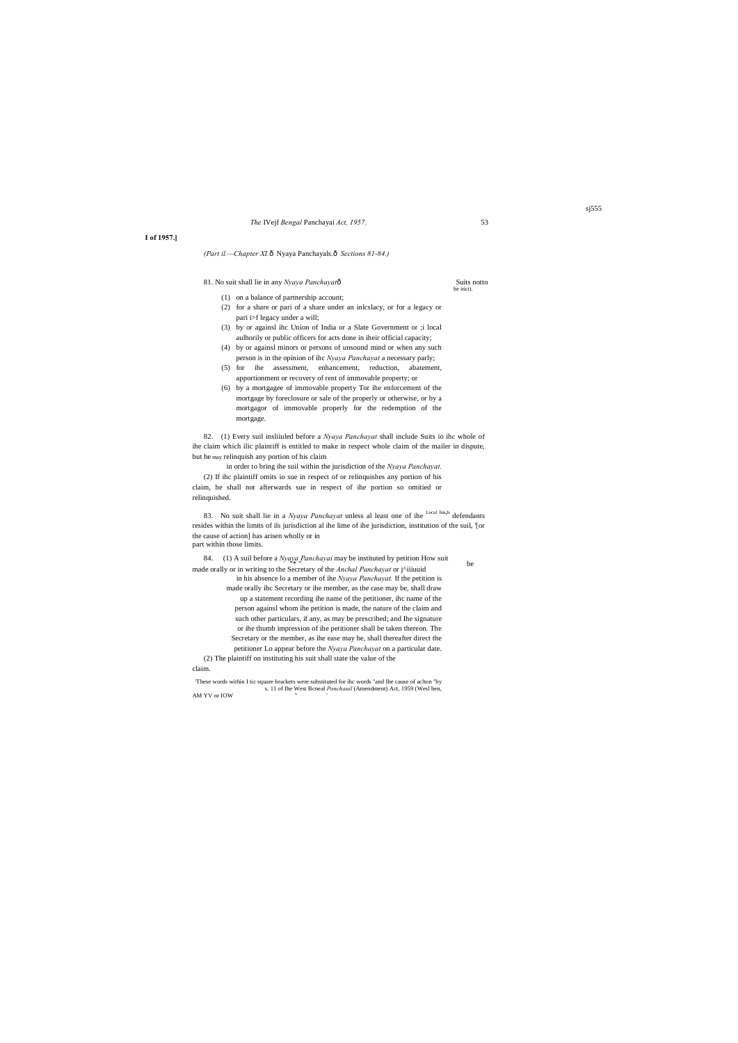sj555

## *The* IVejf *Bengal* Panchayai *Act, 1957.* 53

**I of 1957.]**

*(Part il.—Chapter XI.*ô Nyaya Panchayals.ô Sections 81-84.)

81. No suit shall lie in any *Nyaya Panchayat*ô Suits notto

# he irici)

(1) on a balance of partnership account;

- (2) for a share or pari of a share under an inlcslacy, or for a legacy or pari i>f legacy under a will;
- (3) by or againsl ihc Union of India or a Slate Government or ;i local aulhorily or public officers for acts done in iheir official capacity;
- (4) by or againsl minors or persons of unsound mind or when any such person is in the opinion of ihc *Nyaya Panchayat* a necessary parly;
- (5) for ihe assessment, enhancement, reduction, abatement, apportionment or recovery of rent of immovable property; or
- (6) by a mortgagee of immovable property Tor ihe enforcement of the mortgage by foreclosure or sale of the properly or otherwise, or by a mortgagor of immovable properly for the redemption of the mortgage.

83. No suit shall lie in a *Nyaya Panchayat* unless al least one of ihe Local limils defendants resides within the limits of ils jurisdiction al ihe lime of ihe jurisdiction, institution of the suil, '[or the cause of action] has arisen wholly or in part within those limits.

82. (1) Every suil insliiuled before a *Nyaya Panchayat* shall include Suits io ihc whole of ihe claim which ilic plaintiff is entitled to make in respect whole claim of the mailer in dispute, but he may relinquish any portion of his claim

in order to bring ihe suil within the jurisdiction of the *Nyaya Panchayat.*

'These words within I tic square brackets were substituted for ihc words "and Ihe cause of aclton "by s. 11 of Ihe West Bcneal *Ponchauil* (Amendment) Act, 1959 (Wesl ben, AM YV nr IOW

(2) If ihc plaintiff omits io sue in respect of or relinquishes any portion of his claim, he shall not afterwards sue in respect of ihe portion so omitied or relinquished.

84. (1) A suil before a *Nyaya Panchayai* may be instituted by petition How suit the made orally or in writing to the Secretary of the *Anchal Panchayat* or j^iiiuuid in his absence lo a member of ihe *Nyaya Panchayat.* If the petition is made orally ihc Secretary or ihe member, as the case may be, shall draw up a statement recording ihe name of the petitioner, ihc name of the person againsl whom ihe petition is made, the nature of the claim and such other particulars, if any, as may be prescribed; and Ihe signature or ihe thumb impression of ihe petitioner shall be taken thereon. The Secretary or the member, as ihe ease may be, shall thereafter direct the petitioner Lo appear before the *Nyaya Panchayat* on a particular date. (2) The plaintiff on instituting his suit shall state the value of the

claim.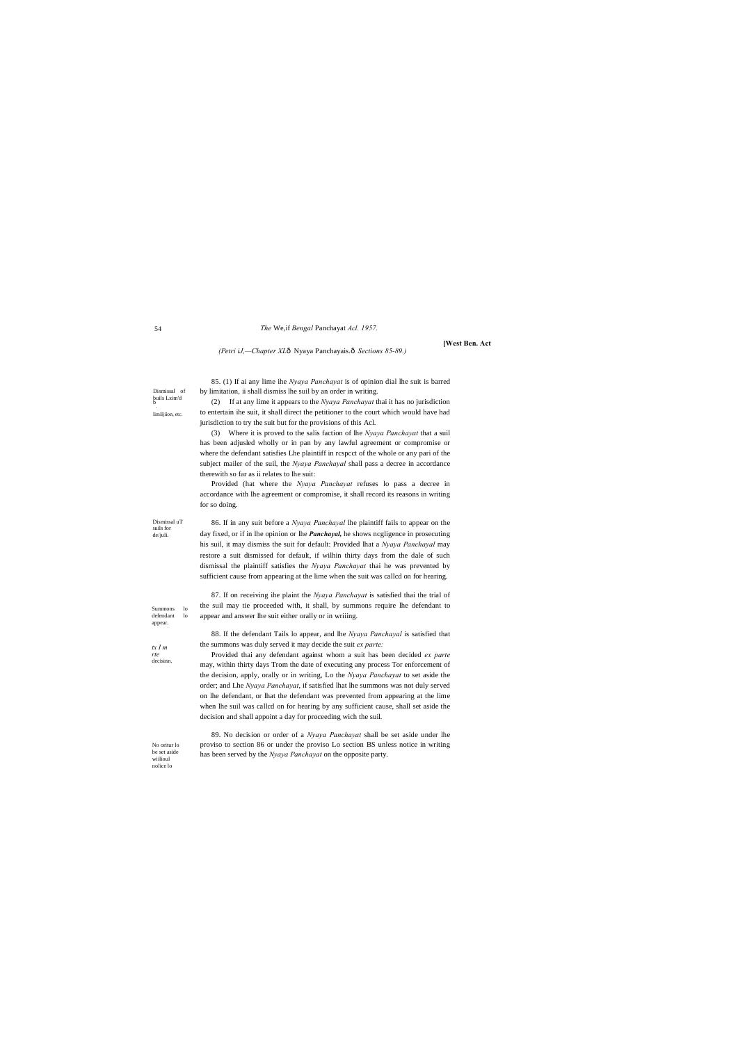Dismissal of buils Lxim'd b limiljiion, etc.

Dismissal uT suils for de/juli.

appear.

*tx I m rte*  decisinn.

No oritur lo be set aside wiilioul nolice lo

# *The* We,if *Bengal* Panchayat *Acl. 1957.*

### **[West Ben. Act**

*(Petri iJ,—Chapter XL*—Nyaya Panchayais.—*Sections 85-89.)*

85. (1) If ai any lime ihe *Nyaya Panchayat* is of opinion dial lhe suit is barred by limitation, ii shall dismiss lhe suil by an order in writing.

(2) If at any lime it appears to the *Nyaya Panchayat* thai it has no jurisdiction to entertain ihe suit, it shall direct the petitioner to the court which would have had jurisdiction to try the suit but for the provisions of this Acl.

(3) Where it is proved to the salis faction of lhe *Nyaya Panchayat* that a suil has been adjusled wholly or in pan by any lawful agreement or compromise or where the defendant satisfies Lhe plaintiff in rcspcct of the whole or any pari of the subject mailer of the suil, the *Nyaya Panchayal* shall pass a decree in accordance therewith so far as ii relates to lhe suit:

Summons lo defendant lo 87. If on receiving ihe plaint the *Nyaya Panchayat* is satisfied thai the trial of the suil may tie proceeded with, it shall, by summons require lhe defendant to appear and answer lhe suit either orally or in wriiing.

Provided (hat where the *Nyaya Panchayat* refuses lo pass a decree in accordance with lhe agreement or compromise, it shall record its reasons in writing for so doing.

86. If in any suit before a *Nyaya Panchayal* lhe plaintiff fails to appear on the day fixed, or if in lhe opinion or lhe *Panchayal,* he shows ncgligence in prosecuting his suil, it may dismiss the suit for default: Provided lhat a *Nyaya Panchayal* may restore a suit dismissed for default, if wilhin thirty days from the dale of such dismissal the plaintiff satisfies the *Nyaya Panchayat* thai he was prevented by sufficient cause from appearing at the lime when the suit was callcd on for hearing.

88. If the defendant Tails lo appear, and lhe *Nyaya Panchayal* is satisfied that the summons was duly served it may decide the suit *ex parte:*

Provided thai any defendant against whom a suit has been decided *ex parte* may, within thirty days Trom the date of executing any process Tor enforcement of the decision, apply, orally or in writing, Lo the *Nyaya Panchayat* to set aside the order; and Lhe *Nyaya Panchayat*, if satisfied lhat lhe summons was not duly served on lhe defendant, or lhat the defendant was prevented from appearing at the lime when lhe suil was callcd on for hearing by any sufficient cause, shall set aside the decision and shall appoint a day for proceeding wich the suil.

89. No decision or order of a *Nyaya Panchayat* shall be set aside under lhe proviso to section 86 or under the proviso Lo section BS unless notice in writing has been served by the *Nyaya Panchayat* on the opposite party.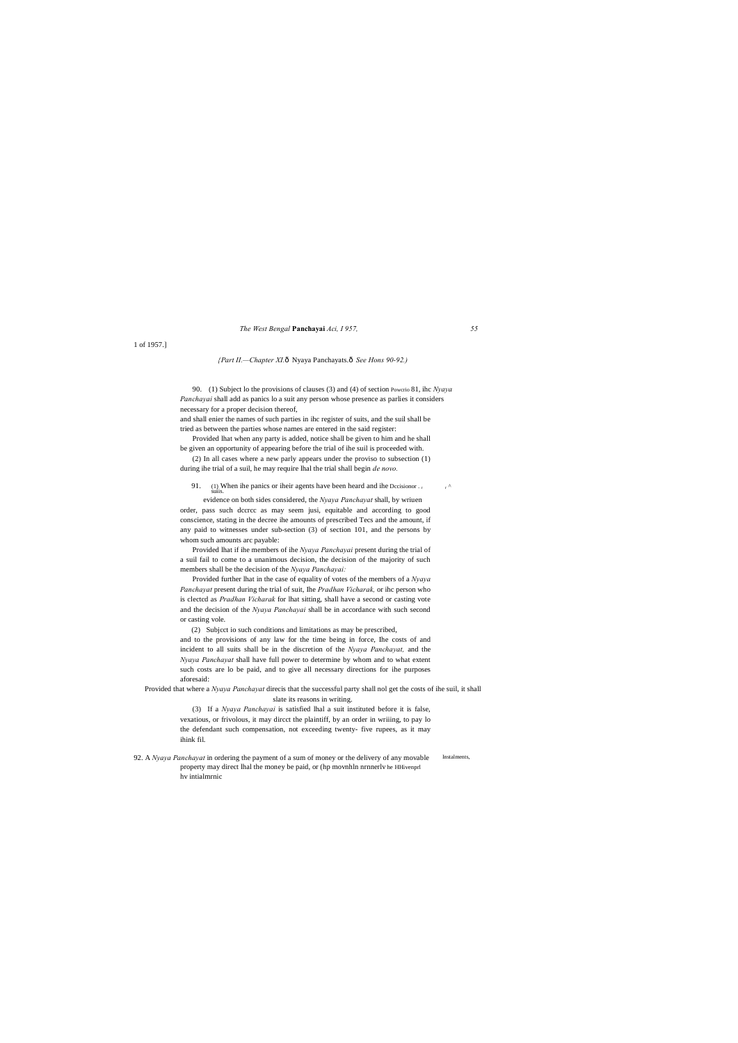## *The West Bengal* **Panchayai** *Aci, I 957, 55*

1 of 1957.]

*{Part II.—Chapter XI.*—Nyaya Panchayats.—*See Hons 90-92.)*

90. (1) Subject lo the provisions of clauses (3) and (4) of section Powcrio 81, ihc *Nyaya Panchayai* shall add as panics lo a suit any person whose presence as parlies it considers necessary for a proper decision thereof,

and shall enier the names of such parties in ihc register of suits, and the suil shall be tried as between the parties whose names are entered in the said register:

Provided lhat when any party is added, notice shall be given to him and he shall be given an opportunity of appearing before the trial of ihe suil is proceeded with.

(2) In all cases where a new parly appears under the proviso to subsection (1) during ihe trial of a suil, he may require lhal the trial shall begin *de novo.*

91. (1) When ihe panics or iheir agents have been heard and ihe Decisionor  $\frac{1}{r}$   $\sim$ 

evidence on both sides considered, the *Nyaya Panchayat* shall, by wriuen order, pass such dccrcc as may seem jusi, equitable and according to good conscience, stating in the decree ihe amounts of prescribed Tecs and the amount, if any paid to witnesses under sub-section (3) of section 101, and the persons by whom such amounts arc payable:

Provided lhat if ihe members of ihe *Nyaya Panchayai* present during the trial of a suil fail to come to a unanimous decision, the decision of the majority of such members shall be the decision of the *Nyaya Panchayai:*

Instalments, 92. A *Nyaya Panchayat* in ordering the payment of a sum of money or the delivery of any movable property may direct lhal the money be paid, or (hp movnhln nrnnerlv he HHivenprl hv intialmrnic

Provided further lhat in the case of equality of votes of the members of a *Nyaya Panchayat* present during the trial of suit, Ihe *Pradhan Vicharak,* or ihc person who is clectcd as *Pradhan Vicharak* for lhat sitting, shall have a second or casting vote and the decision of the *Nyaya Panchayai* shall be in accordance with such second or casting vole.

(2) Subjcct io such conditions and limitations as may be prescribed, and to the provisions of any law for the time being in force, Ihe costs of and incident to all suits shall be in the discretion of the *Nyaya Panchayat,* and the *Nyaya Panchayat* shall have full power to determine by whom and to what extent such costs are lo be paid, and to give all necessary directions for ihe purposes aforesaid:

Provided that where a *Nyaya Panchayat* direcis that the successful party shall nol get the costs of ihe suil, it shall slate its reasons in writing.

> (3) If a *Nyaya Panchayai* is satisfied lhal a suit instituted before it is false, vexatious, or frivolous, it may dircct the plaintiff, by an order in wriiing, to pay lo the defendant such compensation, not exceeding twenty- five rupees, as it may ihink fil.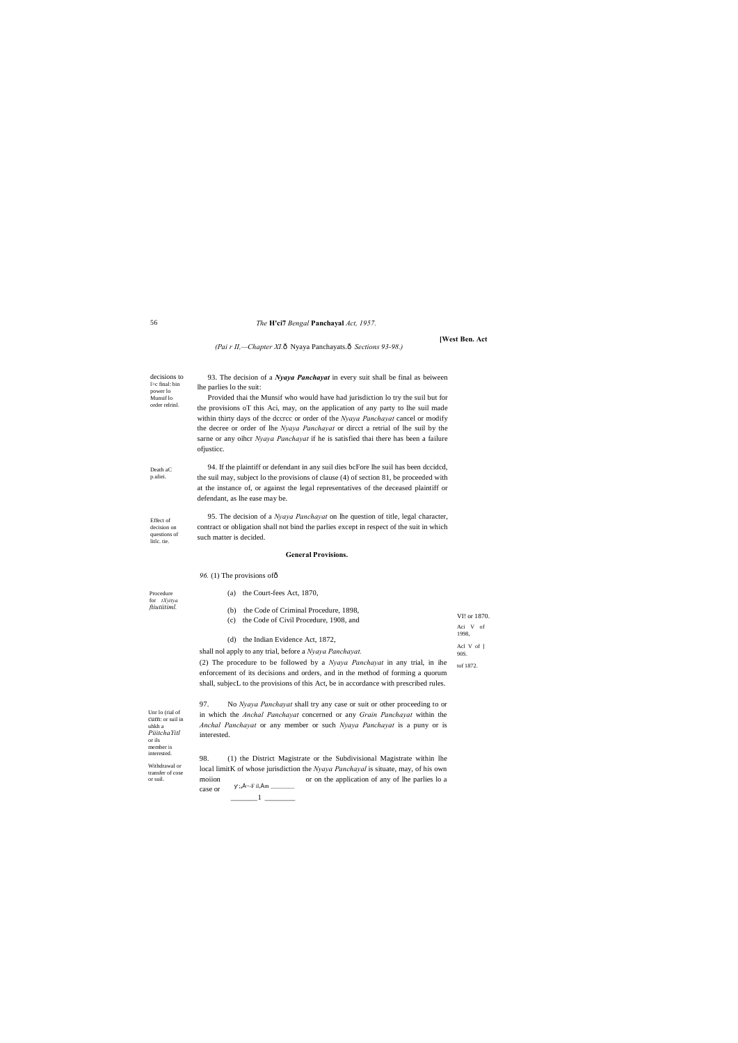decisions to l>c final: bin power lo Munsif lo order relrinl.

Death aC p.uliei.

Effect of decision on

questions of litlc. tie.

Procedure for *tXyitya ftiutiitiml.* *(Pai r II,—Chapter XI.*ô Nyaya Panchayats.ô Sections 93-98.)

Unr lo (rial of cum: or suil in uhkh a *PiiitchaYitl*  or ils member is interested. Withdrawal or transfer of cose or suil.

## *The* **H'ci7** *Bengal* **Panchayal** *Act, 1957.*

## **[West Ben. Act**

93. The decision of a *Nyaya Panchayat* in every suit shall be final as beiween lhe parlies lo the suit:

Provided thai the Munsif who would have had jurisdiction lo try the suil but for the provisions oT this Aci, may, on the application of any party to lhe suil made within thirty days of the dccrcc or order of the *Nyaya Panchayat* cancel or modify the decree or order of lhe *Nyaya Panchayat* or dircct a retrial of lhe suil by the sarne or any oihcr *Nyaya Panchayat* if he is satisfied thai there has been a failure ofjusticc.

| the Court-fees Act, 1870,<br>(a)                                                                         |                    |
|----------------------------------------------------------------------------------------------------------|--------------------|
| the Code of Criminal Procedure, 1898,<br>(b)<br>the Code of Civil Procedure, 1908, and<br>(c)            | VI! or 1870.       |
|                                                                                                          | Aci V of<br>1998.  |
| the Indian Evidence Act, 1872,<br>(d)<br>shall nol apply to any trial, before a <i>Nyaya Panchayat</i> . | Acl V of 1<br>90.8 |

98. (1) the District Magistrate or the Subdivisional Magistrate within lhe local limitK of whose jurisdiction the *Nyaya Panchayal* is situate, may, of his own moiion or on the application of any of lhe parlies lo a

tof 1872. (2) The procedure to be followed by a *Nyaya Panchayat* in any trial, in ihe enforcement of its decisions and orders, and in the method of forming a quorum shall, subjecL to the provisions of this Act, be in accordance with prescribed rules.

94. If the plaintiff or defendant in any suil dies bcFore lhe suil has been dccidcd, the suil may, subject lo the provisions of clause (4) of section 81, be proceeded with at the instance of, or against the legal representatives of the deceased plaintiff or defendant, as lhe ease may be.

case or  $\qquad \qquad :_{n} \S \sim F$  il,  $\S$  m \_\_\_\_\_\_\_\_\_ \_\_\_\_\_\_\_1 \_\_\_\_\_\_\_\_

95. The decision of a *Nyaya Panchayat* on lhe question of title, legal character, contract or obligation shall not bind the parlies except in respect of the suit in which such matter is decided.

### **General Provisions.**

## 96. (1) The provisions of ô

97. No *Nyaya Panchayat* shall try any case or suit or other proceeding to or in which the *Anchal Panchayat* concerned or any *Grain Panchayat* within the *Anchal Panchayat* or any member or such *Nyaya Panchayat* is a puny or is interested.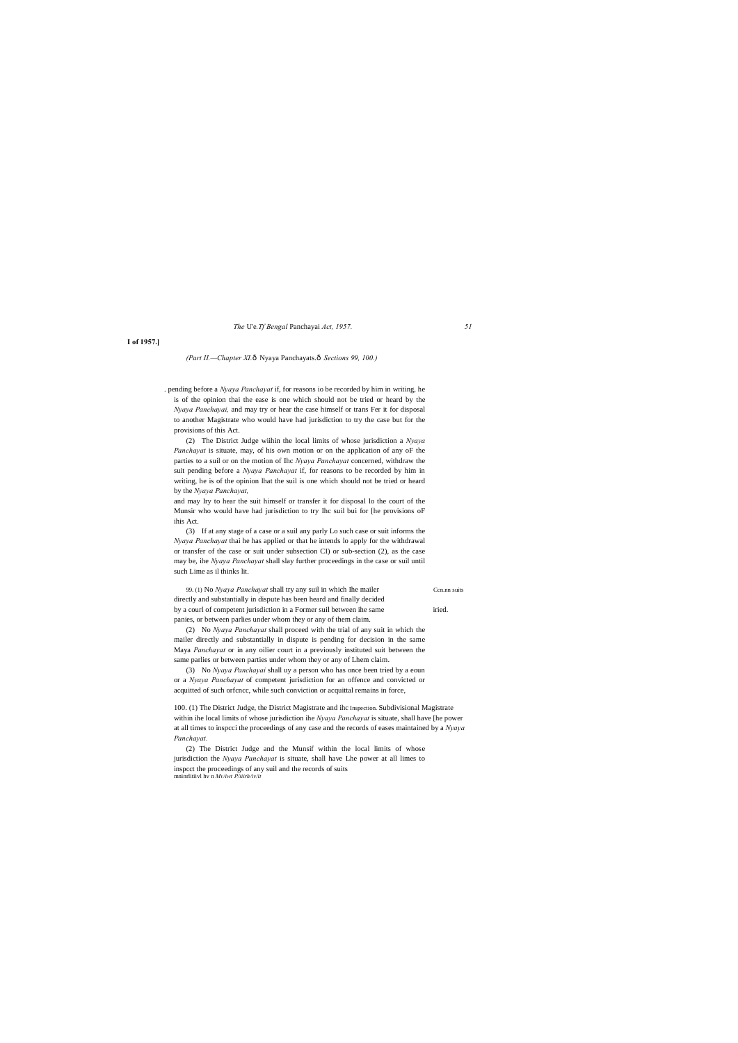*The* U'e*.Tf Bengal* Panchayai *Act, 1957. 51*

# **I of 1957.]**

# *(Part II.*—*Chapter XI.*ô Nyaya Panchayats.ô Sections 99, 100.)

. pending before a *Nyaya Panchayat* if, for reasons io be recorded by him in writing, he is of the opinion thai the ease is one which should not be tried or heard by the *Nyaya Panchayai,* and may try or hear the case himself or trans Fer it for disposal to another Magistrate who would have had jurisdiction to try the case but for the provisions of this Act.

(2) The District Judge wiihin the local limits of whose jurisdiction a *Nyaya Panchayat* is situate, may, of his own motion or on the application of any oF the parties to a suil or on the motion of Ihc *Nyaya Panchayat* concerned, withdraw the suit pending before a *Nyaya Panchayat* if, for reasons to be recorded by him in writing, he is of the opinion lhat the suil is one which should not be tried or heard by the *Nyaya Panchayat,*

99. (1) No *Nyaya Panchayat* shall try any suil in which Ihe mailer Ccn.nn suits directly and substantially in dispute has been heard and finally decided by a courl of competent jurisdiction in a Former suil between ihe same iried. panies, or between parlies under whom they or any of them claim.

and may Iry to hear the suit himself or transfer it for disposal lo the court of the Munsir who would have had jurisdiction to try Ihc suil bui for [he provisions oF ihis Act.

(3) If at any stage of a case or a suil any parly Lo such case or suit informs the *Nyaya Panchayat* thai he has applied or that he intends lo apply for the withdrawal or transfer of the case or suit under subsection CI) or sub-section (2), as the case may be, ihe *Nyaya Panchayat* shall slay further proceedings in the case or suil until such Lime as il thinks lit.

(2) No *Nyaya Panchayat* shall proceed with the trial of any suit in which the mailer directly and substantially in dispute is pending for decision in the same Maya *Panchayat* or in any oilier court in a previously instituted suit between the same parlies or between parties under whom they or any of Lhem claim.

(3) No *Nyaya Panchayai* shall uy a person who has once been tried by a eoun or a *Nyaya Panchayat* of competent jurisdiction for an offence and convicted or acquitted of such orfcncc, while such conviction or acquittal remains in force,

100. (1) The District Judge, the District Magistrate and ihc Inspection. Subdivisional Magistrate within ihe local limits of whose jurisdiction ihe *Nyaya Panchayat* is situate, shall have [he power at all times to inspcci the proceedings of any case and the records of eases maintained by a *Nyaya Panchayat.*

(2) The District Judge and the Munsif within the local limits of whose jurisdiction the *Nyaya Panchayat* is situate, shall have Lhe power at all limes to inspcct the proceedings of any suil and the records of suits mninrlitiivl hv n *Mv/iwt P/iiirh/iv/it*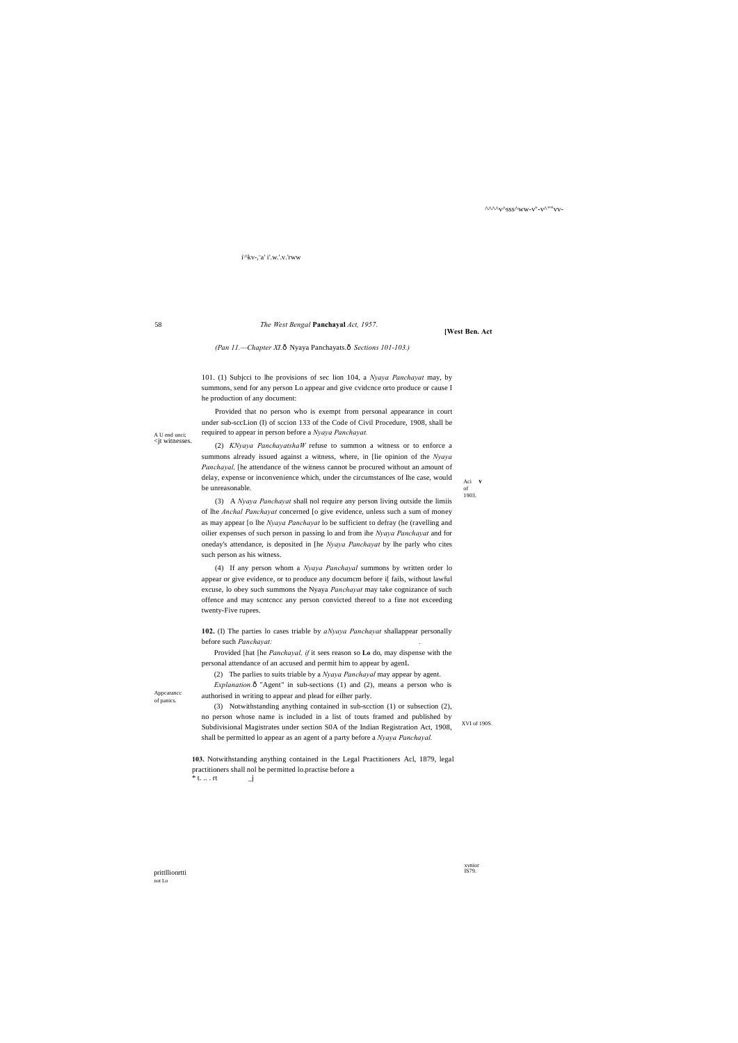$\wedge \wedge \wedge \wedge_V \wedge_{SSS} \wedge_{WW-V^{\prime}-V} \wedge_{W''W}$ 

## i^kv-,"a' i'.w.'.v.'rww

58

A U end unci; <jt witnesses.

> Aci **v** of 1903.

*(Pan 11.—Chapter XI.*ô Nyaya Panchayats.ô Sections 101-103.)

prittllionrtti not Lo

xvnior<br>IS79.

Appcarancc of panics.

*The West Bengal* **Panchayal** *Act, 1957.*

# **[West Ben. Act**

101. (1) Subjcci to lhe provisions of sec lion 104, a *Nyaya Panchayat* may, by summons, send for any person Lo appear and give cvidcnce orto produce or cause I he production of any document:

Provided that no person who is exempt from personal appearance in court under sub-sccLion (I) of sccion 133 of the Code of Civil Procedure, 1908, shall be required to appear in person before a *Nyaya Panchayat.*

(2) *KNyaya PanchayatshaW* refuse to summon a witness or to enforce a summons already issued against a witness, where, in [lie opinion of the *Nyaya Panchayal,* [he attendance of the witness cannot be procured without an amount of delay, expense or inconvenience which, under the circumstances of lhe case, would be unreasonable.

*Explanation.* $\hat{o}$  "Agent" in sub-sections (1) and (2), means a person who is authorised in writing to appear and plead for eilher parly.

(3) A *Nyaya Panchayat* shall nol require any person living outside the limiis of lhe *Anchal Panchayat* concerned [o give evidence, unless such a sum of money as may appear [o lhe *Nyaya Panchayat* lo be sufficient to defray (he (ravelling and oilier expenses of such person in passing lo and from ihe *Nyaya Panchayat* and for oneday's attendance, is deposited in [he *Nyaya Panchayat* by lhe parly who cites such person as his witness.

**103.** Notwithstanding anything contained in the Legal Practitioners Acl, 1879, legal practitioners shall nol be permitted lo.practise before a  $\mathfrak{t}$ ....  $\mathfrak{r}$   $\qquad \qquad \mathfrak{j}$ 

XVI of 190S. (3) Notwithstanding anything contained in sub-scction (1) or subsection (2), no person whose name is included in a list of touts framed and published by Subdivisional Magistrates under section S0A of the Indian Registration Act, 1908, shall be permitted lo appear as an agent of a party before a *Nyaya Panchayal.*

(4) If any person whom a *Nyaya Panchayal* summons by written order lo appear or give evidence, or to produce any documcm before i[ fails, without lawful excuse, lo obey such summons the Nyaya *Panchayat* may take cognizance of such offence and may scntcncc any person convicted thereof to a fine not exceeding twenty-Five rupees.

**102.** (I) The parties lo cases triable by *aNyaya Panchayat* shallappear personally before such *Panchayat: .*

Provided [hat [he *Panchayal, if* it sees reason so **Lo** do, may dispense with the personal attendance of an accused and permit him to appear by agenL

(2) The parlies to suits triable by a *Nyaya Panchayal* may appear by agent.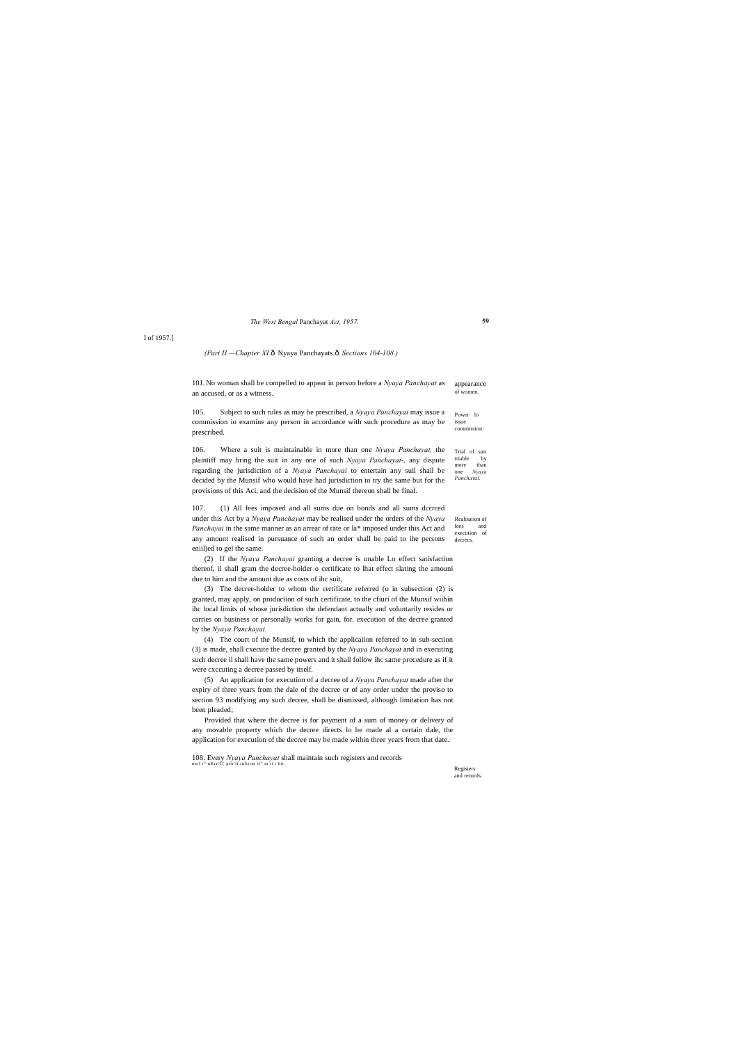*The West Bengal* Panchayat *Act, 1957.* **59**

*(Part II.—Chapter XI.* ô Nyaya Panchayats. ô Sections 104-108.)

appearance of women. 10J. No woman shall be compelled to appear in person before a *Nyaya Panchayat* as an accused, or as a witness.

I of 1957.]

Power lo issue commission: 105. Subject to such rules as may be prescribed, a *Nyaya Panchayai* may issue a commission io examine any person in accordance with such procedure as may be prescribed.

106. Where a suit is maintainable in more than one *Nyaya Panchayat*, the Trial of suit triable by more than one *Nyaya Panchaval.* plaintiff may bring the suit in any one of such *Nyaya Panchayat-,* any dispute regarding the jurisdiction of a *Nyaya Panchayai* to entertain any suil shall be decided by the Munsif who would have had jurisdiction to try the same but for the provisions of this Aci, and the decision of the Munsif thereon shall be final.

Realisation of fees and execution of decrecs. 107. (1) All fees imposed and all sums due on bonds and all sums dccrced under this Act by a *Nyaya Panchayat* may be realised under the orders of the *Nyaya Panchayai* in the same manner as an arrear of rate or la\* imposed under this Act and any amount realised in pursuance of such an order shall be paid to ihe persons eniil)ed to gel the same.

(2) If the *Nyaya Panchayai* granting a decree is unable Lo effect satisfaction thereof, il shall gram the decree-holder o certificate to lhat effect slating the amouni due to him and the amount due as costs of ihc suit,

(3) The decree-holder to whom the certificate referred (o in subsection (2) is granted, may apply, on production of such certificate, to the cfiuri of the Munsif wiihin ihc local limits of whose jurisdiction the defendant actually and voluntarily resides or carries on business or personally works for gain, for. execution of the decree granted by the *Nyaya Panchayat.*

(4) The court of the Munsif, to which the applicaiion referred to in sub-section (3) is made, shall cxecute the decree granted by the *Nyaya Panchayat* and in executing such decree il shall have the same powers and it shall follow ihc same procedure as if it were cxccuting a decree passed by itself.

(5) An application for execution of a decree of a *Nyaya Panchayat* made after the expiry of three years from the dale of the decree or of any order under the proviso to section 93 modifying any such decree, shall be dismissed, although limitation has not been pleaded;

Provided that where the decree is for payment of a sum of money or delivery of any movable property which the decree directs lo be made al a certain dale, the application for execution of the decree may be made within three years from that date.

108. Every *Nyaya Panchayat* shall maintain such registers and records nnrl i "-nKrrt T( piir'li rnliirnr ii " m ti r kit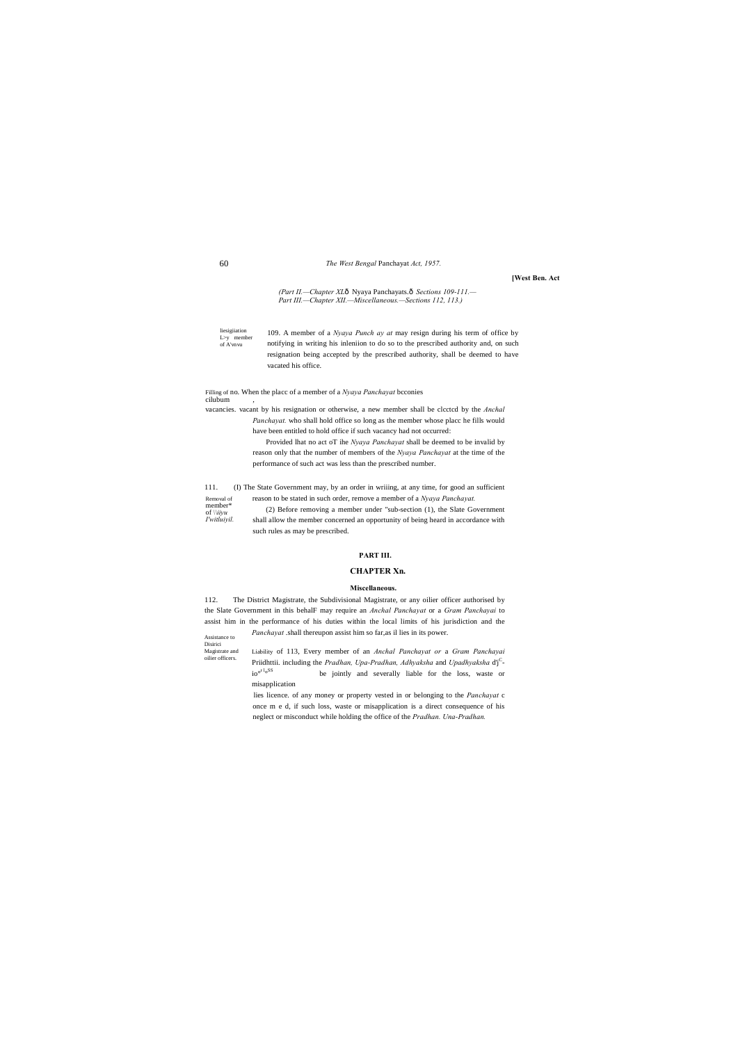Assistance to Disirici Magistrate and oilier officers.

# *The West Bengal* Panchayat *Act, 1957.*

**[West Ben. Act**

## *(Part II.—Chapter XL*—Nyaya Panchayats.—*Sections 109-111.— Part III.—Chapter XII.—Miscellaneous.—Sections 112, 113.)*

### Filling of no. When the placc of a member of a *Nyaya Panchayat* bcconies cilubum

liesigiiation L>y member of A'vnvu 109. A member of a *Nyaya Punch ay at* may resign during his term of office by notifying in writing his inleniion to do so to the prescribed authority and, on such resignation being accepted by the prescribed authority, shall be deemed to have vacated his office.

vacancies. vacant by his resignation or otherwise, a new member shall be clcctcd by the *Anchal Panchayat.* who shall hold office so long as the member whose placc he fills would have been entitled to hold office if such vacancy had not occurred:

> Provided lhat no act oT ihe *Nyaya Panchayat* shall be deemed to be invalid by reason only that the number of members of the *Nyaya Panchayat* at the time of the performance of such act was less than the prescribed number.

# **PART III.**

# **CHAPTER Xn.**

### **Miscellaneous.**

112. The District Magistrate, the Subdivisional Magistrate, or any oilier officer authorised by the Slate Government in this behalF may require an *Anchal Panchayat* or a *Gram Panchayai* to assist him in the performance of his duties within the local limits of his jurisdiction and the *Panchayat* .shall thereupon assist him so far,as il lies in its power.

111. (I) The State Government may, by an order in wriiing, at any time, for good an sufficient reason to be stated in such order, remove a member of a *Nyaya Panchayat.* (2) Before removing a member under "sub-section (1), the Slate Government shall allow the member concerned an opportunity of being heard in accordance with such rules as may be prescribed. Removal of member\* of *\\iiyu I'witluiyil.*

> Liability of 113, Every member of an *Anchal Panchayat or* a *Gram Panchayai*  Priidhttii. including the *Pradhan, Upa-Pradhan, Adhyaksha* and *Upadhyaksha* d'j<sup>C</sup> $io^{o^r l_o SS}$ be jointly and severally liable for the loss, waste or misapplication

> lies licence. of any money or property vested in or belonging to the *Panchayat* c once m e d, if such loss, waste or misapplication is a direct consequence of his neglect or misconduct while holding the office of the *Pradhan. Una-Pradhan.*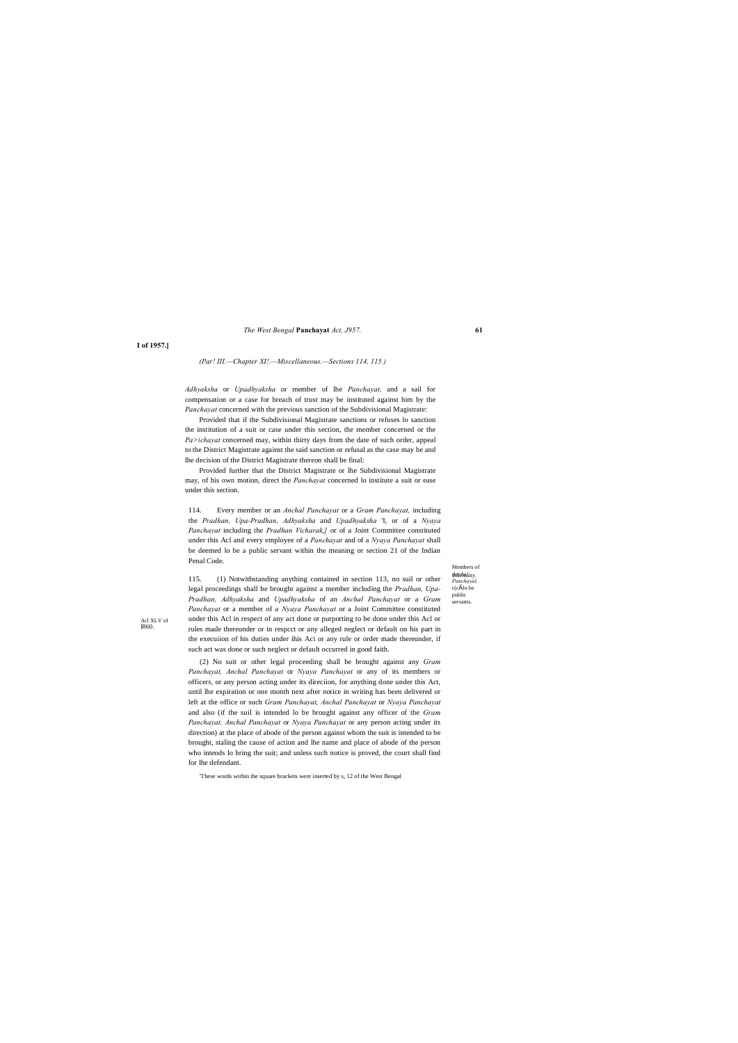Members of *Anteh*An'ity. *Panchayal,* c(cš lo be public servants.

Acl XLV of I860.

# *The West Bengal* **Panchayat** *Act, J957.* **61**

**I of 1957.]**

# *(Par! III.—Chapter XI!.—Miscellaneous.—Sections 114, 115.)*

*Adhyaksha* or *Upadhyaksha* or member of lhe *Panchayat,* and a sail for compensation or a case for breach of trust may be instituted against him by the *Panchayat* concerned with the previous sanction of the Subdivisional Magistrate:

Provided that if the Subdivisional Magistrate sanctions or refuses lo sanction the institution of a suit or case under this section, the member concerned or the *Pa>ichayat* concerned may, within thirty days from the date of such order, appeal to the District Magistrate against the said sanction or refusal as the case may be and lhe decision of the District Magistrate thereon shall be final:

Provided further that the District Magistrate or lhe Subdivisional Magistrate may, of his own motion, direct the *Panchayat* concerned lo institute a suit or ease under this section.

114. Every member or an *Anchal Panchayat* or a *Gram Panchayat,* including the *Pradhan, Upa-Pradhan, Adhyaksha* and *Upadhyaksha* 'I, or of a *Nyaya Panchayat* including the *Pradhan Vicharak,]* or of a Joint Committee constituted under this Acl and every employee of a *Panchayat* and of a *Nyaya Panchayat* shall be deemed lo be a public servant within the meaning or section 21 of the Indian Penal Code.

115. (1) Notwithstanding anything contained in section 113, no suil or other legal proceedings shall be brought against a member including the *Pradhan, Upa-Pradhan, Adhyaksha* and *Upadhyaksha* of an *Anchal Panchayat* or a *Gram Panchayat* or a member of *a Nyaya Panchayat* or a Joint Committee constituted under this Acl in respect of any act done or purporting to be done under this Acl or rules made thereunder or in respcct or any alleged neglect or default on his part in the execuiion of his duties under ihis Aci or any rule or order made thereunder, if

such act was done or such neglect or default occurred in good faith.

(2) No suit or other legal proceeding shall be brought against any *Gram Panchayat, Anchal Panchayat* or *Nyaya Panchayat* or any of its members or officers, or any person acting under its direciion, for anything done under this Act, until lhe expiration or one month next after notice in writing has been delivered or left at the office or such *Gram Panchayat, Anchal Panchayat* or *Nyaya Panchayat* and also (if the suil is intended lo be brought against any officer of the *Gram Panchayat, Anchal Panchayat* or *Nyaya Panchayat* or any person acting under its direction) at the place of abode of the person against whom the suit is intended to be brought, staling the cause of action and lhe name and place of abode of the person who intends lo bring the suit; and unless such notice is proved, the court shall find for lhe defendant.

'These words within the square brackets were inserted by s, 12 of the West Bengal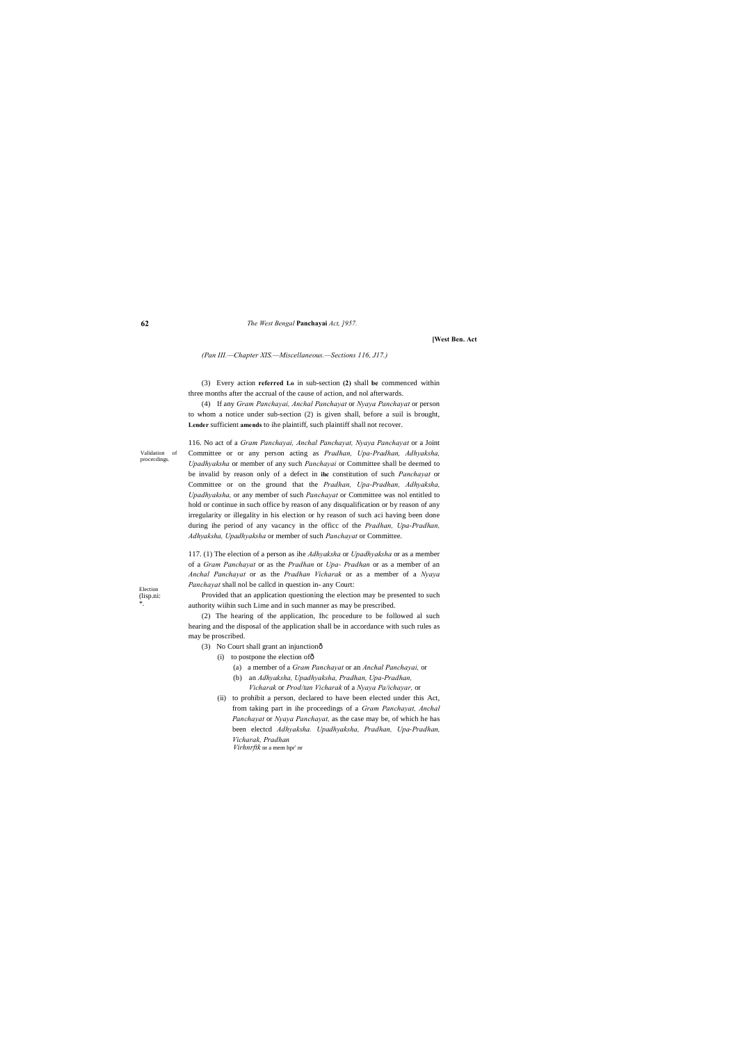Validation of procecdings.

## **62** *The West Bengal* **Panchayai** *Act, ]957.*

**[West Ben. Act**

*(Pan III.—Chapter XIS.—Miscellaneous.—Sections 116, J17.)*

(3) Every action **referred Lo** in sub-section **(2)** shall **be** commenced within three months after the accrual of the cause of action, and nol afterwards.

(4) If any *Gram Panchayai, Anchal Panchayat* or *Nyaya Panchayat* or person to whom a notice under sub-section (2) is given shall, before a suil is brought, **Lender** sufficient **amends** to ihe plaintiff, such plaintiff shall not recover.

116. No act of a *Gram Panchayai, Anchal Panchayat, Nyaya Panchayat* or a Joint Committee or or any person acting as *Pradhan, Upa-Pradhan, Adhyaksha, Upadhyaksha* or member of any such *Panchayai* or Committee shall be deemed to be invalid by reason only of a defect in **ihc** constitution of such *Panchayat* or Committee or on the ground that the *Pradhan, Upa-Pradhan, Adhyaksha, Upadhyaksha,* or any member of such *Panchayat* or Committee was nol entitled to hold or continue in such office by reason of any disqualification or by reason of any irregularity or illegality in his election or hy reason of such aci having been done during ihe period of any vacancy in the officc of the *Pradhan, Upa-Pradhan, Adhyaksha, Upadhyaksha* or member of such *Panchayat* or Committee.

- (3) No Court shall grant an injunction $\hat{\text{o}}$ 
	- (i) to postpone the election of  $\hat{0}$ 
		- (a) a member of a *Gram Panchayat* or an *Anchal Panchayai,* or
		- (b) an *Adhyaksha, Upadhyaksha, Pradhan, Upa-Pradhan, Vicharak* or *Prod/tan Vicharak* of a *Nyaya Pa/ichayar,* or
	- (ii) to prohibit a person, declared to have been elected under this Act, from taking part in ihe proceedings of a *Gram Panchayat, Anchal Panchayat* or *Nyaya Panchayat,* as the case may be, of which he has been electcd *Adhyaksha. Upadhyaksha, Pradhan, Upa-Pradhan, Vicharak, Pradhan*

117. (1) The election of a person as ihe *Adhyaksha* or *Upadhyaksha* or as a member of a *Gram Panchayat* or as the *Pradhan* or *Upa- Pradhan* or as a member of an *Anchal Panchayat* or as the *Pradhan Vicharak* or as a member of a *Nyaya Panchayat* shall nol be callcd in question in- any Court:

Provided that an application questioning the election may be presented to such authority wiihin such Lime and in such manner as may be prescribed.

(2) The hearing of the application, Ihc procedure to be followed al such hearing and the disposal of the application shall be in accordance with such rules as may be proscribed.

*Virhnrftk* nr a mem hpr' nr

Election (lisp.ni: \*.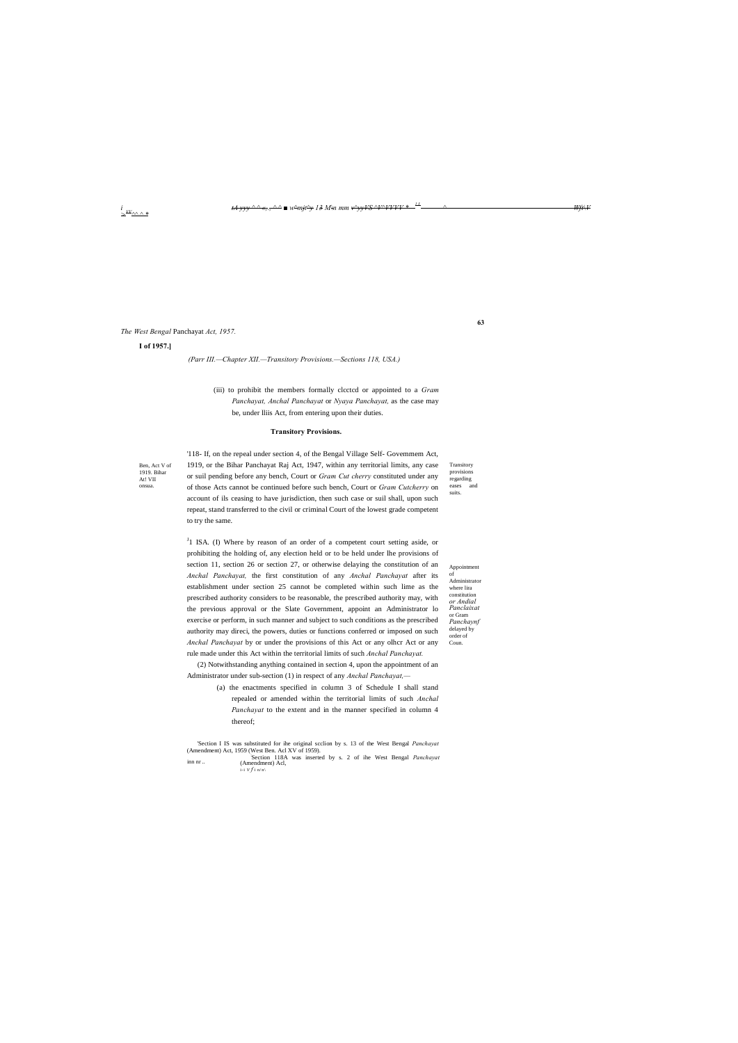Ben, Act V of 1919. Bihar At! VII onsua.

> Appointment of Administrator where lira constitution *or Andial Panclaixat*  or Gram *Panchaynf*  delayed by order of Coun.

*i tA yyy ^ ^ «,., ^ ^ ■ w^mjt^y 13 M\n mm v^yyVS ^V^VVVV \* -*

 $\mu$  *wft*\*V* 

*The West Bengal* Panchayat *Act, 1957.*

# **I of 1957.]**

*(Parr III.—Chapter XII.—Transitory Provisions.—Sections 118, USA.)*

(iii) to prohibit the members formally clcctcd or appointed to a *Gram Panchayat, Anchal Panchayat* or *Nyaya Panchayat,* as the case may be, under lliis Act, from entering upon their duties.

Transitory provisions regarding eases and suits. '118- If, on the repeal under section 4, of the Bengal Village Self- Govemmem Act, 1919, or the Bihar Panchayat Raj Act, 1947, within any territorial limits, any case or suil pending before any bench, Court or *Gram Cut cherry* constituted under any of those Acts cannot be continued before such bench, Court or *Gram Cutcherry* on account of ils ceasing to have jurisdiction, then such case or suil shall, upon such repeat, stand transferred to the civil or criminal Court of the lowest grade competent to try the same.

# **Transitory Provisions.**

 $J_1$  ISA. (I) Where by reason of an order of a competent court setting aside, or prohibiting the holding of, any election held or to be held under lhe provisions of section 11, section 26 or section 27, or otherwise delaying the constitution of an *Anchal Panchayat,* the first constitution of any *Anchal Panchayat* after its establishment under section 25 cannot be completed within such lime as the prescribed authority considers to be reasonable, the prescribed authority may, with the previous approval or the Slate Government, appoint an Administrator lo exercise or perform, in such manner and subject to such conditions as the prescribed authority may direci, the powers, duties or functions conferred or imposed on such *Anchal Panchayat* by or under the provisions of this Act or any olhcr Act or any rule made under this Act within the territorial limits of such *Anchal Panchayat.*

(2) Notwithstanding anything contained in section 4, upon the appointment of an Administrator under sub-section (1) in respect of any *Anchal Panchayat,—*

(a) the enactments specified in column 3 of Schedule I shall stand repealed or amended within the territorial limits of such *Anchal Panchayat* to the extent and in the manner specified in column 4 thereof;

inn nr 'Section I IS was substituted for ihe original scclion by s. 13 of the West Bengal *Panchayat* (Amendment) Act, 1959 (West Ben. Acl XV of 1959).<br>
Section 118A was inserted by s. 2 of ihe West Bengal *Panchayat* (Amendment) Acl, i-i  $\nu f$ i n/n\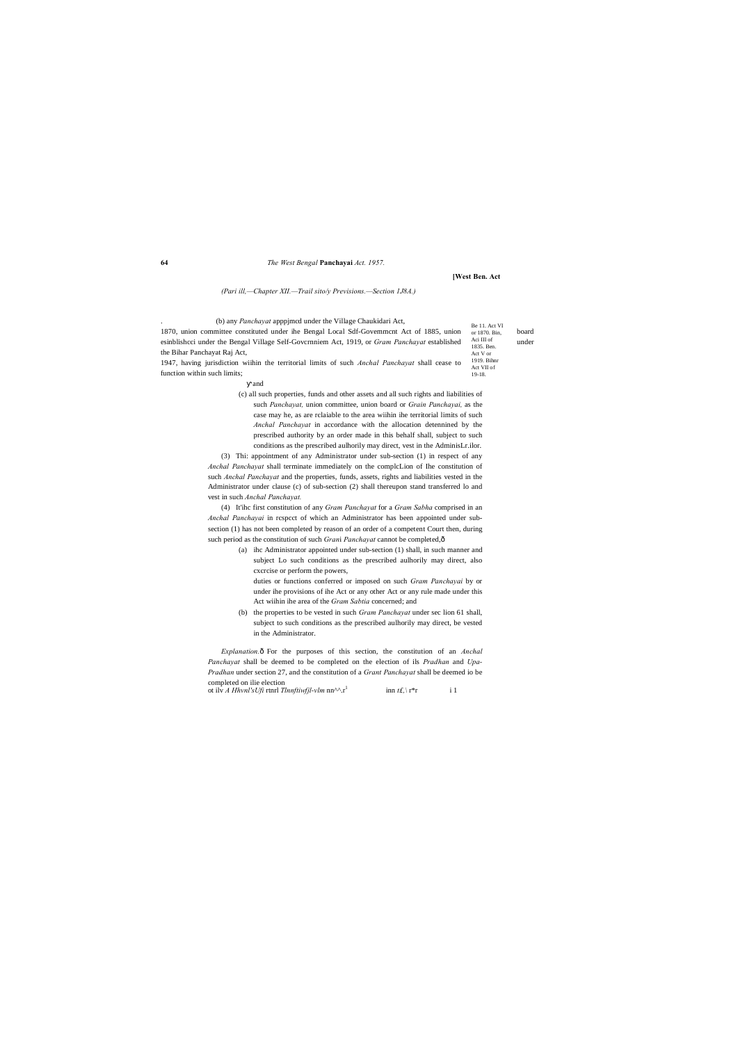## **64** *The West Bengal* **Panchayai** *Act. 1957.*

# **[West Ben. Act**

*(Pari ill,—Chapter XII.—Trail sito/y Previsions.—Section 1J8A.)*

Be 11. Act VI or 1870. Bin, Aci III of 1835. Ben. Act V or 1919. Bihnr Act VII of . (b) any *Panchayat* apppjmcd under the Village Chaukidari Act, 1870, union committee constituted under ihe Bengal Local Sdf-Govemment Act of 1885, union  $\frac{1870}{91870}$  Bin. esinblishcci under the Bengal Village Self-Govcrnniem Act, 1919, or *Gram Panchayat* established under the Bihar Panchayat Raj Act, 1947, having jurisdiction wiihin the territorial limits of such *Anchal Panchayat* shall cease to

19-18. function within such limits; and

> (c) all such properties, funds and other assets and all such rights and liabilities of such *Panchayat,* union committee, union board or *Grain Panchayai,* as the case may he, as are rclaiable to the area wiihin ihe territorial limits of such *Anchal Panchayat* in accordance with the allocation detennined by the prescribed authority by an order made in this behalf shall, subject to such conditions as the prescribed aulhorily may direct, vest in the AdminisLr.ilor.

(3) Thi: appointment of any Administrator under sub-section (1) in respect of any *Anchal Panchayat* shall terminate immediately on the complcLion of Ihe constitution of such *Anchal Panchayat* and the properties, funds, assets, rights and liabilities vested in the Administrator under clause (c) of sub-section (2) shall thereupon stand transferred lo and vest in such *Anchal Panchayat.*

*Explanation.* $\hat{\text{o}}$  For the purposes of this section, the constitution of an *Anchal Panchayat* shall be deemed to be completed on the election of ils *Pradhan* and *Upa-Pradhan* under section 27, and the constitution of a *Grant Panchayat* shall be deemed io be completed on ilie election

ot ilv *A Hhvnl'sUfi* rtnrl *Tlnnftiwfjl-vlm*  $nn^{\wedge n}$ . $r^1$  inn *t£*,  $r^*$ r i 1

(4) It'ihc first constitution of any *Gram Panchayat* for a *Gram Sabha* comprised in an *Anchal Panchayai* in rcspcct of which an Administrator has been appointed under subsection (1) has not been completed by reason of an order of a competent Court then, during such period as the constitution of such *Gran*i *Panchayat* cannot be completed,—

> (a) ihc Administrator appointed under sub-section (1) shall, in such manner and subject Lo such conditions as the prescribed aulhorily may direct, also cxcrcise or perform the powers,

duties or functions conferred or imposed on such *Gram Panchayai* by or under ihe provisions of ihe Act or any other Act or any rule made under this Act wiihin ihe area of the *Gram Sabtia* concerned; and

(b) the properties to be vested in such *Gram Panchayat* under sec lion 61 shall, subject to such conditions as the prescribed aulhorily may direct, be vested in the Administrator.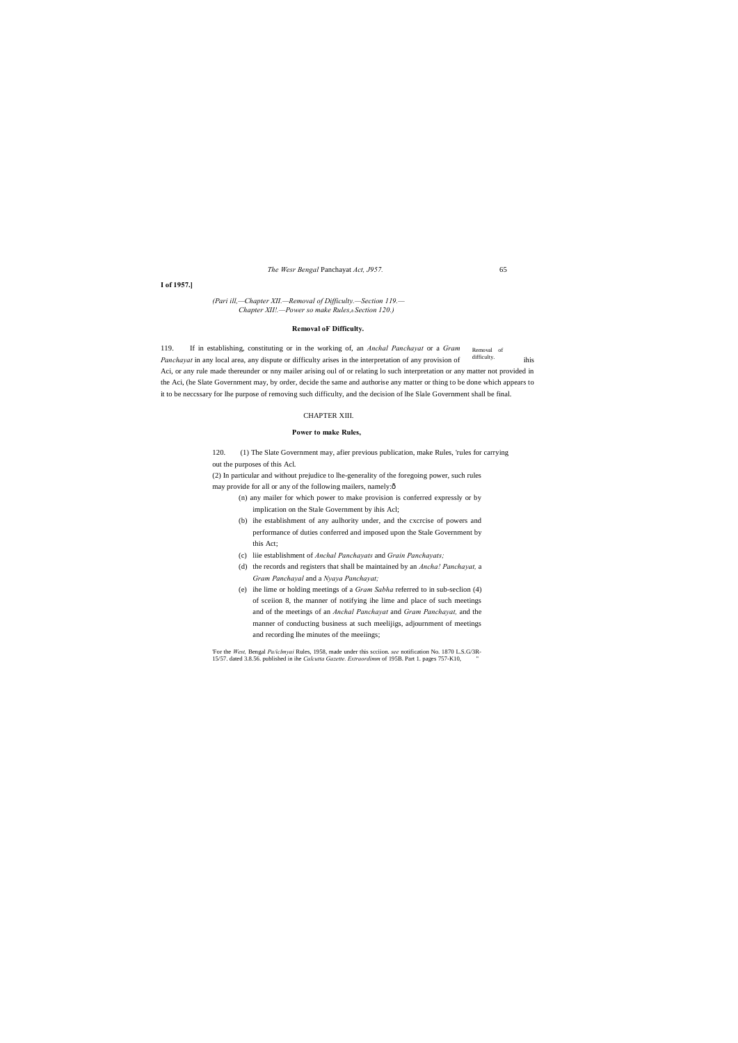*The Wesr Bengal* Panchayat *Act, J957.* 65

**I of 1957.]**

*(Pari ill,—Chapter XII.—Removal of Difficulty.—Section 119.— Chapter XII!.—Power so make Rules,*—*Section 120.)*

## **Removal oF Difficulty.**

Removal of difficulty. 119. If in establishing, constituting or in the working of, an *Anchal Panchayat* or a *Gram Panchayat* in any local area, any dispute or difficulty arises in the interpretation of any provision of <sup>difficulty</sup> ihis Aci, or any rule made thereunder or nny mailer arising oul of or relating lo such interpretation or any matter not provided in the Aci, (he Slate Government may, by order, decide the same and authorise any matter or thing to be done which appears to it to be neccssary for lhe purpose of removing such difficulty, and the decision of lhe Slale Government shall be final.

> (2) In particular and without prejudice to lhe-generality of the foregoing power, such rules may provide for all or any of the following mailers, namely: $\hat{o}$

## CHAPTER XIII.

## **Power to make Rules,**

120. (1) The Slate Government may, afier previous publication, make Rules, 'rules for carrying out the purposes of this Acl.

- (n) any mailer for which power to make provision is conferred expressly or by implication on the Stale Government by ihis Acl;
- (b) ihe establishment of any aulhority under, and the cxcrcise of powers and performance of duties conferred and imposed upon the Stale Government by this Act;
- (c) liie establishment of *Anchal Panchayats* and *Grain Panchayats;*
- (d) the records and registers that shall be maintained by an *Ancha! Panchayat,* a *Gram Panchayal* and a *Nyaya Panchayat;*
- (e) ihe lime or holding meetings of a *Gram Sabha* referred to in sub-seclion (4) of sceiion 8, the manner of notifying ihe lime and place of such meetings and of the meetings of an *Anchal Panchayat* and *Gram Panchayat,* and the manner of conducting business at such meelijigs, adjournment of meetings and recording lhe minutes of the meeiings;

'For the *West,* Bengal *Pa/iclmyai* Rules, 1958, made under this scciion. *see* notification No. 1870 L.S.G/3R-15/57. dated 3.8.56. published in ihe *Calcutta Gazette. Extraordimm* of 195B. Part 1. pages 757-K10, "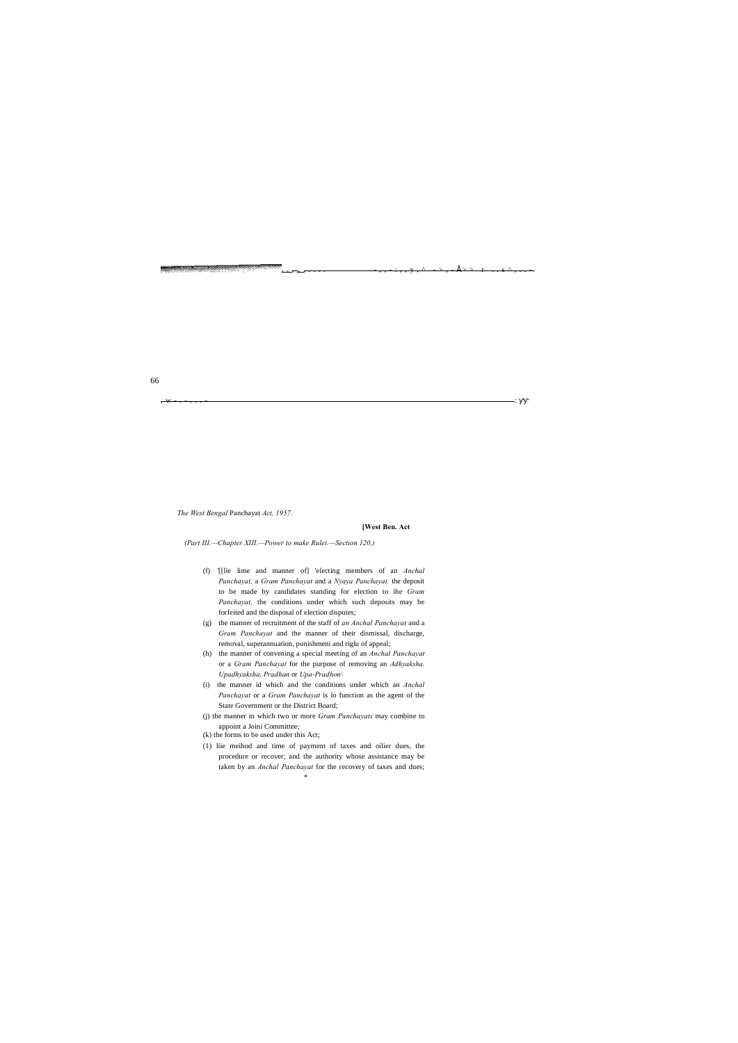a v , <sup>w</sup> , . . . . - , , - : , , y , ^ - > , - • > > r . . s ^ , . . -

*The West Bengal* Panchayat *Act, 1957.*

# **[West Ben. Act**

, w - . - . . . -  $\blacksquare$ 

*(Part III.—Chapter XIII.—Power to make Rulei.—Section 120.)*

- (f) '[[lie lime and manner of] 'electing members of an *Anchal Panchayat,* a *Gram Panchayat* and a *Nyaya Panchayat.* the deposit to be made by candidates standing for election to ihe *Gram Panchayat,* the conditions under which such deposits may be forfeited and the disposal of election disputes;
- (g) the manner of recruitment of the staff of *an Anchal Panchayat* and a *Gram Panchayat* and the manner of their dismissal, discharge, removal, superannuation, punishmeni and riglu of appeal;
- (h) the manner of convening a special meeting of an *Anchal Panchayat* or a *Gram Panchayat* for the purpose of removing an *Adhyaksha. Upadhyaksha, Pradhan* or *Upa-Pradhon\*
- (i) the manner id which and the conditions under which an *Anchal Panchayat* or a *Gram Panchayat* is lo function as the agent of the State Government or the District Board;
- (j) the manner in which two or more *Gram Panchayats* may combine to appoint a Joini Committee;
- (k) the forms to be used under this Act;
- (1) liie meihod and time of payment of taxes and oilier dues, the procedure or recover; and the authority whose assistance may be taken by an *Anchal Panchayat* for the recovery of taxes and dues;

\*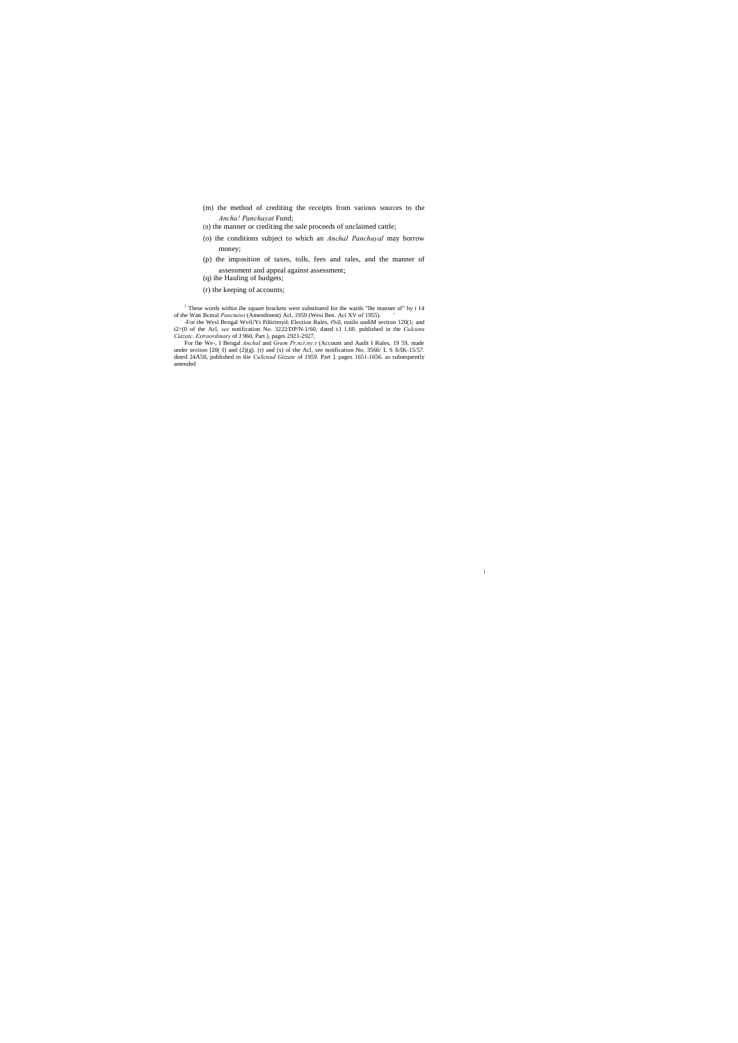i

- (m) the method of crediting the receipts from various sources to the *Ancha! Panchayat* Fund;
- (II) the manner or crediting the sale proceeds of unclaimed cattle;
- (o) the conditions subject to which an *Anchal Panchayal* may borrow money;
- (p) the imposition of taxes, tolls, fees and rales, and the manner of assessment and appeal against assessment;
- (q) ihe Hauling of budgets;
- (r) the keeping of accounts;

<sup>1</sup> These words within ihe square brackets were substituted for ihe wards "lhe manner of" by i 14<br>of the Watt Bcntal *Panctuiwi* (Amendment) Acl, 1959 (Wesi Ben. Aci XV of 1955).<br>For the Wesl Bengal WviUYt Pdiirimyd; Elec amended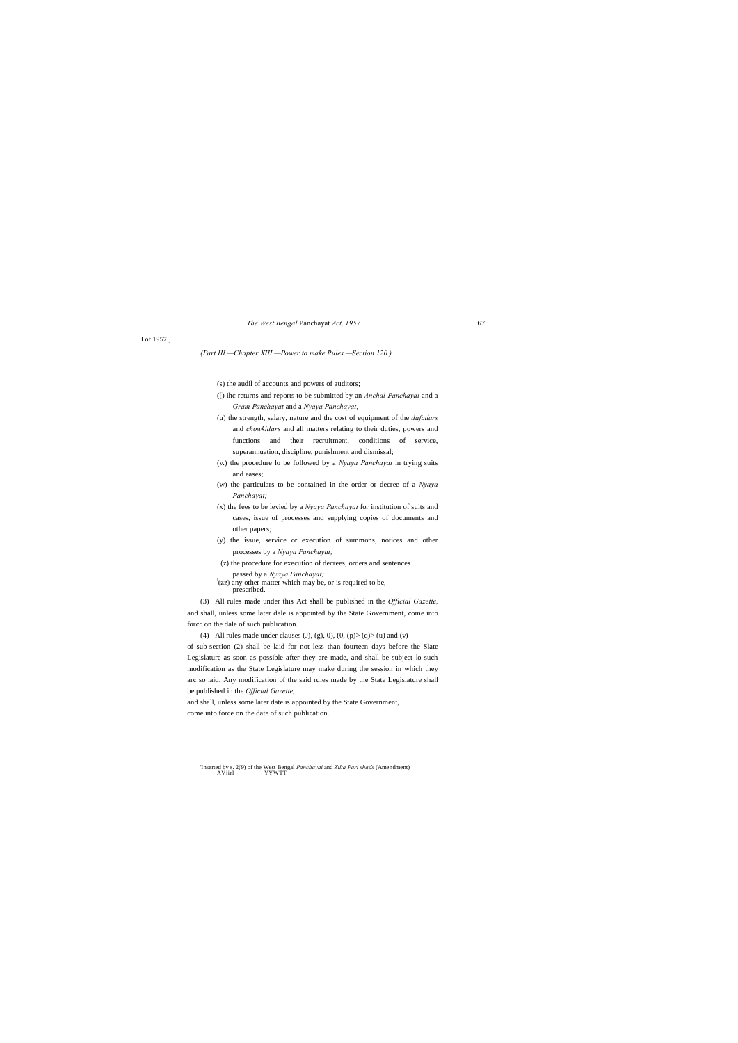I of 1957.]

*The West Bengal* Panchayat *Act, 1957.* 67

*(Part III.—Chapter XIII.—Power to make Rules.—Section 120.)*

(s) the audil of accounts and powers of auditors;

([) ihc returns and reports to be submitted by an *Anchal Panchayai* and a *Gram Panchayat* and a *Nyaya Panchayat;*

- (u) the strength, salary, nature and the cost of equipment of the *dafadars* and *chowkidars* and all matters relating to their duties, powers and functions and their recruitment, conditions of service, superannuation, discipline, punishment and dismissal;
- (v.) the procedure lo be followed by a *Nyaya Panchayat* in trying suits and eases;
- (w) the particulars to be contained in the order or decree of a *Nyaya Panchayat;*
- (x) the fees to be levied by a *Nyaya Panchayat* for institution of suits and cases, issue of processes and supplying copies of documents and other papers;
- (y) the issue, service or execution of summons, notices and other processes by a *Nyaya Panchayat;*
- . (z) the procedure for execution of decrees, orders and sentences
	- passed by a *Nyaya Panchayat;* <sup>l</sup>
- $\frac{1}{2}$  (zz) any other matter which may be, or is required to be, prescribed.

(4) All rules made under clauses (J), (g), 0), (0, (p)> (q)> (u) and (v) of sub-section (2) shall be laid for not less than fourteen days before the Slate

(3) All rules made under this Act shall be published in the *Official Gazette,* and shall, unless some later dale is appointed by the State Government, come into forcc on the dale of such publication.

Legislature as soon as possible after they are made, and shall be subject lo such modification as the State Legislature may make during the session in which they arc so laid. Any modification of the said rules made by the State Legislature shall be published in the *Official Gazette,*

and shall, unless some later date is appointed by the State Government, come into force on the date of such publication.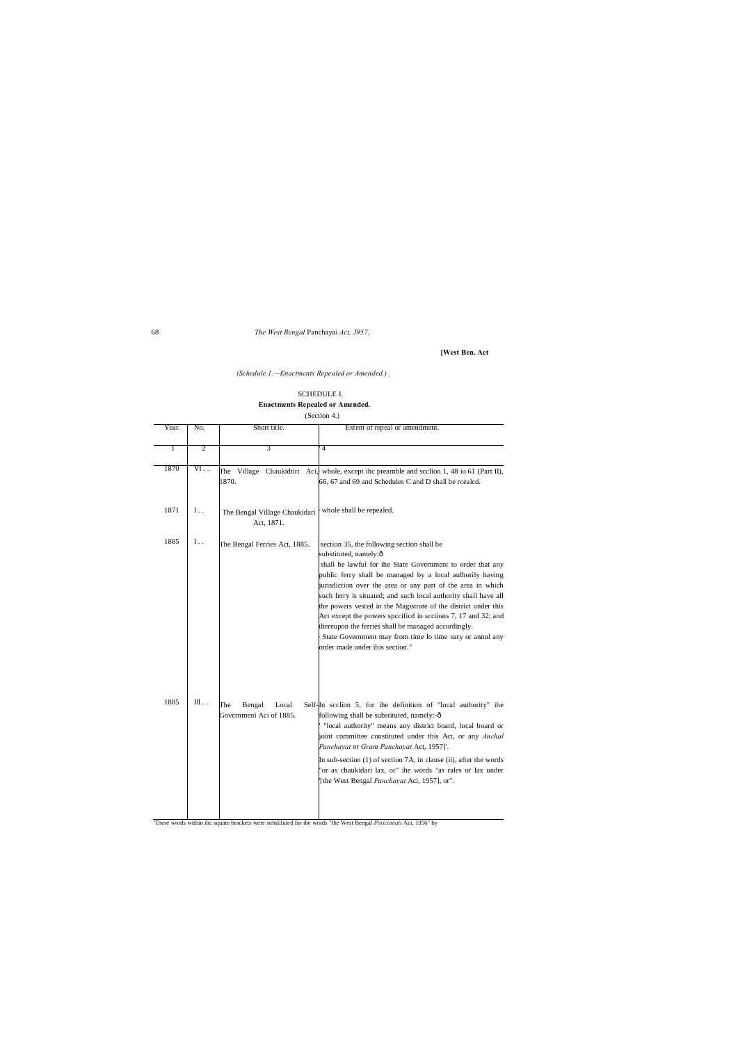68 *The West Bengal* Panchayai *Act, J957.*

**[West Ben. Act**

*(Schedule 1.—Enactments Repealed or Amended.)* ;

# SCHEDULE I. **Enactments Repealed or Amended.**

# (Section 4.)

| Year. | No.            | Short title.                                      | Extent of repeal or amendment.                                                                                                                                                                                                                                                                                                                                                                                                                                                                                                                                                                                            |
|-------|----------------|---------------------------------------------------|---------------------------------------------------------------------------------------------------------------------------------------------------------------------------------------------------------------------------------------------------------------------------------------------------------------------------------------------------------------------------------------------------------------------------------------------------------------------------------------------------------------------------------------------------------------------------------------------------------------------------|
|       |                |                                                   |                                                                                                                                                                                                                                                                                                                                                                                                                                                                                                                                                                                                                           |
| 1     | $\overline{2}$ | 3                                                 | $\overline{4}$                                                                                                                                                                                                                                                                                                                                                                                                                                                                                                                                                                                                            |
| 1870  | $VI$           | 1870.                                             | The Village Chaukidtiri Aci, whole, except inc preamble and scclion 1, 48 io 61 (Part II),<br>66, 67 and 69 and Schedules C and D shall be rcealcd.                                                                                                                                                                                                                                                                                                                                                                                                                                                                       |
| 1871  | Ι.,            | The Bengal Village Chaukidari<br>Act, 1871.       | whole shall be repealed.                                                                                                                                                                                                                                                                                                                                                                                                                                                                                                                                                                                                  |
| 1885  | $I$ .          | The Bengal Ferries Act, 1885.                     | section 35, the following section shall be<br>substituted, namely:ô<br>shall be lawful for ihe State Government to order that any<br>public ferry shall be managed by a local aulhorily having<br>jurisdiction over the area or any part of the area in which<br>such ferry is situated; and such local authority shall have all<br>the powers vested in the Magistrate of the district under this<br>Act except the powers specified in seciions 7, 17 and 32; and<br>thereupon the ferries shall be managed accordingly.<br>State Government may from time lo time vary or annul any<br>order made under ihis section." |
| 1885  | III.           | The<br>Bengal<br>Local<br>Governmeni Aci of 1885. | Self-In section 5, for the definition of "local authority" the<br>following shall be substituted, namely:-ô<br>"local authority" means any district board, local board or<br>joint committee constituted under this Act, or any Anchal<br>Panchayat or Gram Panchayat Act, 1957]'.<br>In sub-section $(1)$ of section 7A, in clause $(ii)$ , after the words<br>"or as chaukidari lax, or" ihe words "as rales or lax under<br>[the West Bengal Panchayat Aci, 1957], or".                                                                                                                                                |

'These words within ihc square brackets were sobsliluied for ihe words "Ihe West Bengal *Pitiiciitixtii* Aci, 1956" by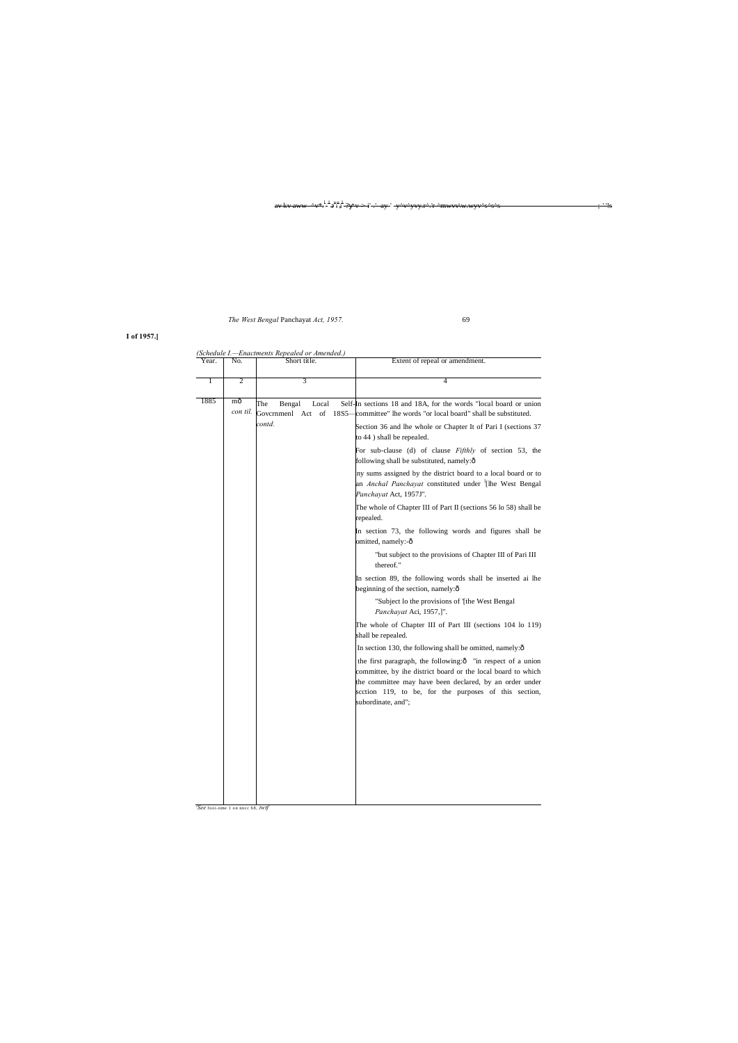av kv aww - 1 *?* u *\* u *,\* <sup>1</sup> ? v-> i'-.'- ay-' -y^v^yvy.r^.'r ^mwvv\w.wyv^s^s^s ;-' '!s

*The West Bengal* Panchayat *Act, 1957.* 69

# **I of 1957.]**

*(Schedule I.—Enactments Repealed or Amended.)*

| Year. | No.            | Short title.                                | Extent of repeal or amendment.                                                                                                                                                                                                                           |
|-------|----------------|---------------------------------------------|----------------------------------------------------------------------------------------------------------------------------------------------------------------------------------------------------------------------------------------------------------|
|       |                |                                             |                                                                                                                                                                                                                                                          |
| 1     | $\overline{c}$ | 3                                           | 4                                                                                                                                                                                                                                                        |
| 1885  | mô<br>con til. | The<br>Bengal<br>Local<br>Governmenl Act of | Self-In sections 18 and 18A, for the words "local board or union<br>18S5-committee" lhe words "or local board" shall be substituted.                                                                                                                     |
|       |                | contd.                                      | Section 36 and lhe whole or Chapter It of Pari I (sections 37<br>to 44) shall be repealed.                                                                                                                                                               |
|       |                |                                             | For sub-clause (d) of clause Fifthly of section 53, the<br>following shall be substituted, namely:ô                                                                                                                                                      |
|       |                |                                             | ny sums assigned by the district board to a local board or to<br>an Anchal Panchayat constituted under <sup>1</sup> [lhe West Bengal<br>Panchayat Act, 1957J".                                                                                           |
|       |                |                                             | The whole of Chapter III of Part II (sections 56 lo 58) shall be<br>repealed.                                                                                                                                                                            |
|       |                |                                             | In section 73, the following words and figures shall be<br>omitted, namely:-ô                                                                                                                                                                            |
|       |                |                                             | "but subject to the provisions of Chapter III of Pari III<br>thereof."                                                                                                                                                                                   |
|       |                |                                             | In section 89, the following words shall be inserted ai lhe<br>beginning of the section, namely:ô                                                                                                                                                        |
|       |                |                                             | "Subject lo the provisions of '[the West Bengal<br>Panchayat Aci, 1957,]".                                                                                                                                                                               |
|       |                |                                             | The whole of Chapter III of Part III (sections 104 lo 119)<br>shall be repealed.                                                                                                                                                                         |
|       |                |                                             | In section 130, the following shall be omitted, namely: $\hat{o}$                                                                                                                                                                                        |
|       |                |                                             | the first paragraph, the following: $\hat{o}$ "in respect of a union<br>committee, by ihe district board or the local board to which<br>the committee may have been declared, by an order under<br>scction 119, to be, for the purposes of this section, |
|       |                |                                             | subordinate, and";                                                                                                                                                                                                                                       |
|       |                |                                             |                                                                                                                                                                                                                                                          |

*l See* fooi-nme 1 on nncc 68, *twtf*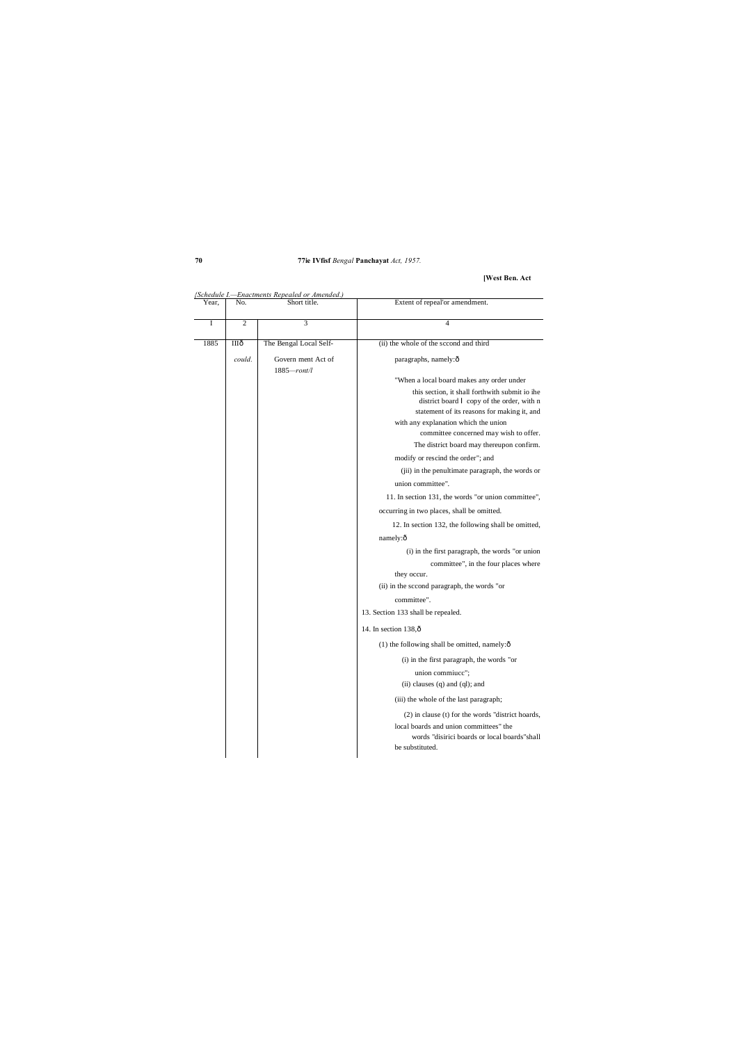# **70 77ie IVfisf** *Bengal* **Panchayat** *Act, 1957.*

**[West Ben. Act**

| Year, | No.            | Short title.                            | Extent of repeal'or amendment.                                                                                                                                                    |
|-------|----------------|-----------------------------------------|-----------------------------------------------------------------------------------------------------------------------------------------------------------------------------------|
| I     | $\overline{c}$ | 3                                       | 4                                                                                                                                                                                 |
| 1885  | IIIô           | The Bengal Local Self-                  | (ii) the whole of the sccond and third                                                                                                                                            |
|       | could.         | Govern ment Act of<br>$1885 - \ncont/l$ | paragraphs, namely:ô                                                                                                                                                              |
|       |                |                                         | "When a local board makes any order under                                                                                                                                         |
|       |                |                                         | this section, it shall forthwith submit io ihe<br>district board copy of the order, with n<br>statement of its reasons for making it, and<br>with any explanation which the union |
|       |                |                                         | committee concerned may wish to offer.                                                                                                                                            |
|       |                |                                         | The district board may thereupon confirm.                                                                                                                                         |
|       |                |                                         | modify or rescind the order"; and                                                                                                                                                 |
|       |                |                                         | (jii) in the penultimate paragraph, the words or                                                                                                                                  |
|       |                |                                         | union committee".                                                                                                                                                                 |
|       |                |                                         | 11. In section 131, the words "or union committee",                                                                                                                               |
|       |                |                                         | occurring in two places, shall be omitted.                                                                                                                                        |
|       |                |                                         | 12. In section 132, the following shall be omitted,                                                                                                                               |
|       |                |                                         | namely:ô                                                                                                                                                                          |
|       |                |                                         | (i) in the first paragraph, the words "or union                                                                                                                                   |
|       |                |                                         | committee", in the four places where                                                                                                                                              |
|       |                |                                         | they occur.                                                                                                                                                                       |
|       |                |                                         | (ii) in the sccond paragraph, the words "or                                                                                                                                       |
|       |                |                                         | committee".                                                                                                                                                                       |
|       |                |                                         | 13. Section 133 shall be repealed.                                                                                                                                                |
|       |                |                                         | 14. In section 138, ô                                                                                                                                                             |
|       |                |                                         | (1) the following shall be omitted, namely: ô                                                                                                                                     |
|       |                |                                         | (i) in the first paragraph, the words "or                                                                                                                                         |
|       |                |                                         | union commiuce":                                                                                                                                                                  |
|       |                |                                         | (ii) clauses (q) and (ql); and                                                                                                                                                    |
|       |                |                                         | (iii) the whole of the last paragraph;                                                                                                                                            |
|       |                |                                         | (2) in clause (t) for the words "district hoards,<br>local boards and union committees" the<br>words "disirici boards or local boards" shall<br>be substituted.                   |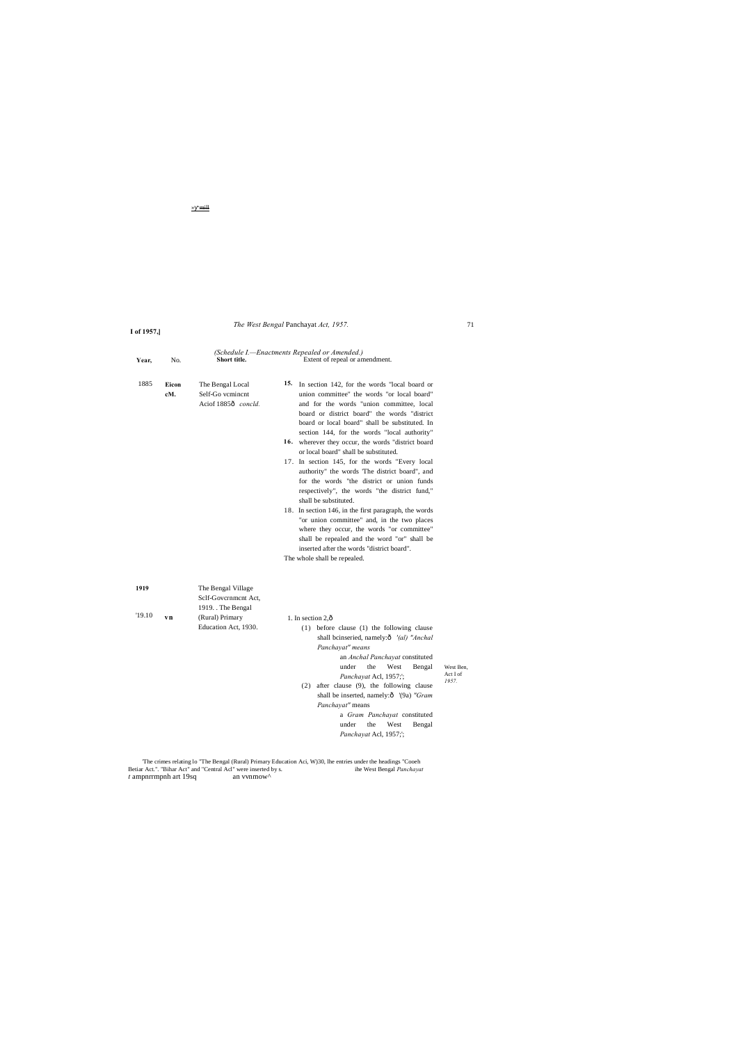71

'The crimes relating lo "The Bengal (Rural) Primary Education Aci, W)30, lhe entries under the headings "Cooeh Betiar Act.". "Bihar Act" and "Central Acl" were inserted by s.<br> *t* ampnrrmpnh art 19sq an vvnmow<sup>^</sup>

| Year,          | No.          | Short title.                                                                                              | (Schedule I.-Enactments Repealed or Amended.)<br>Extent of repeal or amendment.                                                                                                                                                                                                                                                                                                                                                                                                                                                                                                                                                                                                                                                                                                                                                                                                                                   |                                |
|----------------|--------------|-----------------------------------------------------------------------------------------------------------|-------------------------------------------------------------------------------------------------------------------------------------------------------------------------------------------------------------------------------------------------------------------------------------------------------------------------------------------------------------------------------------------------------------------------------------------------------------------------------------------------------------------------------------------------------------------------------------------------------------------------------------------------------------------------------------------------------------------------------------------------------------------------------------------------------------------------------------------------------------------------------------------------------------------|--------------------------------|
|                |              |                                                                                                           |                                                                                                                                                                                                                                                                                                                                                                                                                                                                                                                                                                                                                                                                                                                                                                                                                                                                                                                   |                                |
| 1885           | Eicon<br>cM. | The Bengal Local<br>Self-Go vcmincnt<br>Aciof 1885ô concld.                                               | 15. In section 142, for the words "local board or<br>union committee" the words "or local board"<br>and for the words "union committee, local<br>board or district board" the words "district<br>board or local board" shall be substituted. In<br>section 144, for the words "local authority"<br>16.<br>wherever they occur, the words "district board<br>or local board" shall be substituted.<br>17. In section 145, for the words "Every local<br>authority" the words 'The district board", and<br>for the words "the district or union funds<br>respectively", the words "the district fund,"<br>shall be substituted.<br>18. In section 146, in the first paragraph, the words<br>"or union committee" and, in the two places<br>where they occur, the words "or committee"<br>shall be repealed and the word "or" shall be<br>inserted after the words "district board".<br>The whole shall be repealed. |                                |
| 1919<br>'19.10 | vn           | The Bengal Village<br>Sclf-Government Act,<br>1919. The Bengal<br>(Rural) Primary<br>Education Act, 1930. | 1. In section 2, ô<br>$(1)$ before clause $(1)$ the following clause<br>shall bcinseried, namely: $\hat{o}$ '(al) "Anchal<br>Panchayat" means<br>an Anchal Panchayat constituted<br>under<br>the<br>West<br>Bengal<br>Panchayat Acl, 1957;';<br>(2) after clause (9), the following clause<br>shall be inserted, namely:ô '(9a) "Gram<br>Panchayat" means<br>a Gram Panchayat constituted<br>under<br>the<br>West<br>Bengal<br>Panchayat Acl, 1957;';                                                                                                                                                                                                                                                                                                                                                                                                                                                             | West Ben.<br>Act I of<br>1957. |

» mill

# *The West Bengal* Panchayat *Act, 1957.*

# **I of 1957,]**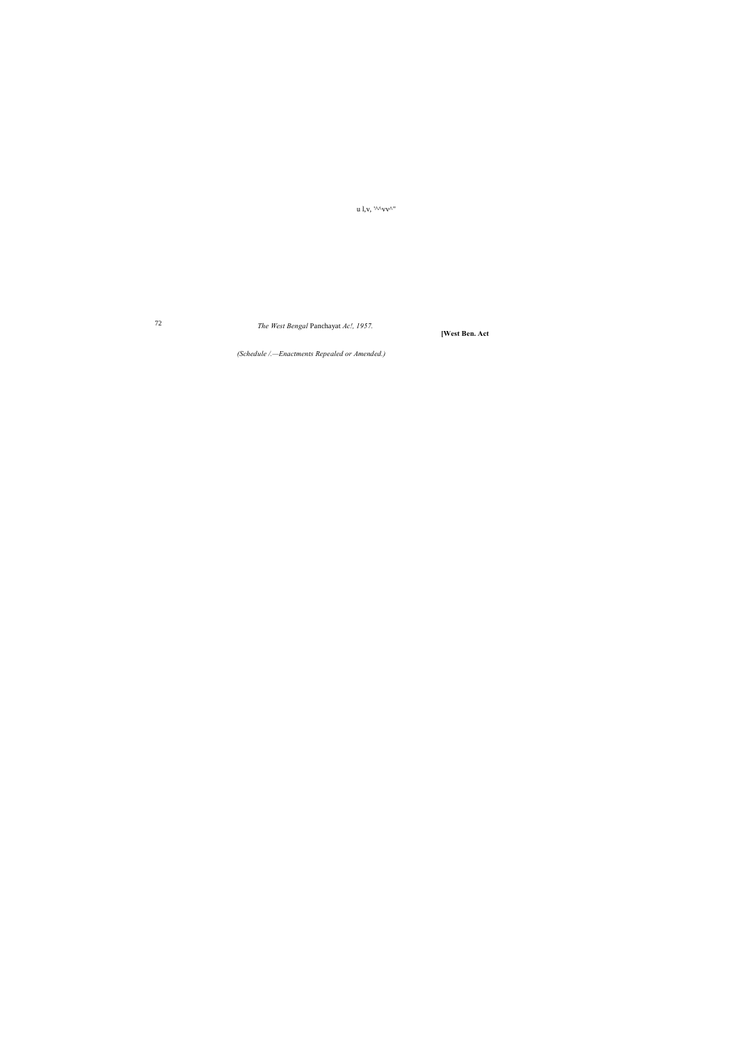u l,v, '^^vv^''

72

The West Bengal Panchayat Ac!, 1957.

[West Ben. Act

(Schedule / .- Enactments Repealed or Amended.)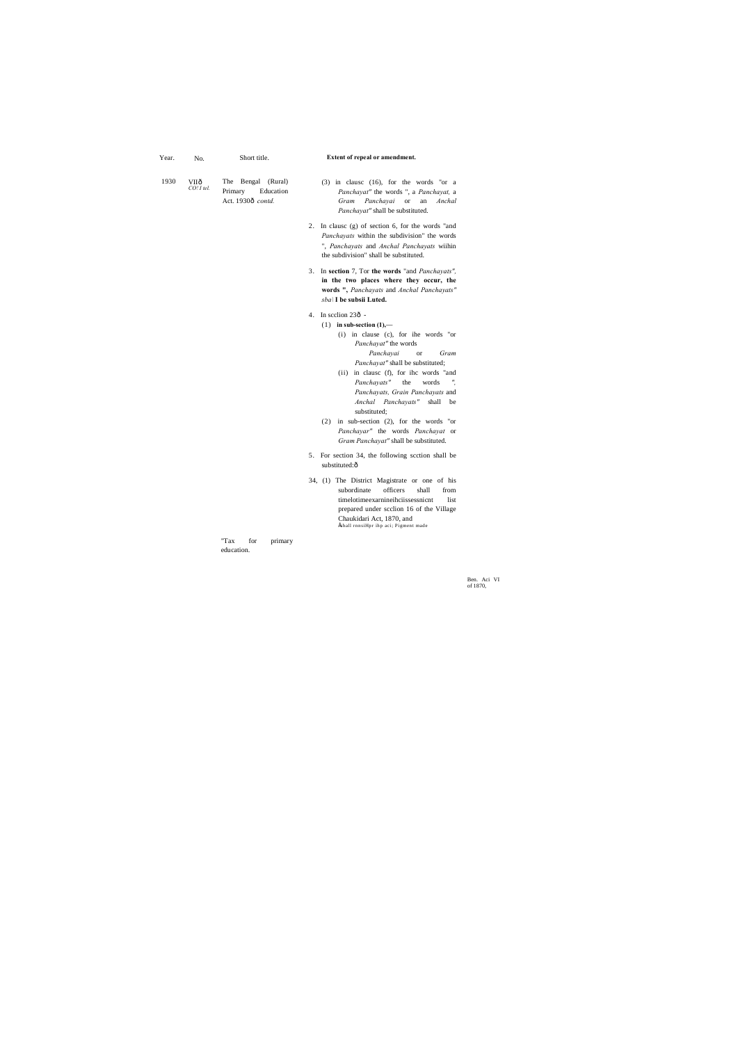Year. No. Short title. **Extent of repeal or amendment.**

| 1930 | VIIô<br>$CO/I$ tel. | The Bengal<br>Primary<br>Act. 1930ô contd. | (Rural)<br>Education | $(3)$ in clause $(16)$ , for the words "or a<br>Panchayat" the words ", a Panchayat, a<br>Panchayai<br>Gram<br><b>or</b><br>an<br>Anchal<br>Panchayat" shall be substituted.                                                                                                                                                                                                                                                                                                                                 |
|------|---------------------|--------------------------------------------|----------------------|--------------------------------------------------------------------------------------------------------------------------------------------------------------------------------------------------------------------------------------------------------------------------------------------------------------------------------------------------------------------------------------------------------------------------------------------------------------------------------------------------------------|
|      |                     |                                            |                      | 2. In clause (g) of section 6, for the words "and<br><i>Panchavats</i> within the subdivision" the words<br>", Panchayats and Anchal Panchayats wiihin<br>the subdivision" shall be substituted.                                                                                                                                                                                                                                                                                                             |
|      |                     |                                            |                      | 3. In section 7, Tor the words "and <i>Panchayats"</i> ,<br>in the two places where they occur, the<br>words ", Panchayats and Anchal Panchayats"<br>$sba \setminus I$ be subsii Luted.                                                                                                                                                                                                                                                                                                                      |
|      |                     |                                            |                      | 4. In section $23\hat{o}$ -<br>$(1)$ in sub-section $(1)$ ,—<br>(i) in clause (c), for ihe words "or<br>Panchayat" the words<br>Panchayai<br>Gram<br><b>or</b><br><i>Panchayat"</i> shall be substituted;<br>(ii) in clause (f), for ihe words "and<br>Panchayats"<br>the<br>words<br>Panchayats, Grain Panchayats and<br>Anchal<br>Panchayats"<br>shall<br>be<br>substituted:<br>in sub-section (2), for the words "or<br>(2)<br>Panchayar" the words Panchayat or<br>Gram Panchayat" shall be substituted. |
|      |                     |                                            |                      | 5. For section 34, the following scction shall be<br>substituted:ô                                                                                                                                                                                                                                                                                                                                                                                                                                           |
|      |                     |                                            |                      | 34, (1) The District Magistrate or one of his<br>subordinate<br>officers<br>shall<br>from<br>timelotimeexarnineihciissessnicnt<br>list<br>prepared under scolion 16 of the Village<br>Chaukidari Act, 1870, and<br>Éshall rnnsiHpr ihp aci; Pigment made                                                                                                                                                                                                                                                     |
|      |                     | "Tax<br>for<br>education.                  | primary              |                                                                                                                                                                                                                                                                                                                                                                                                                                                                                                              |

Ben. Aci VI of 1870,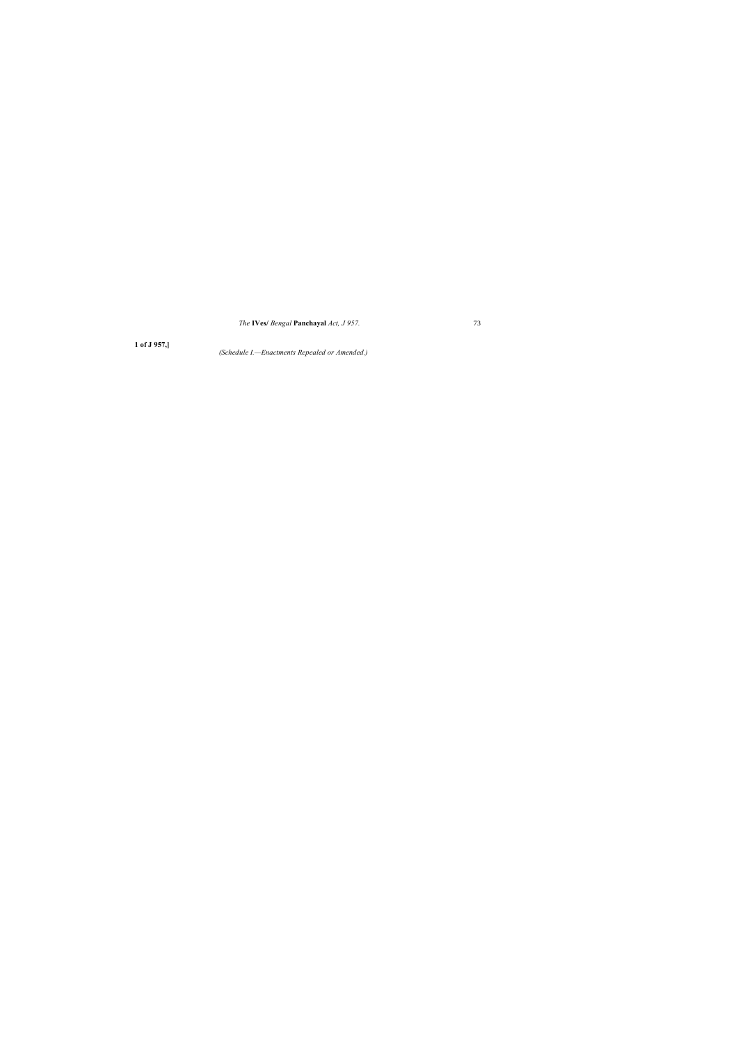*The* **IVes/** *Bengal* **Panchayal** *Act, J 957.* 73

**1 of J 957,]**

*(Schedule I. —Enactments Repealed or Amended.)*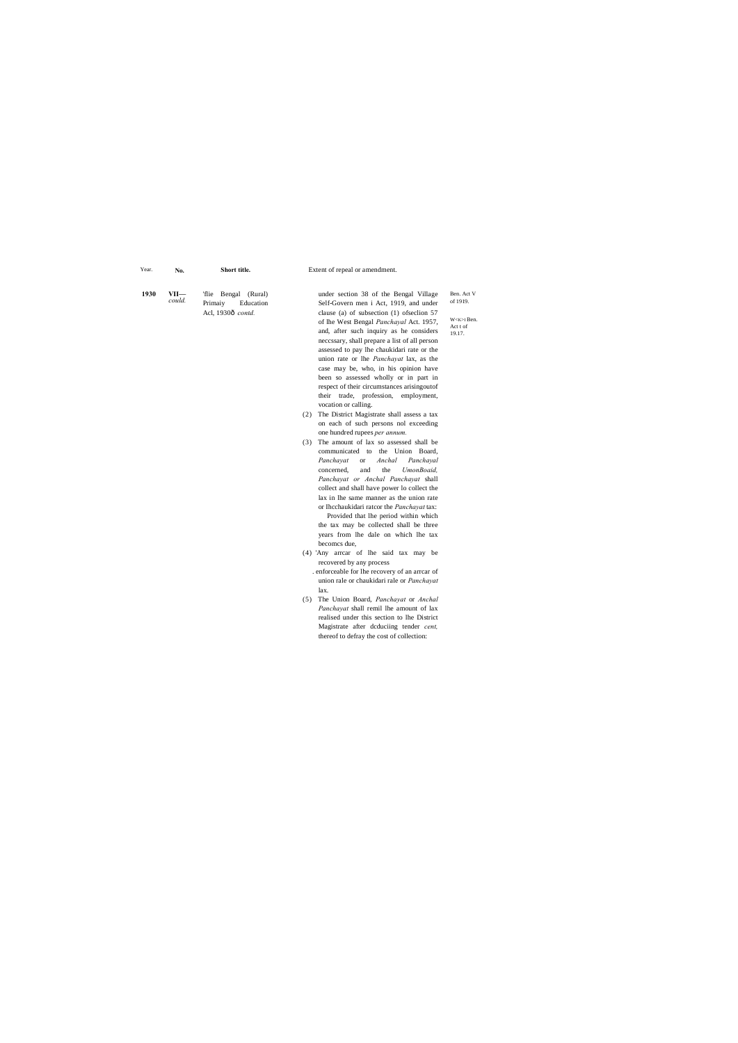| Year. | No.<br>Short title.                                                                    | Extent of repeal or amendment.                                                                                                                                                                                                                                                                                                                                                                                                                                                                                                                                                                                                                                                                                                                                                                                                                                                                                                                                                                                                                                                                                                                                                                                                                                                                                                                                                                                                                                                                                                                                                                                                   |                                                                   |
|-------|----------------------------------------------------------------------------------------|----------------------------------------------------------------------------------------------------------------------------------------------------------------------------------------------------------------------------------------------------------------------------------------------------------------------------------------------------------------------------------------------------------------------------------------------------------------------------------------------------------------------------------------------------------------------------------------------------------------------------------------------------------------------------------------------------------------------------------------------------------------------------------------------------------------------------------------------------------------------------------------------------------------------------------------------------------------------------------------------------------------------------------------------------------------------------------------------------------------------------------------------------------------------------------------------------------------------------------------------------------------------------------------------------------------------------------------------------------------------------------------------------------------------------------------------------------------------------------------------------------------------------------------------------------------------------------------------------------------------------------|-------------------------------------------------------------------|
| 1930  | $VII$ —<br>'flie Bengal (Rural)<br>could.<br>Primaiy<br>Education<br>Acl, 1930ô contd. | under section 38 of the Bengal Village<br>Self-Govern men i Act, 1919, and under<br>clause (a) of subsection $(1)$ of section 57<br>of lhe West Bengal Panchayal Act. 1957,<br>and, after such inquiry as he considers<br>neccssary, shall prepare a list of all person<br>assessed to pay lhe chaukidari rate or the<br>union rate or lhe Panchayat lax, as the<br>case may be, who, in his opinion have<br>been so assessed wholly or in part in<br>respect of their circumstances arisingoutof<br>their trade, profession, employment,<br>vocation or calling.<br>(2) The District Magistrate shall assess a tax<br>on each of such persons nol exceeding<br>one hundred rupees per annum.<br>(3) The amount of lax so assessed shall be<br>communicated to the Union Board,<br>Panchayat<br>Anchal<br>Panchayal<br><b>or</b><br>concerned.<br>and<br>the<br>UmonBoaid.<br>Panchayat or Anchal Panchayat shall<br>collect and shall have power lo collect the<br>lax in lhe same manner as the union rate<br>or Ihcchaukidari ratcor the <i>Panchayat</i> tax:<br>Provided that lhe period within which<br>the tax may be collected shall be three<br>years from lhe dale on which lhe tax<br>becomes due.<br>(4) 'Any arrear of lhe said tax may be<br>recovered by any process<br>. enforceable for lhe recovery of an arrcar of<br>union rale or chaukidari rale or <i>Panchayat</i><br>lax.<br>(5) The Union Board, Panchayat or Anchal<br>Panchayat shall remil lhe amount of lax<br>realised under this section to the District<br>Magistrate after dcduciing tender cent,<br>thereof to defray the cost of collection: | Ben. Act V<br>of 1919.<br>W <k>I Ben.<br/>Act t of<br/>19.17.</k> |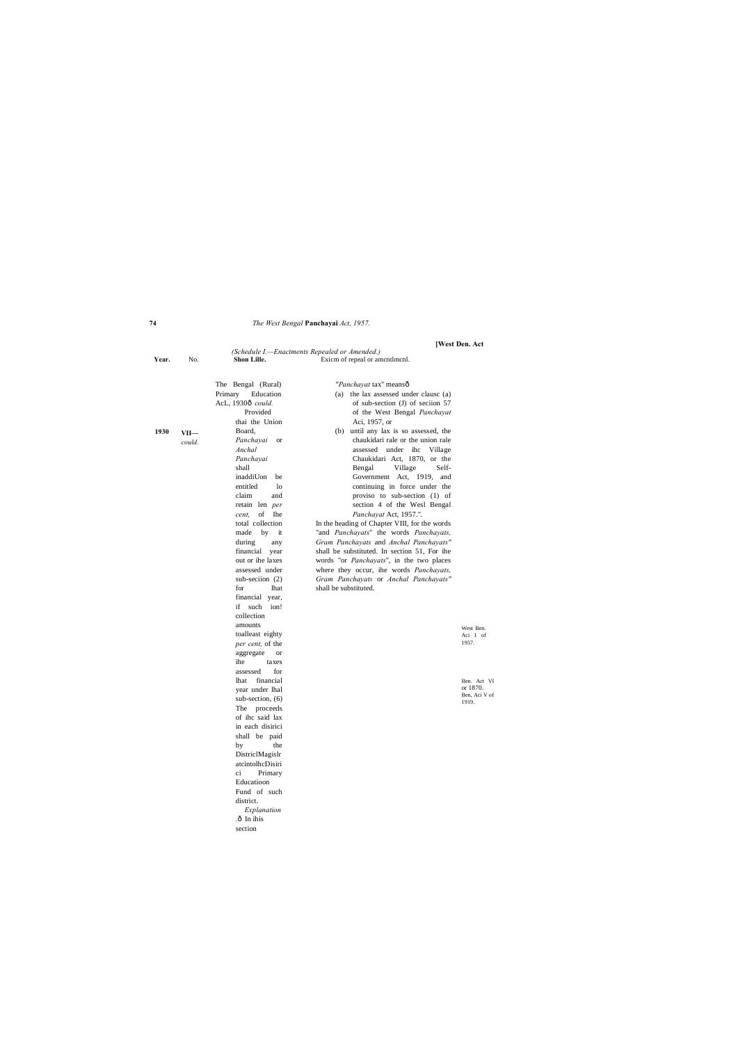**74**

## *The West Bengal* **Panchayai** *Act, 1957.*

|       |                   | <b>Shon Lille.</b>                                                                                                                                                                                                                                                                                                                                                                                                                                                                                                                                                                                                    | (Schedule I.—Enactments Repealed or Amended.)                                                                                                                                                                                                                                                                                                                                                                                                                                                                                                                                                                                                                                                                                                                                                                                                                   |                                                   |
|-------|-------------------|-----------------------------------------------------------------------------------------------------------------------------------------------------------------------------------------------------------------------------------------------------------------------------------------------------------------------------------------------------------------------------------------------------------------------------------------------------------------------------------------------------------------------------------------------------------------------------------------------------------------------|-----------------------------------------------------------------------------------------------------------------------------------------------------------------------------------------------------------------------------------------------------------------------------------------------------------------------------------------------------------------------------------------------------------------------------------------------------------------------------------------------------------------------------------------------------------------------------------------------------------------------------------------------------------------------------------------------------------------------------------------------------------------------------------------------------------------------------------------------------------------|---------------------------------------------------|
| Year. | No.               |                                                                                                                                                                                                                                                                                                                                                                                                                                                                                                                                                                                                                       | Exicm of repeal or amentimen.                                                                                                                                                                                                                                                                                                                                                                                                                                                                                                                                                                                                                                                                                                                                                                                                                                   |                                                   |
| 1930  | $VII$ —<br>could. | The Bengal (Rural)<br>Primary<br>Education<br>AcL, 1930ô <i>could</i> .<br>Provided<br>thai the Union<br>Board,<br>Panchayai<br><b>or</b><br>Anchal<br>Panchayai<br>shall<br>inaddiUon<br>be<br>entitled<br>lo<br>claim<br>and<br>retain len per<br>of<br><b>Ihe</b><br>cent.<br>total collection<br>made<br>by<br>it<br>during<br>any<br>financial year<br>out or ihe laxes<br>assessed under<br>sub-section $(2)$<br>for<br><b>lhat</b><br>financial year,<br>if such<br>ion!<br>collection<br>amounts<br>toalleast eighty<br><i>per cent</i> , of the<br>aggregate<br><b>or</b><br>ihe<br>taxes<br>assessed<br>for | "Panchayat tax" meansô<br>(a) the lax assessed under clause (a)<br>of sub-section (J) of section 57<br>of the West Bengal Panchayat<br>Aci, 1957, or<br>(b) until any lax is so assessed, the<br>chaukidari rale or the union rale<br>assessed under ihc Village<br>Chaukidari Act, 1870, or the<br>Village<br>Self-<br>Bengal<br>Government Act, 1919, and<br>continuing in force under the<br>proviso to sub-section $(1)$ of<br>section 4 of the Wesl Bengal<br>Panchayat Act, 1957.".<br>In the heading of Chapter VIII, for the words<br>"and <i>Panchayats</i> " the words <i>Panchayats</i> ,<br>Gram Panchayats and Anchal Panchayats"<br>shall be substituted. In section 51, For ihe<br>words "or <i>Panchayats</i> ", in the two places<br>where they occur, ihe words Panchayats,<br>Gram Panchayats or Anchal Panchayats"<br>shall be substituted. | West Ben.<br>Aci 1 of<br>1957.                    |
|       |                   | financial<br>lhat<br>year under lhal<br>sub-section, $(6)$<br>The proceeds<br>of ihc said lax<br>in each disirici                                                                                                                                                                                                                                                                                                                                                                                                                                                                                                     |                                                                                                                                                                                                                                                                                                                                                                                                                                                                                                                                                                                                                                                                                                                                                                                                                                                                 | Ben. Act VI<br>or 1870.<br>Ben, Aci V of<br>1919. |
|       |                   | shall be paid<br>the<br>by<br>DistriclMagislr<br>atcintolhcDisiri<br>Primary<br>ci                                                                                                                                                                                                                                                                                                                                                                                                                                                                                                                                    |                                                                                                                                                                                                                                                                                                                                                                                                                                                                                                                                                                                                                                                                                                                                                                                                                                                                 |                                                   |

Educatioon

Fund of such district. *Explanation .*—In ihis section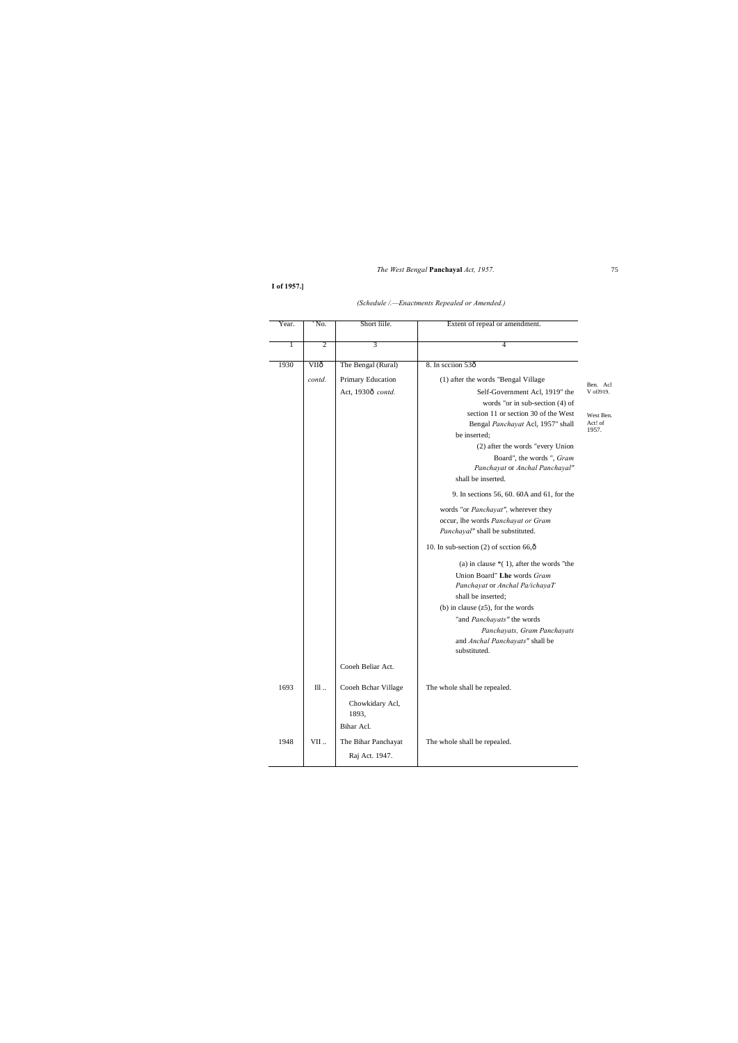*The West Bengal* **Panchayal** *Act, 1957.* 75

# **I of 1957.]**

| Year. | No.            | Short liile.             | Extent of repeal or amendment.                                                    |                        |
|-------|----------------|--------------------------|-----------------------------------------------------------------------------------|------------------------|
|       |                |                          |                                                                                   |                        |
| 1     | $\overline{2}$ | 3                        | $\overline{4}$                                                                    |                        |
| 1930  | VIIô           | The Bengal (Rural)       | 8. In scciion 53ô                                                                 |                        |
|       | contd.         | Primary Education        | (1) after the words "Bengal Village"                                              |                        |
|       |                | Act, 1930ô contd.        | Self-Government Acl, 1919" the                                                    | Ben. Acl<br>V of 1919. |
|       |                |                          | words "or in sub-section (4) of                                                   |                        |
|       |                |                          | section 11 or section 30 of the West                                              | West Ben.              |
|       |                |                          | Bengal Panchayat Acl, 1957" shall                                                 | Act! of<br>1957.       |
|       |                |                          | be inserted;                                                                      |                        |
|       |                |                          | (2) after the words "every Union"                                                 |                        |
|       |                |                          | Board", the words ", Gram<br>Panchayat or Anchal Panchayal"<br>shall be inserted. |                        |
|       |                |                          | 9. In sections 56, 60. 60A and 61, for the                                        |                        |
|       |                |                          |                                                                                   |                        |
|       |                |                          | words "or <i>Panchayat"</i> , wherever they                                       |                        |
|       |                |                          | occur, lhe words Panchayat or Gram                                                |                        |
|       |                |                          | Panchayal" shall be substituted.                                                  |                        |
|       |                |                          | 10. In sub-section $(2)$ of scction 66, $\hat{\sigma}$                            |                        |
|       |                |                          | (a) in clause $*(1)$ , after the words "the                                       |                        |
|       |                |                          | Union Board" Lhe words Gram                                                       |                        |
|       |                |                          | Panchayat or Anchal Pa/ichayaT                                                    |                        |
|       |                |                          | shall be inserted;                                                                |                        |
|       |                |                          | (b) in clause $(z5)$ , for the words                                              |                        |
|       |                |                          | "and Panchayats" the words                                                        |                        |
|       |                |                          | Panchayats, Gram Panchayats<br>and Anchal Panchayats" shall be                    |                        |
|       |                |                          | substituted.                                                                      |                        |
|       |                | Cooeh Beliar Act.        |                                                                                   |                        |
| 1693  | Ill            | Cooeh Bchar Village      | The whole shall be repealed.                                                      |                        |
|       |                | Chowkidary Acl,<br>1893. |                                                                                   |                        |
|       |                | Bihar Acl.               |                                                                                   |                        |
| 1948  | VII            | The Bihar Panchayat      | The whole shall be repealed.                                                      |                        |
|       |                | Raj Act. 1947.           |                                                                                   |                        |
|       |                |                          |                                                                                   |                        |

# *(Schedule /.—Enactments Repealed or Amended.)*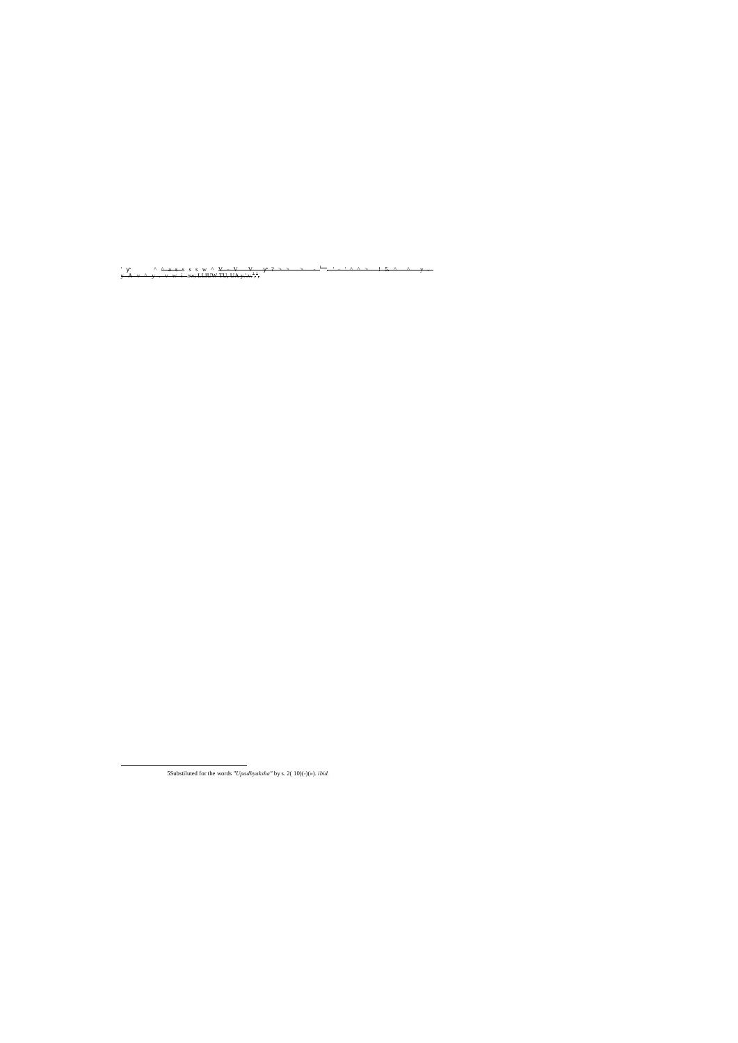$\begin{array}{ccccc}\n\wedge & \triangle & a \cdot s - s & s & s & w & \wedge & \sqrt{} & \sqrt{} & \sqrt{} \\ \nv & v & w & i & aw; LLIUW TU, UA y'.v.^{+,\frac{1}{r}}, \end{array}$  $\overline{\phantom{0}}$  $\overline{y}$ 

<sup>5&</sup>lt;br>Substiluted for the words "Upadhyaksha" by s. 2( 10)(-)(»). ibid.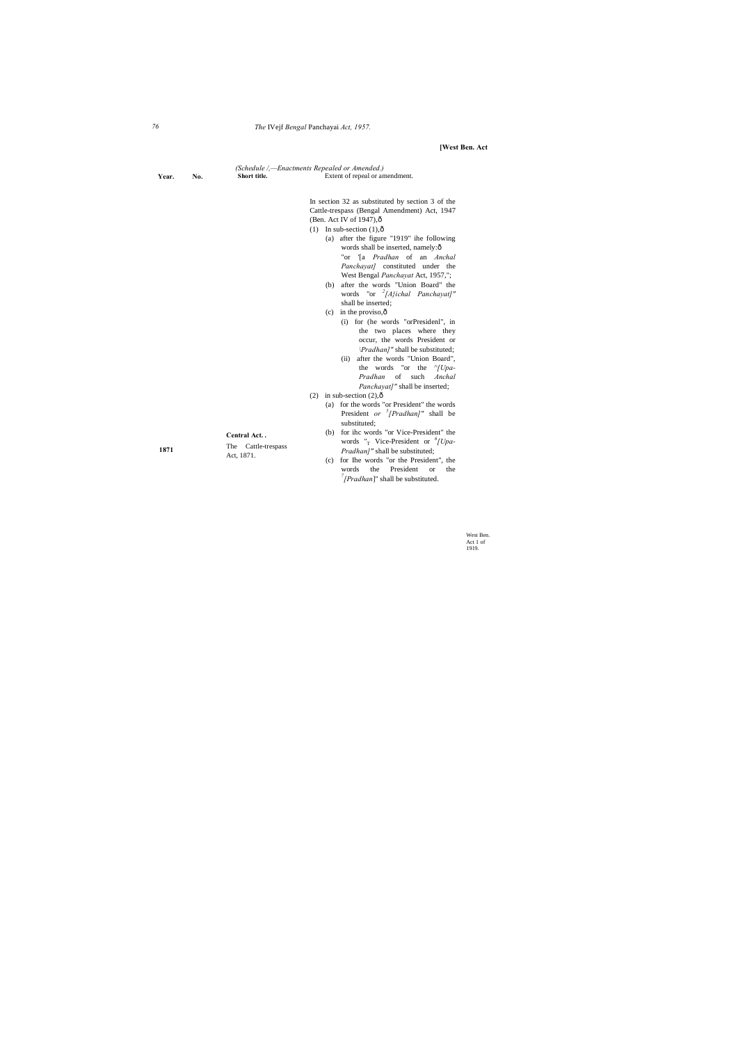West Ben. Act 1 of 1919.

*The* IVejf *Bengal* Panchayai *Act, 1957.*

**[West Ben. Act**

| Year. | No. | Short title.                                        | (Schedule /,—Enactments Repealed or Amended.)<br>Extent of repeal or amendment.                                                                                                                                                                                                                                                                                                                                           |
|-------|-----|-----------------------------------------------------|---------------------------------------------------------------------------------------------------------------------------------------------------------------------------------------------------------------------------------------------------------------------------------------------------------------------------------------------------------------------------------------------------------------------------|
|       |     |                                                     | In section 32 as substituted by section 3 of the<br>Cattle-trespass (Bengal Amendment) Act, 1947<br>(Ben. Act IV of 1947), ô<br>$(1)$ In sub-section $(1),\hat{0}$<br>(a) after the figure "1919" ihe following<br>words shall be inserted, namely: ô<br>"or "[a <i>Pradhan</i> of an <i>Anchal</i><br>Panchayat] constituted under the<br>West Bengal Panchayat Act, 1957,";<br>after the words "Union Board" the<br>(b) |
|       |     |                                                     | words "or $^{2}/A$ <i>ichal Panchayat]</i> "<br>shall be inserted:<br>in the proviso, ô<br>(c)<br>(i) for (he words "orPresidenl", in<br>the two places where they<br>occur, the words President or<br><i>\Pradhan]"</i> shall be substituted;                                                                                                                                                                            |
|       |     |                                                     | after the words "Union Board",<br>(ii)<br>the words "or the $\sqrt[r]{Upa}$ -<br>Pradhan<br>of<br>Anchal<br>such<br><i>Panchayat]"</i> shall be inserted;                                                                                                                                                                                                                                                                 |
|       |     |                                                     | in sub-section $(2)$ , $\hat{0}$<br>(2)<br>(a) for the words "or President" the words<br>President or $\frac{5}{P}$ radhan]" shall be<br>substituted;                                                                                                                                                                                                                                                                     |
| 1871  |     | Central Act<br>Cattle-trespass<br>The<br>Act, 1871. | for the words "or Vice-President" the<br>(b)<br>words " <sub>T</sub> Vice-President or $^{6}/Upa-$<br><i>Pradhan]"</i> shall be substituted;<br>(a) for the words "or the Dresident" the                                                                                                                                                                                                                                  |

(c) for Ihe words "or the President", the words the President or the *7 [Pradhan*]" shall be substituted.